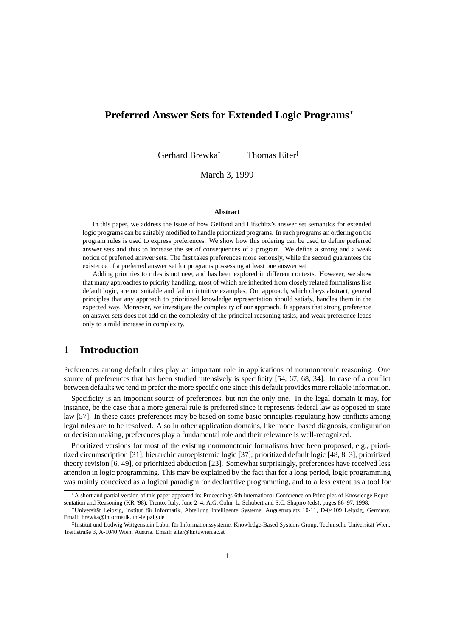# **Preferred Answer Sets for Extended Logic Programs**

Gerhard Brewka<sup>†</sup>

Thomas Eiter $<sup>‡</sup>$ </sup>

March 3, 1999

#### **Abstract**

In this paper, we address the issue of how Gelfond and Lifschitz's answer set semantics for extended logic programs can be suitably modified to handle prioritized programs. In such programs an ordering on the program rules is used to express preferences. We show how this ordering can be used to define preferred answer sets and thus to increase the set of consequences of a program. We define a strong and a weak notion of preferred answer sets. The first takes preferences more seriously, while the second guarantees the existence of a preferred answer set for programs possessing at least one answer set.

Adding priorities to rules is not new, and has been explored in different contexts. However, we show that many approaches to priority handling, most of which are inherited from closely related formalisms like default logic, are not suitable and fail on intuitive examples. Our approach, which obeys abstract, general principles that any approach to prioritized knowledge representation should satisfy, handles them in the expected way. Moreover, we investigate the complexity of our approach. It appears that strong preference on answer sets does not add on the complexity of the principal reasoning tasks, and weak preference leads only to a mild increase in complexity.

## **1 Introduction**

Preferences among default rules play an important role in applications of nonmonotonic reasoning. One source of preferences that has been studied intensively is specificity [54, 67, 68, 34]. In case of a conflict between defaults we tend to prefer the more specific one since this default provides more reliable information.

Specificity is an important source of preferences, but not the only one. In the legal domain it may, for instance, be the case that a more general rule is preferred since it represents federal law as opposed to state law [57]. In these cases preferences may be based on some basic principles regulating how conflicts among legal rules are to be resolved. Also in other application domains, like model based diagnosis, configuration or decision making, preferences play a fundamental role and their relevance is well-recognized.

Prioritized versions for most of the existing nonmonotonic formalisms have been proposed, e.g., prioritized circumscription [31], hierarchic autoepistemic logic [37], prioritized default logic [48, 8, 3], prioritized theory revision [6, 49], or prioritized abduction [23]. Somewhat surprisingly, preferences have received less attention in logic programming. This may be explained by the fact that for a long period, logic programming was mainly conceived as a logical paradigm for declarative programming, and to a less extent as a tool for

<sup>\*</sup>A short and partial version of this paper appeared in: Proceedings 6th International Conference on Principles of Knowledge Representation and Reasoning (KR '98), Trento, Italy, June 2–4, A.G. Cohn, L. Schubert and S.C. Shapiro (eds), pages 86–97, 1998.

<sup>&</sup>lt;sup>†</sup>Universität Leipzig, Institut für Informatik, Abteilung Intelligente Systeme, Augustusplatz 10-11, D-04109 Leipzig, Germany. Email: brewka@informatik.uni-leipzig.de

<sup>‡</sup>Institut und Ludwig Wittgenstein Labor für Informationssysteme, Knowledge-Based Systems Group, Technische Universität Wien, Treitlstraße 3, A-1040 Wien, Austria. Email: eiter@kr.tuwien.ac.at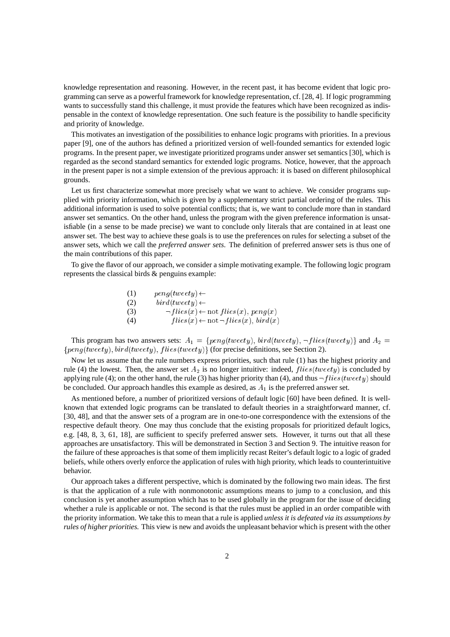knowledge representation and reasoning. However, in the recent past, it has become evident that logic programming can serve as a powerful framework for knowledge representation, cf. [28, 4]. If logic programming wants to successfully stand this challenge, it must provide the features which have been recognized as indispensable in the context of knowledge representation. One such feature is the possibility to handle specificity and priority of knowledge.

This motivates an investigation of the possibilities to enhance logic programs with priorities. In a previous paper [9], one of the authors has defined a prioritized version of well-founded semantics for extended logic programs. In the present paper, we investigate prioritized programs under answer set semantics [30], which is regarded as the second standard semantics for extended logic programs. Notice, however, that the approach in the present paper is not a simple extension of the previous approach: it is based on different philosophical grounds.

Let us first characterize somewhat more precisely what we want to achieve. We consider programs supplied with priority information, which is given by a supplementary strict partial ordering of the rules. This additional information is used to solve potential conflicts; that is, we want to conclude more than in standard answer set semantics. On the other hand, unless the program with the given preference information is unsatisfiable (in a sense to be made precise) we want to conclude only literals that are contained in at least one answer set. The best way to achieve these goals is to use the preferences on rules for selecting a subset of the answer sets, which we call the *preferred answer sets*. The definition of preferred answer sets is thus one of the main contributions of this paper.

To give the flavor of our approach, we consider a simple motivating example. The following logic program represents the classical birds & penguins example:

| (1) | $peng(tweety) \leftarrow$                        |
|-----|--------------------------------------------------|
| (2) | $bird(tweety) \leftarrow$                        |
| (3) | $\neg flies(x) \leftarrow not files(x), peng(x)$ |
| (4) | $flies(x) \leftarrow not \neg files(x), bird(x)$ |

This program has two answers sets:  $A_1 = \{peng(tweety), bird(tweety), \neg flies(tweety)\}$  and  $A_2 =$  ${peng(tweety), bird(tweety), flies(tweety)}$  (for precise definitions, see Section 2).

Now let us assume that the rule numbers express priorities, such that rule (1) has the highest priority and rule (4) the lowest. Then, the answer set  $A_2$  is no longer intuitive: indeed,  $flies(tweety)$  is concluded by applying rule (4); on the other hand, the rule (3) has higher priority than (4), and thus  $\neg flies(tweety)$  should be concluded. Our approach handles this example as desired, as  $A_1$  is the preferred answer set.

As mentioned before, a number of prioritized versions of default logic [60] have been defined. It is wellknown that extended logic programs can be translated to default theories in a straightforward manner, cf. [30, 48], and that the answer sets of a program are in one-to-one correspondence with the extensions of the respective default theory. One may thus conclude that the existing proposals for prioritized default logics, e.g. [48, 8, 3, 61, 18], are sufficient to specify preferred answer sets. However, it turns out that all these approaches are unsatisfactory. This will be demonstrated in Section 3 and Section 9. The intuitive reason for the failure of these approaches is that some of them implicitly recast Reiter's default logic to a logic of graded beliefs, while others overly enforce the application of rules with high priority, which leads to counterintuitive behavior.

Our approach takes a different perspective, which is dominated by the following two main ideas. The first is that the application of a rule with nonmonotonic assumptions means to jump to a conclusion, and this conclusion is yet another assumption which has to be used globally in the program for the issue of deciding whether a rule is applicable or not. The second is that the rules must be applied in an order compatible with the priority information. We take this to mean that a rule is applied *unless it is defeated via its assumptions by rules of higher priorities.* This view is new and avoids the unpleasant behavior which is present with the other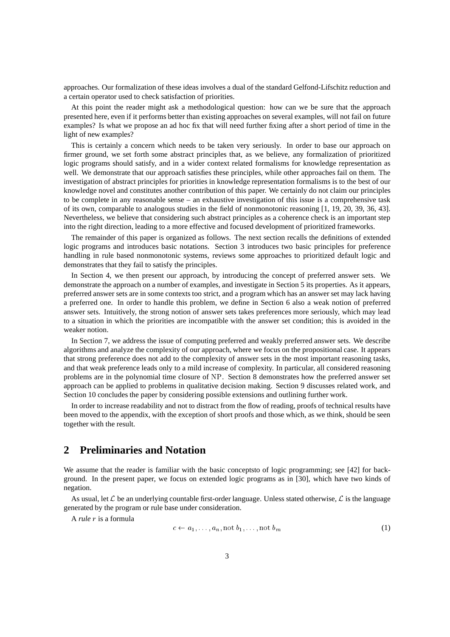approaches. Our formalization of these ideas involves a dual of the standard Gelfond-Lifschitz reduction and a certain operator used to check satisfaction of priorities.

At this point the reader might ask a methodological question: how can we be sure that the approach presented here, even if it performs better than existing approaches on several examples, will not fail on future examples? Is what we propose an ad hoc fix that will need further fixing after a short period of time in the light of new examples?

This is certainly a concern which needs to be taken very seriously. In order to base our approach on firmer ground, we set forth some abstract principles that, as we believe, any formalization of prioritized logic programs should satisfy, and in a wider context related formalisms for knowledge representation as well. We demonstrate that our approach satisfies these principles, while other approaches fail on them. The investigation of abstract principles for priorities in knowledge representation formalisms is to the best of our knowledge novel and constitutes another contribution of this paper. We certainly do not claim our principles to be complete in any reasonable sense – an exhaustive investigation of this issue is a comprehensive task of its own, comparable to analogous studies in the field of nonmonotonic reasoning [1, 19, 20, 39, 36, 43]. Nevertheless, we believe that considering such abstract principles as a coherence check is an important step into the right direction, leading to a more effective and focused development of prioritized frameworks.

The remainder of this paper is organized as follows. The next section recalls the definitions of extended logic programs and introduces basic notations. Section 3 introduces two basic principles for preference handling in rule based nonmonotonic systems, reviews some approaches to prioritized default logic and demonstrates that they fail to satisfy the principles.

In Section 4, we then present our approach, by introducing the concept of preferred answer sets. We demonstrate the approach on a number of examples, and investigate in Section 5 its properties. As it appears, preferred answer sets are in some contexts too strict, and a program which has an answer set may lack having a preferred one. In order to handle this problem, we define in Section 6 also a weak notion of preferred answer sets. Intuitively, the strong notion of answer sets takes preferences more seriously, which may lead to a situation in which the priorities are incompatible with the answer set condition; this is avoided in the weaker notion.

In Section 7, we address the issue of computing preferred and weakly preferred answer sets. We describe algorithms and analyze the complexity of our approach, where we focus on the propositional case. It appears that strong preference does not add to the complexity of answer sets in the most important reasoning tasks, and that weak preference leads only to a mild increase of complexity. In particular, all considered reasoning problems are in the polynomial time closure of NP. Section 8 demonstrates how the preferred answer set approach can be applied to problems in qualitative decision making. Section 9 discusses related work, and Section 10 concludes the paper by considering possible extensions and outlining further work.

In order to increase readability and not to distract from the flow of reading, proofs of technical results have been moved to the appendix, with the exception of short proofs and those which, as we think, should be seen together with the result.

## **2 Preliminaries and Notation**

We assume that the reader is familiar with the basic conceptsto of logic programming; see [42] for background. In the present paper, we focus on extended logic programs as in [30], which have two kinds of negation.

As usual, let  $\mathcal L$  be an underlying countable first-order language. Unless stated otherwise,  $\mathcal L$  is the language generated by the program or rule base under consideration.

A *rule* r is a formula

$$
c \leftarrow a_1, \dots, a_n, \text{not } b_1, \dots, \text{not } b_m \tag{1}
$$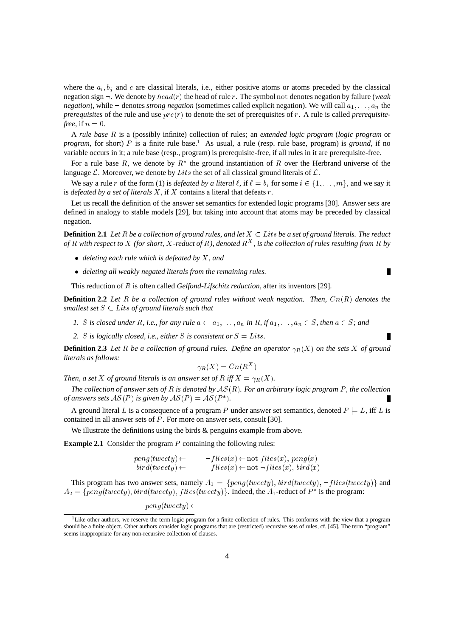where the  $a_i, b_j$  and c are classical literals, i.e., either positive atoms or atoms preceded by the classical negation sign  $\neg$ . We denote by  $head(r)$  the head of rule r. The symbol not denotes negation by failure (*weak negation*), while  $\neg$  denotes *strong negation* (sometimes called explicit negation). We will call  $a_1, \ldots, a_n$  the *prerequisites* of the rule and use  $pre(r)$  to denote the set of prerequisites of r. A rule is called *prerequisitefree*, if  $n = 0$ .

A *rule base* <sup>R</sup> is a (possibly infinite) collection of rules; an *extended logic program* (*logic program* or *program*, for short) P is a finite rule base.<sup>1</sup> As usual, a rule (resp. rule base, program) is *ground*, if no variable occurs in it; a rule base (resp., program) is prerequisite-free, if all rules in it are prerequisite-free.

For a rule base R, we denote by  $R^*$  the ground instantiation of R over the Herbrand universe of the language  $\mathcal{L}$ . Moreover, we denote by Lits the set of all classical ground literals of  $\mathcal{L}$ .

We say a rule r of the form (1) is *defeated by a literal*  $\ell$ , if  $\ell = b_i$  for some  $i \in \{1, \ldots, m\}$ , and we say it is *defeated by a set of literals* X, if X contains a literal that defeats r.

Let us recall the definition of the answer set semantics for extended logic programs [30]. Answer sets are defined in analogy to stable models [29], but taking into account that atoms may be preceded by classical negation.

**Definition 2.1** *Let* R *be a collection of ground rules, and let*  $X \subseteq$  *Lits be a set of ground literals. The reduct* of  $R$  with respect to  $X$  (for short,  $X$ -reduct of  $R$ ), denoted  $R^X$ , is the collection of rules resulting from  $R$  by

П

- *deleting each rule which is defeated by* X*, and*
- *deleting all weakly negated literals from the remaining rules.*

This reduction of R is often called *Gelfond-Lifschitz reduction*, after its inventors [29].

**Definition 2.2** *Let* R *be a collection of ground rules without weak negation. Then,*  $C_n(R)$  *denotes the smallest set*  $S \subseteq$  *Lits of ground literals such that* 

- *1.* S is closed under R, i.e., for any rule  $a \leftarrow a_1, \ldots, a_n$  in R, if  $a_1, \ldots, a_n \in S$ , then  $a \in S$ ; and
- 2. *S* is logically closed, i.e., either *S* is consistent or  $S = Lits$ .

**Definition 2.3** Let R be a collection of ground rules. Define an operator  $\gamma_R(X)$  on the sets X of ground *literals as follows:*

$$
\gamma_R(X) = Cn(R^X)
$$

*Then, a set X of ground literals is an answer set of R iff*  $X = \gamma_R(X)$ *.* 

*The collection of answer sets of* <sup>R</sup> *is denoted by* AS(R)*. For an arbitrary logic program* <sup>P</sup> *, the collection of answers sets*  $AS(P)$  *is given by*  $AS(P) = AS(P^*).$ 

A ground literal L is a consequence of a program P under answer set semantics, denoted  $P \models L$ , iff L is contained in all answer sets of  $P$ . For more on answer sets, consult [30].

We illustrate the definitions using the birds & penguins example from above.

**Example 2.1** Consider the program P containing the following rules:

 $peng(tweety) \leftarrow \neg flies(x) \leftarrow not files(x), peng(x)$  $bird(tweety) \leftarrow$   $flies(x) \leftarrow not \neg files(x), bird(x)$ 

This program has two answer sets, namely  $A_1 = \{peng(tweety), bird(tweety), \neg flies(tweety)\}$  and  $A_2 = \{peng(tweety), bird(tweety), flies(tweety)\}.$  Indeed, the  $A_1$ -reduct of  $P^*$  is the program:

 $peng(tweety) \leftarrow$ 

<sup>&</sup>lt;sup>1</sup>Like other authors, we reserve the term logic program for a finite collection of rules. This conforms with the view that a program should be a finite object. Other authors consider logic programs that are (restricted) recursive sets of rules, cf. [45]. The term "program" seems inappropriate for any non-recursive collection of clauses.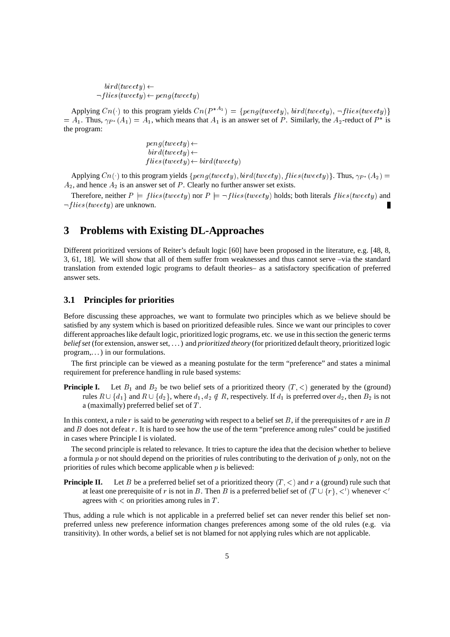$bird(tweety) \leftarrow$  $\neg flies(tweety) \leftarrow peng(tweety)$ 

Applying  $Cn(\cdot)$  to this program yields  $Cn(P^{*A_1}) = \{peng(tweety), bird(tweety), \neg flies(tweety)\}$  $A_1$ . Thus,  $\gamma_{P^*}(A_1) = A_1$ , which means that  $A_1$  is an answer set of P. Similarly, the  $A_2$ -reduct of  $P^*$  is the program:

> $peng(tweety) \leftarrow$  $\boldsymbol{bird}(tweety) \leftarrow$  $flies(tweety) \leftarrow bird(tweety)$

Applying  $Cn()$  to this program yields {peng(tweety), bird(tweety), flies(tweety)}. Thus,  $\gamma_{P^*}(A_2)$  =  $A_2$ , and hence  $A_2$  is an answer set of P. Clearly no further answer set exists.

Therefore, neither  $P \models files(tweety)$  nor  $P \models \neg files(tweety)$  holds; both literals  $files(tweety)$  and  $-flies(tweetu)$  are unknown.

# **3 Problems with Existing DL-Approaches**

Different prioritized versions of Reiter's default logic [60] have been proposed in the literature, e.g. [48, 8, 3, 61, 18]. We will show that all of them suffer from weaknesses and thus cannot serve –via the standard translation from extended logic programs to default theories– as a satisfactory specification of preferred answer sets.

## **3.1 Principles for priorities**

Before discussing these approaches, we want to formulate two principles which as we believe should be satisfied by any system which is based on prioritized defeasible rules. Since we want our principles to cover different approaches like default logic, prioritized logic programs, etc. we use in this section the generic terms *belief set* (for extension, answer set, . . . ) and *prioritized theory* (for prioritized default theory, prioritized logic program,. . . ) in our formulations.

The first principle can be viewed as a meaning postulate for the term "preference" and states a minimal requirement for preference handling in rule based systems:

**Principle I.** Let  $B_1$  and  $B_2$  be two belief sets of a prioritized theory  $(T, \leq)$  generated by the (ground) rules  $R \cup \{d_1\}$  and  $R \cup \{d_2\}$ , where  $d_1, d_2 \notin R$ , respectively. If  $d_1$  is preferred over  $d_2$ , then  $B_2$  is not a (maximally) preferred belief set of  $T$ .

In this context, a rule r is said to be *generating* with respect to a belief set B, if the prerequisites of r are in B and  $B$  does not defeat  $r$ . It is hard to see how the use of the term "preference among rules" could be justified in cases where Principle I is violated.

The second principle is related to relevance. It tries to capture the idea that the decision whether to believe a formula p or not should depend on the priorities of rules contributing to the derivation of p only, not on the priorities of rules which become applicable when  $p$  is believed:

**Principle II.** Let B be a preferred belief set of a prioritized theory  $(T, <)$  and r a (ground) rule such that at least one prerequisite of r is not in B. Then B is a preferred belief set of  $(T \cup \{r\}, \lt')$  whenever  $\lt'$ agrees with  $\lt$  on priorities among rules in  $T$ .

Thus, adding a rule which is not applicable in a preferred belief set can never render this belief set nonpreferred unless new preference information changes preferences among some of the old rules (e.g. via transitivity). In other words, a belief set is not blamed for not applying rules which are not applicable.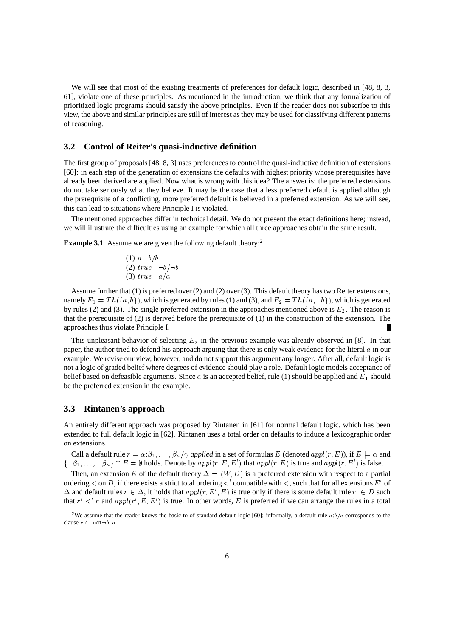We will see that most of the existing treatments of preferences for default logic, described in [48, 8, 3, 61], violate one of these principles. As mentioned in the introduction, we think that any formalization of prioritized logic programs should satisfy the above principles. Even if the reader does not subscribe to this view, the above and similar principles are still of interest as they may be used for classifying different patterns of reasoning.

## **3.2 Control of Reiter's quasi-inductive definition**

The first group of proposals [48, 8, 3] uses preferences to control the quasi-inductive definition of extensions [60]: in each step of the generation of extensions the defaults with highest priority whose prerequisites have already been derived are applied. Now what is wrong with this idea? The answer is: the preferred extensions do not take seriously what they believe. It may be the case that a less preferred default is applied although the prerequisite of a conflicting, more preferred default is believed in a preferred extension. As we will see, this can lead to situations where Principle I is violated.

The mentioned approaches differ in technical detail. We do not present the exact definitions here; instead, we will illustrate the difficulties using an example for which all three approaches obtain the same result.

**Example 3.1** Assume we are given the following default theory:<sup>2</sup>

$$
\begin{array}{c} (1) \ a:b/b \\ (2) \ true: \neg b/\neg b \\ (3) \ true: a/a \end{array}
$$

Assume further that (1) is preferred over (2) and (2) over (3). This default theory has two Reiter extensions, namely  $E_1 = Th(\lbrace a, b \rbrace)$ , which is generated by rules (1) and (3), and  $E_2 = Th(\lbrace a, \neg b \rbrace)$ , which is generated by rules (2) and (3). The single preferred extension in the approaches mentioned above is  $E_2$ . The reason is that the prerequisite of (2) is derived before the prerequisite of (1) in the construction of the extension. The approaches thus violate Principle I.

This unpleasant behavior of selecting  $E_2$  in the previous example was already observed in [8]. In that paper, the author tried to defend his approach arguing that there is only weak evidence for the literal  $a$  in our example. We revise our view, however, and do not support this argument any longer. After all, default logic is not a logic of graded belief where degrees of evidence should play a role. Default logic models acceptance of belief based on defeasible arguments. Since a is an accepted belief, rule (1) should be applied and  $E_1$  should be the preferred extension in the example.

## **3.3 Rintanen's approach**

An entirely different approach was proposed by Rintanen in [61] for normal default logic, which has been extended to full default logic in [62]. Rintanen uses a total order on defaults to induce a lexicographic order on extensions.

Call a default rule  $r = \alpha : \beta_1, \dots, \beta_n/\gamma$  *applied* in a set of formulas E (denoted *appl*(*r*, E)), if  $E \models \alpha$  and  $\{\neg \beta_1, \ldots, \neg \beta_n\} \cap E = \emptyset$  holds. Denote by  $appl(r, E, E')$  that  $appl(r, E)$  is true and  $appl(r, E')$  is false.

Then, an extension E of the default theory  $\Delta = (W, D)$  is a preferred extension with respect to a partial ordering  $\lt$  on D, if there exists a strict total ordering  $\lt'$  compatible with  $\lt$ , such that for all extensions E' of  $\Delta$  and default rules  $r \in \Delta$ , it holds that  $app(r, E', E)$  is true only if there is some default rule  $r' \in D$  such that  $r' < r$  and  $app(r', E, E')$  is true. In other words, E is preferred if we can arrange the rules in a total

<sup>&</sup>lt;sup>2</sup>We assume that the reader knows the basic to of standard default logic [60]; informally, a default rule  $a:b/c$  corresponds to the clause  $c \leftarrow \text{not} \neg b, a$ .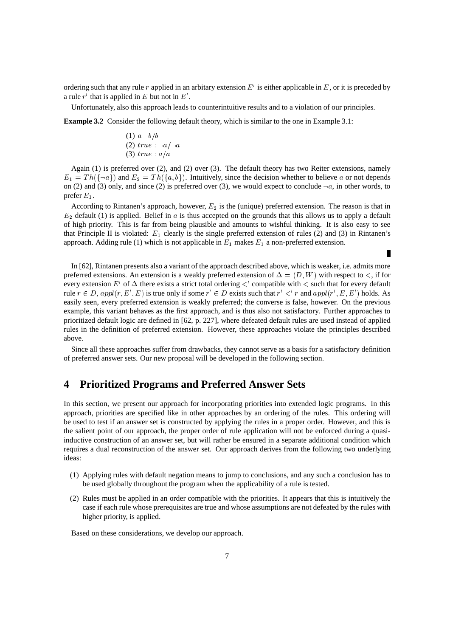ordering such that any rule r applied in an arbitary extension  $E'$  is either applicable in  $E$ , or it is preceded by a rule  $r'$  that is applied in E but not in  $E'$ .

Unfortunately, also this approach leads to counterintuitive results and to a violation of our principles.

**Example 3.2** Consider the following default theory, which is similar to the one in Example 3.1:

(1)  $a : b/b$ (2)  $true : \neg a / \neg a$  $(3) true : a/a$ 

Again (1) is preferred over (2), and (2) over (3). The default theory has two Reiter extensions, namely  $E_1 = Th(\{\neg a\})$  and  $E_2 = Th(\{a, b\})$ . Intuitively, since the decision whether to believe a or not depends on (2) and (3) only, and since (2) is preferred over (3), we would expect to conclude  $\lnot a$ , in other words, to prefer  $E_1$ .

According to Rintanen's approach, however,  $E_2$  is the (unique) preferred extension. The reason is that in  $E_2$  default (1) is applied. Belief in a is thus accepted on the grounds that this allows us to apply a default of high priority. This is far from being plausible and amounts to wishful thinking. It is also easy to see that Principle II is violated:  $E_1$  clearly is the single preferred extension of rules (2) and (3) in Rintanen's approach. Adding rule (1) which is not applicable in  $E_1$  makes  $E_1$  a non-preferred extension.

П

In [62], Rintanen presents also a variant of the approach described above, which is weaker, i.e. admits more preferred extensions. An extension is a weakly preferred extension of  $\Delta = (D, W)$  with respect to  $\lt$ , if for every extension E' of  $\Delta$  there exists a strict total ordering  $\lt'$  compatible with  $\lt$  such that for every default rule  $r \in D$ , appl $(r, E', E)$  is true only if some  $r' \in D$  exists such that  $r' < r$  and appl $(r', E, E')$  holds. As easily seen, every preferred extension is weakly preferred; the converse is false, however. On the previous example, this variant behaves as the first approach, and is thus also not satisfactory. Further approaches to prioritized default logic are defined in [62, p. 227], where defeated default rules are used instead of applied rules in the definition of preferred extension. However, these approaches violate the principles described above.

Since all these approaches suffer from drawbacks, they cannot serve as a basis for a satisfactory definition of preferred answer sets. Our new proposal will be developed in the following section.

## **4 Prioritized Programs and Preferred Answer Sets**

In this section, we present our approach for incorporating priorities into extended logic programs. In this approach, priorities are specified like in other approaches by an ordering of the rules. This ordering will be used to test if an answer set is constructed by applying the rules in a proper order. However, and this is the salient point of our approach, the proper order of rule application will not be enforced during a quasiinductive construction of an answer set, but will rather be ensured in a separate additional condition which requires a dual reconstruction of the answer set. Our approach derives from the following two underlying ideas:

- (1) Applying rules with default negation means to jump to conclusions, and any such a conclusion has to be used globally throughout the program when the applicability of a rule is tested.
- (2) Rules must be applied in an order compatible with the priorities. It appears that this is intuitively the case if each rule whose prerequisites are true and whose assumptions are not defeated by the rules with higher priority, is applied.

Based on these considerations, we develop our approach.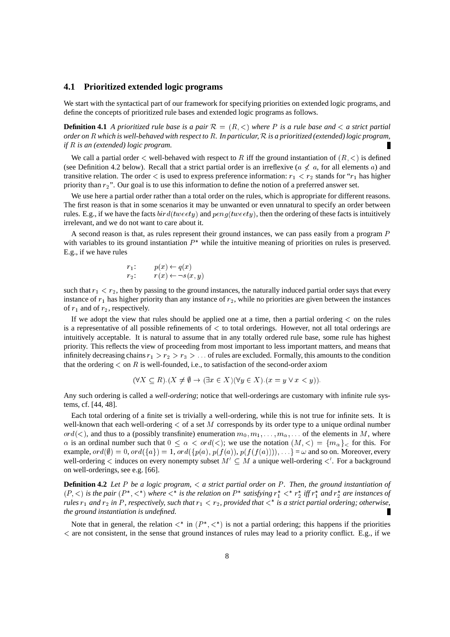#### **4.1 Prioritized extended logic programs**

We start with the syntactical part of our framework for specifying priorities on extended logic programs, and define the concepts of prioritized rule bases and extended logic programs as follows.

**Definition 4.1** *A prioritized rule base is a pair*  $\mathcal{R} = (R, \leq)$  *where P is a rule base and*  $\leq$  *a strict partial order on* R *which is well-behaved with respect to* R*. In particular,* <sup>R</sup> *is a prioritized (extended) logic program, if* R *is an (extended) logic program.*

We call a partial order  $\lt$  well-behaved with respect to R iff the ground instantiation of  $(R, \lt)$  is defined (see Definition 4.2 below). Recall that a strict partial order is an irreflexive ( $a \nless a$ , for all elements a) and transitive relation. The order  $\lt$  is used to express preference information:  $r_1 \lt r_2$  stands for " $r_1$  has higher priority than  $r_2$ ". Our goal is to use this information to define the notion of a preferred answer set.

We use here a partial order rather than a total order on the rules, which is appropriate for different reasons. The first reason is that in some scenarios it may be unwanted or even unnatural to specify an order between rules. E.g., if we have the facts  $bird(tweety)$  and  $peng(tweety)$ , then the ordering of these facts is intuitively irrelevant, and we do not want to care about it.

A second reason is that, as rules represent their ground instances, we can pass easily from a program <sup>P</sup> with variables to its ground instantiation  $P^*$  while the intuitive meaning of priorities on rules is preserved. E.g., if we have rules

$$
r_1: \qquad p(x) \leftarrow q(x) \n r_2: \qquad r(x) \leftarrow \neg s(x, y)
$$

such that  $r_1 < r_2$ , then by passing to the ground instances, the naturally induced partial order says that every instance of  $r_1$  has higher priority than any instance of  $r_2$ , while no priorities are given between the instances of  $r_1$  and of  $r_2$ , respectively.

If we adopt the view that rules should be applied one at a time, then a partial ordering < on the rules is a representative of all possible refinements of <sup>&</sup>lt; to total orderings. However, not all total orderings are intuitively acceptable. It is natural to assume that in any totally ordered rule base, some rule has highest priority. This reflects the view of proceeding from most important to less important matters, and means that infinitely decreasing chains  $r_1 > r_2 > r_3 > \ldots$  of rules are excluded. Formally, this amounts to the condition that the ordering  $\lt$  on R is well-founded, i.e., to satisfaction of the second-order axiom

$$
(\forall X \subseteq R). (X \neq \emptyset \to (\exists x \in X)(\forall y \in X). (x = y \lor x < y)).
$$

Any such ordering is called a *well-ordering*; notice that well-orderings are customary with infinite rule systems, cf. [44, 48].

Each total ordering of a finite set is trivially a well-ordering, while this is not true for infinite sets. It is well-known that each well-ordering <sup>&</sup>lt; of a set <sup>M</sup> corresponds by its order type to a unique ordinal number  $ord(\langle \cdot)$ , and thus to a (possibly transfinite) enumeration  $m_0, m_1, \ldots, m_\alpha, \ldots$  of the elements in M, where  $\alpha$  is an ordinal number such that  $0 \le \alpha \le \text{ord}(\le)$ ; we use the notation  $(M, \le) = \{m_{\alpha}\}\neq \text{ for this. For }$ example,  $ord(\emptyset) = 0$ ,  $ord(\{a\}) = 1$ ,  $ord(\{p(a), p(f(a)), p(f(f(a))))$ ,  $\dots$  =  $\omega$  and so on. Moreover, every well-ordering  $\lt$  induces on every nonempty subset  $M' \subseteq M$  a unique well-ordering  $\lt'$ . For a background on well-orderings, see e.g. [66].

**Definition 4.2** Let P be a logic program,  $\lt a$  strict partial order on P. Then, the ground instantiation of  $(P, \leq)$  *is the pair*  $(P^*, \leq^*)$  where  $\leq^*$  *is the relation on*  $P^*$  *satisfying*  $r_1^* \leq^* r_2^*$  *iff*  $r_1^*$  *and*  $r_2^*$  *are instances of rules*  $r_1$  *and*  $r_2$  *in* P, respectively, such that  $r_1 < r_2$ , provided that  $\lt^*$  is a strict partial ordering; otherwise, *the ground instantiation is undefined.*

Note that in general, the relation  $\lt^*$  in  $(P^*, \lt^*)$  is not a partial ordering; this happens if the priorities < are not consistent, in the sense that ground instances of rules may lead to a priority conflict. E.g., if we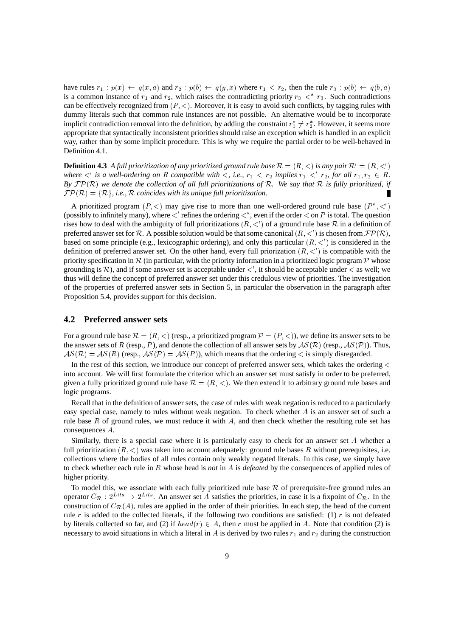have rules  $r_1 : p(x) \leftarrow q(x, a)$  and  $r_2 : p(b) \leftarrow q(y, x)$  where  $r_1 < r_2$ , then the rule  $r_3 : p(b) \leftarrow q(b, a)$ is a common instance of  $r_1$  and  $r_2$ , which raises the contradicting priority  $r_3 < r_3$ . Such contradictions can be effectively recognized from  $(P, <)$ . Moreover, it is easy to avoid such conflicts, by tagging rules with dummy literals such that common rule instances are not possible. An alternative would be to incorporate implicit contradiction removal into the definition, by adding the constraint  $r_1^* \neq r_2^*$ . However, it seems more appropriate that syntactically inconsistent priorities should raise an exception which is handled in an explicit way, rather than by some implicit procedure. This is why we require the partial order to be well-behaved in Definition 4.1.

**Definition 4.3** *A full prioritization of any prioritized ground rule base*  $\mathcal{R} = (R, <)$  *is any pair*  $\mathcal{R}' = (R, <')$ where  $\lt'$  is a well-ordering on R compatible with  $\lt$ , i.e.,  $r_1 \lt r_2$  implies  $r_1 \lt' r_2$ , for all  $r_1, r_2 \in R$ . *By* FP(R) *we denote the collection of all full prioritizations of* <sup>R</sup>*. We say that* <sup>R</sup> *is fully prioritized, if*  $\mathcal{FP}(\mathcal{R}) = \{\mathcal{R}\}\$ , i.e.,  $\mathcal{R}$  *coincides with its unique full prioritization.* 

A prioritized program  $(P, \langle)$  may give rise to more than one well-ordered ground rule base  $(P^*, \langle')$ (possibly to infinitely many), where  $\lt'$  refines the ordering  $\lt^*$ , even if the order  $\lt$  on P is total. The question rises how to deal with the ambiguity of full prioritizations  $(R, \lt')$  of a ground rule base R in a definition of preferred answer set for R. A possible solution would be that some canonical  $(R, \lt')$  is chosen from  $\mathcal{FP}(R)$ , based on some principle (e.g., lexicographic ordering), and only this particular  $(R, \langle \cdot \rangle)$  is considered in the definition of preferred answer set. On the other hand, every full priorization  $(R, \langle \cdot \rangle)$  is compatible with the priority specification in R (in particular, with the priority information in a prioritized logic program  $\mathcal P$  whose grounding is  $\mathcal{R}$ ), and if some answer set is acceptable under  $\lt'$ , it should be acceptable under  $\lt$  as well; we thus will define the concept of preferred answer set under this credulous view of priorities. The investigation of the properties of preferred answer sets in Section 5, in particular the observation in the paragraph after Proposition 5.4, provides support for this decision.

## **4.2 Preferred answer sets**

For a ground rule base  $\mathcal{R} = (R, \leq)$  (resp., a prioritized program  $\mathcal{P} = (P, \leq)$ ), we define its answer sets to be the answer sets of R (resp., P), and denote the collection of all answer sets by  $AS(\mathcal{R})$  (resp.,  $AS(\mathcal{P})$ ). Thus,  $AS(\mathcal{R}) = AS(R)$  (resp.,  $AS(\mathcal{P}) = AS(P)$ ), which means that the ordering  $\lt$  is simply disregarded.

In the rest of this section, we introduce our concept of preferred answer sets, which takes the ordering  $\lt$ into account. We will first formulate the criterion which an answer set must satisfy in order to be preferred, given a fully prioritized ground rule base  $\mathcal{R} = (R, \langle \rangle)$ . We then extend it to arbitrary ground rule bases and logic programs.

Recall that in the definition of answer sets, the case of rules with weak negation is reduced to a particularly easy special case, namely to rules without weak negation. To check whether <sup>A</sup> is an answer set of such a rule base R of ground rules, we must reduce it with  $A$ , and then check whether the resulting rule set has consequences A.

Similarly, there is a special case where it is particularly easy to check for an answer set <sup>A</sup> whether a full prioritization  $(R, \langle \rangle)$  was taken into account adequately: ground rule bases R without prerequisites, i.e. collections where the bodies of all rules contain only weakly negated literals. In this case, we simply have to check whether each rule in <sup>R</sup> whose head is *not* in <sup>A</sup> is *defeated* by the consequences of applied rules of higher priority.

To model this, we associate with each fully prioritized rule base  $R$  of prerequisite-free ground rules an operator  $C_R$  :  $2^{Lits} \rightarrow 2^{Lits}$ . An answer set A satisfies the priorities, in case it is a fixpoint of  $C_R$ . In the construction of  $C_{\mathcal{R}}(A)$ , rules are applied in the order of their priorities. In each step, the head of the current rule r is added to the collected literals, if the following two conditions are satisfied: (1) r is not defeated by literals collected so far, and (2) if  $head(r) \in A$ , then r must be applied in A. Note that condition (2) is necessary to avoid situations in which a literal in A is derived by two rules  $r_1$  and  $r_2$  during the construction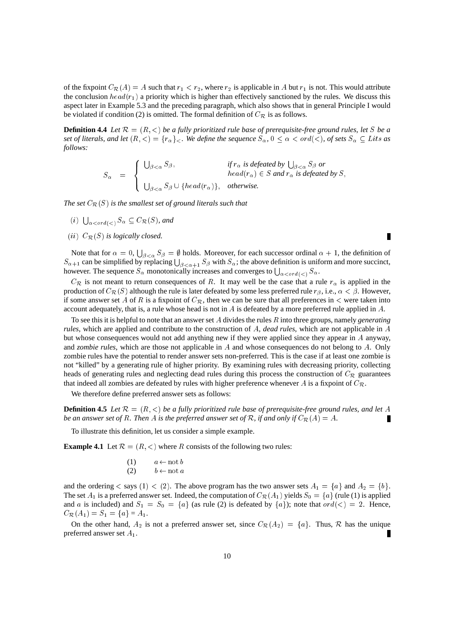of the fixpoint  $C_R(A) = A$  such that  $r_1 < r_2$ , where  $r_2$  is applicable in A but  $r_1$  is not. This would attribute the conclusion  $head(r_1)$  a priority which is higher than effectively sanctioned by the rules. We discuss this aspect later in Example 5.3 and the preceding paragraph, which also shows that in general Principle I would be violated if condition (2) is omitted. The formal definition of  $C_R$  is as follows.

**Definition 4.4** *Let*  $\mathcal{R} = (R, \leq)$  *be a fully prioritized rule base of prerequisite-free ground rules, let* S *be a set of literals, and let*  $(R, \leq) = \{r_{\alpha}\}\leq$ . We define the sequence  $S_{\alpha}$ ,  $0 \leq \alpha \leq \text{ord}(\leq)$ , of sets  $S_{\alpha} \subseteq$  Lits as *follows:*

> $\omega_{\,\alpha}$   $\, \blacksquare$ >:  $\bigcup_{\beta<\alpha}S_{\beta},$  *if*  $r_{\alpha}$  *is defeated by*  $\bigcup_{\beta<\alpha}S_{\beta}$  *or*  $head(r_\alpha) \in S$  and  $r_\alpha$  is defeated by S,<br> $\bigcup_{\beta < \alpha} S_\beta \cup \{head(r_\alpha)\}, \text{ otherwise.}$

*The set*  $C_{\mathcal{R}}(S)$  *is the smallest set of ground literals such that* 

(i)  $\bigcup_{\alpha < ord(<)} S_{\alpha} \subseteq C_{\mathcal{R}}(S)$ *, and* 

<sup>8</sup>

(*ii*)  $C_{\mathcal{R}}(S)$  *is logically closed.* 

Note that for  $\alpha = 0$ ,  $\bigcup_{\beta < \alpha} S_{\beta} = \emptyset$  holds. Moreover, for each successor ordinal  $\alpha + 1$ , the definition of  $S_{\alpha+1}$  can be simplified by replacing  $\bigcup_{\beta<\alpha+1}S_\beta$  with  $S_\alpha$ ; the above definition is uniform and more succinct, however. The sequence  $S_\alpha$  monotonically increases and converges to  $\bigcup_{\alpha < \text{ord}(\le)} S_\alpha$ .

 $C_{\mathcal{R}}$  is not meant to return consequences of R. It may well be the case that a rule  $r_{\alpha}$  is applied in the production of  $C_{\mathcal{R}}(S)$  although the rule is later defeated by some less preferred rule  $r_{\beta}$ , i.e.,  $\alpha < \beta$ . However, if some answer set A of R is a fixpoint of  $C_{\mathcal{R}}$ , then we can be sure that all preferences in  $\lt$  were taken into account adequately, that is, a rule whose head is not in  $A$  is defeated by a more preferred rule applied in  $A$ .

To see this it is helpful to note that an answer set A divides the rules R into three groups, namely *generating rules*, which are applied and contribute to the construction of A, *dead rules*, which are not applicable in A but whose consequences would not add anything new if they were applied since they appear in A anyway, and *zombie rules*, which are those not applicable in A and whose consequences do not belong to A. Only zombie rules have the potential to render answer sets non-preferred. This is the case if at least one zombie is not "killed" by a generating rule of higher priority. By examining rules with decreasing priority, collecting heads of generating rules and neglecting dead rules during this process the construction of  $C_{\mathcal{R}}$  guarantees that indeed all zombies are defeated by rules with higher preference whenever A is a fixpoint of  $C_{\mathcal{R}}$ .

We therefore define preferred answer sets as follows:

**Definition 4.5** *Let*  $\mathcal{R} = (R, \leq)$  *be a fully prioritized rule base of prerequisite-free ground rules, and let* A *be an answer set of R. Then* A *is the preferred answer set of* R, *if and only if*  $C_R(A) = A$ *.* 

To illustrate this definition, let us consider a simple example.

**Example 4.1** Let  $\mathcal{R} = (R, \leq)$  where R consists of the following two rules:

(1)  $a \leftarrow \text{not } b$  $(2)$   $b \leftarrow \text{not } a$ 

and the ordering  $\langle$  says (1)  $\langle$  (2). The above program has the two answer sets  $A_1 = \{a\}$  and  $A_2 = \{b\}$ . The set  $A_1$  is a preferred answer set. Indeed, the computation of  $C_R(A_1)$  yields  $S_0 = \{a\}$  (rule (1) is applied and a is included) and  $S_1 = S_0 = \{a\}$  (as rule (2) is defeated by  $\{a\}$ ); note that  $ord(<) = 2$ . Hence,  $C_{\mathcal{R}}(A_1) = S_1 = \{a\} = A_1.$ 

On the other hand,  $A_2$  is not a preferred answer set, since  $C_R(A_2) = \{a\}$ . Thus, R has the unique preferred answer set  $A_1$ .

П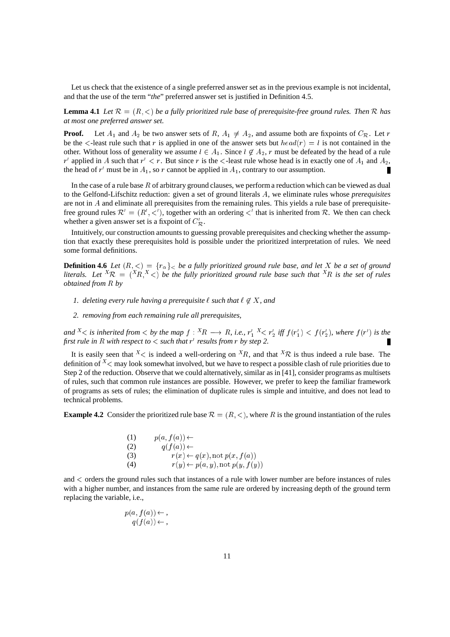Let us check that the existence of a single preferred answer set as in the previous example is not incidental, and that the use of the term "*the*" preferred answer set is justified in Definition 4.5.

**Lemma 4.1** *Let*  $\mathcal{R} = (R, \leq)$  *be a fully prioritized rule base of prerequisite-free ground rules. Then*  $\mathcal{R}$  *has at most one preferred answer set.*

**Proof.** Let  $A_1$  and  $A_2$  be two answer sets of  $R$ ,  $A_1 \neq A_2$ , and assume both are fixpoints of  $C_R$ . Let r be the  $\le$ -least rule such that r is applied in one of the answer sets but  $head(r) = l$  is not contained in the other. Without loss of generality we assume  $l \in A_1$ . Since  $l \notin A_2$ , r must be defeated by the head of a rule r' applied in A such that  $r' < r$ . But since r is the <-least rule whose head is in exactly one of  $A_1$  and  $A_2$ , the head of r' must be in  $A_1$ , so r cannot be applied in  $A_1$ , contrary to our assumption.

In the case of a rule base  $R$  of arbitrary ground clauses, we perform a reduction which can be viewed as dual to the Gelfond-Lifschitz reduction: given a set of ground literals <sup>A</sup>, we eliminate rules whose *prerequisites* are not in  $\vec{A}$  and eliminate all prerequisites from the remaining rules. This yields a rule base of prerequisitefree ground rules  $\mathcal{R}' = (R', \langle \cdot \rangle)$ , together with an ordering  $\langle \cdot \rangle$  that is inherited from  $\mathcal{R}$ . We then can check whether a given answer set is a fixpoint of  $C'_R$ .

Intuitively, our construction amounts to guessing provable prerequisites and checking whether the assumption that exactly these prerequisites hold is possible under the prioritized interpretation of rules. We need some formal definitions.

**Definition 4.6** *Let*  $(R, \leq) = \{r_{\alpha}\}\leq$  *be a fully prioritized ground rule base, and let* X *be a set of ground literals. Let*  ${}^X \mathcal{R} = ({}^X R, {}^X \lt)$  *be the fully prioritized ground rule base such that*  ${}^X R$  *is the set of rules obtained from* R *by*

- *1. deleting every rule having a prerequisite*  $\ell$  *such that*  $\ell \notin X$ *, and*
- *2. removing from each remaining rule all prerequisites,*

and <sup>X</sup> $\lt$  is inherited from  $\lt$  by the map  $f: {}^X R \longrightarrow R$ , i.e.,  $r'_1 \times \lt r'_2$  iff  $f(r'_1) \lt f(r'_2)$ , where  $f(r')$  is the first rule in  $R$  with respect to  $\lt$  such that  $r'$  results from  $r$  by step 2. П

It is easily seen that  $X <$  is indeed a well-ordering on  $X_R$ , and that  $X_R$  is thus indeed a rule base. The definition of  $X<$  may look somewhat involved, but we have to respect a possible clash of rule priorities due to Step 2 of the reduction. Observe that we could alternatively, similar as in [41], consider programs as multisets of rules, such that common rule instances are possible. However, we prefer to keep the familiar framework of programs as sets of rules; the elimination of duplicate rules is simple and intuitive, and does not lead to technical problems.

**Example 4.2** Consider the prioritized rule base  $\mathcal{R} = (R, \leq)$ , where R is the ground instantiation of the rules

(1) 
$$
p(a, f(a)) \leftarrow
$$
  
\n(2)  $q(f(a)) \leftarrow$   
\n(3)  $r(x) \leftarrow q(x), \text{not } p(x, f(a))$   
\n(4)  $r(y) \leftarrow p(a, y), \text{not } p(y, f(y))$ 

and < orders the ground rules such that instances of a rule with lower number are before instances of rules with a higher number, and instances from the same rule are ordered by increasing depth of the ground term replacing the variable, i.e.,

$$
p(a, f(a)) \leftarrow ,
$$
  
 
$$
q(f(a)) \leftarrow ,
$$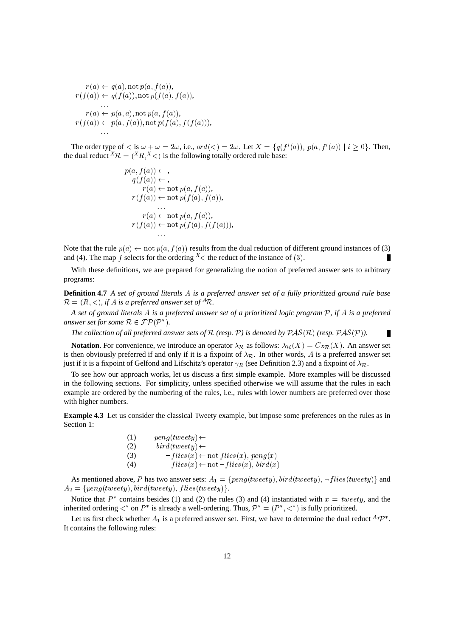$$
r(a) \leftarrow q(a), \text{not } p(a, f(a)),
$$
  
\n
$$
r(f(a)) \leftarrow q(f(a)), \text{not } p(f(a), f(a)),
$$
  
\n...  
\n
$$
r(a) \leftarrow p(a, a), \text{not } p(a, f(a)),
$$
  
\n
$$
r(f(a)) \leftarrow p(a, f(a)), \text{not } p(f(a), f(f(a))),
$$
  
\n...

The order type of  $\lt$  is  $\omega + \omega = 2\omega$ , i.e.,  $ord(\lt) = 2\omega$ . Let  $X = \{q(f^i(a)), p(a, f^i(a)) \mid i \geq 0\}$ . Then, the dual reduct  ${}^{X}R = ({}^{X}R, {}^{X} <)$  is the following totally ordered rule base:

$$
p(a, f(a)) \leftarrow ,
$$
  
\n
$$
q(f(a)) \leftarrow ,
$$
  
\n
$$
r(a) \leftarrow \text{not } p(a, f(a)),
$$
  
\n
$$
r(f(a)) \leftarrow \text{not } p(f(a), f(a)),
$$
  
\n...  
\n
$$
r(a) \leftarrow \text{not } p(a, f(a)),
$$
  
\n
$$
r(f(a)) \leftarrow \text{not } p(f(a), f(f(a))),
$$
  
\n...

Note that the rule  $p(a) \leftarrow$  not  $p(a, f(a))$  results from the dual reduction of different ground instances of (3) and (4). The map f selects for the ordering  $X<$  the reduct of the instance of (3).

With these definitions, we are prepared for generalizing the notion of preferred answer sets to arbitrary programs:

**Definition 4.7** *A set of ground literals* A *is a preferred answer set of a fully prioritized ground rule base*  $\mathcal{R} = (R, <)$ , if A is a preferred answer set of <sup>A</sup>R.

*A set of ground literals* A *is a preferred answer set of a prioritized logic program* <sup>P</sup>*, if* A *is a preferred answer set for some*  $R \in \mathcal{FP}(\mathcal{P}^*)$ *.* 

*The collection of all preferred answer sets of*  $\mathcal{R}$  *(resp.*  $\mathcal{P}$ *) is denoted by*  $\mathcal{PAS}(\mathcal{R})$  *(resp.*  $\mathcal{PAS}(\mathcal{P})$ *).* 

**Notation**. For convenience, we introduce an operator  $\lambda_{\mathcal{R}}$  as follows:  $\lambda_{\mathcal{R}}(X) = C_{X\mathcal{R}}(X)$ . An answer set is then obviously preferred if and only if it is a fixpoint of  $\lambda_{\mathcal{R}}$ . In other words, A is a preferred answer set just if it is a fixpoint of Gelfond and Lifschitz's operator  $\gamma_R$  (see Definition 2.3) and a fixpoint of  $\lambda_R$ .

To see how our approach works, let us discuss a first simple example. More examples will be discussed in the following sections. For simplicity, unless specified otherwise we will assume that the rules in each example are ordered by the numbering of the rules, i.e., rules with lower numbers are preferred over those with higher numbers.

**Example 4.3** Let us consider the classical Tweety example, but impose some preferences on the rules as in Section 1:

| (1) | $peng(tweety) \leftarrow$                        |
|-----|--------------------------------------------------|
| (2) | $bird(tweety) \leftarrow$                        |
| (3) | $\neg flies(x) \leftarrow not files(x), peng(x)$ |
| (4) | $flies(x) \leftarrow not \neg files(x), bird(x)$ |

As mentioned above, P has two answer sets:  $A_1 = \{peng(tweety), bird(tweety), \neg flies(tweety)\}$  and  $A_2 = \{peng(tweety), bird(tweety), files(tweety)\}.$ 

Notice that  $P^*$  contains besides (1) and (2) the rules (3) and (4) instantiated with  $x = \text{tweety}$ , and the inherited ordering  $\lt^*$  on  $P^*$  is already a well-ordering. Thus,  $\mathcal{P}^* = (P^*, \lt^*)$  is fully prioritized.

Let us first check whether  $A_1$  is a preferred answer set. First, we have to determine the dual reduct  ${}^{A_1}P^*$ . It contains the following rules: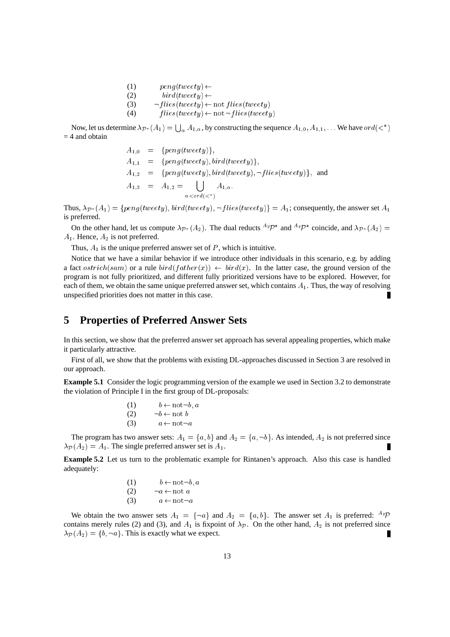- (1)  $peng(tweety) \leftarrow$
- (2) bird(tweety)  $\leftarrow$
- (3)  $\qquad \neg flies(tweety) \leftarrow not files(tweety)$
- (4)  $f lies(tweety) \leftarrow not files(tweety)$

Now, let us determine  $\lambda_{\mathcal{P}^*}(A_1) = \bigcup_{\alpha} A_{1,\alpha}$ , by constructing the sequence  $A_{1,0}, A_{1,1}, \dots$  We have  $ord(<^*)$  $= 4$  and obtain

$$
A_{1,0} = \{peng(tweety)\},
$$
  
\n
$$
A_{1,1} = \{peng(tweety), bird(tweety)\},
$$
  
\n
$$
A_{1,2} = \{peng(tweety), bird(tweety), \neg flies(tweety)\},
$$
 and  
\n
$$
A_{1,3} = A_{1,2} = \bigcup_{\alpha < ord(<*)} A_{1,\alpha}.
$$

Thus,  $\lambda_{\mathcal{P}^*}(A_1) = \{peng(tweety), bird(tweety), \neg flies(tweety)\} = A_1$ ; consequently, the answer set  $A_1$ is preferred.

On the other hand, let us compute  $\lambda_{\mathcal{P}^*}(A_2)$ . The dual reducts  ${}^{A_2}\mathcal{P}^*$  and  ${}^{A_1}\mathcal{P}^*$  coincide, and  $\lambda_{\mathcal{P}^*}(A_2)$  =  $A_1$ . Hence,  $A_2$  is not preferred.

Thus,  $A_1$  is the unique preferred answer set of P, which is intuitive.

Notice that we have a similar behavior if we introduce other individuals in this scenario, e.g. by adding a fact ostrich(sam) or a rule  $bird(father(x)) \leftarrow bird(x)$ . In the latter case, the ground version of the program is not fully prioritized, and different fully prioritized versions have to be explored. However, for each of them, we obtain the same unique preferred answer set, which contains  $A_1$ . Thus, the way of resolving unspecified priorities does not matter in this case.

# **5 Properties of Preferred Answer Sets**

In this section, we show that the preferred answer set approach has several appealing properties, which make it particularly attractive.

First of all, we show that the problems with existing DL-approaches discussed in Section 3 are resolved in our approach.

**Example 5.1** Consider the logic programming version of the example we used in Section 3.2 to demonstrate the violation of Principle I in the first group of DL-proposals:

(1) 
$$
b \leftarrow \text{not } -b, a
$$
  
(2)  $\neg b \leftarrow \text{not } b$   
(3)  $a \leftarrow \text{not } -a$ 

The program has two answer sets:  $A_1 = \{a, b\}$  and  $A_2 = \{a, \neg b\}$ . As intended,  $A_2$  is not preferred since  $\lambda_{\mathcal{P}}(A_2) = A_1$ . The single preferred answer set is  $A_1$ .

**Example 5.2** Let us turn to the problematic example for Rintanen's approach. Also this case is handled adequately:

| (1) | $b \leftarrow \text{not} \neg b, a$ |
|-----|-------------------------------------|
| (2) | $\neg a \leftarrow$ not a           |
| (3) | $a \leftarrow \text{not} \neg a$    |

We obtain the two answer sets  $A_1 = {\tau a}$  and  $A_2 = {a, b}$ . The answer set  $A_1$  is preferred:  ${}^{A_1\mathcal{P}}$ contains merely rules (2) and (3), and  $A_1$  is fixpoint of  $\lambda_p$ . On the other hand,  $A_2$  is not preferred since  $\lambda_{\mathcal{P}}(A_2) = \{b, \neg a\}.$  This is exactly what we expect. П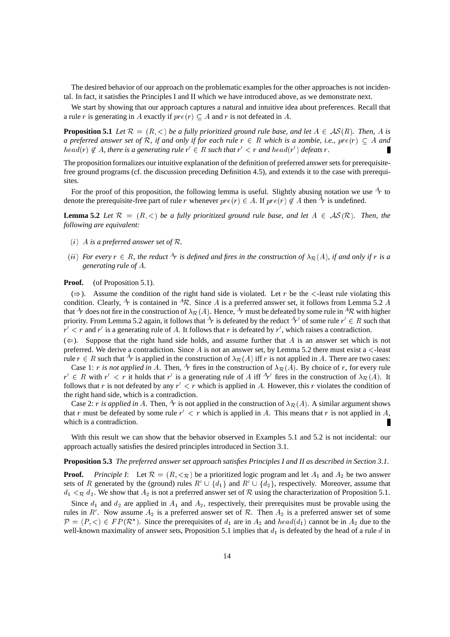The desired behavior of our approach on the problematic examples for the other approaches is not incidental. In fact, it satisfies the Principles I and II which we have introduced above, as we demonstrate next.

We start by showing that our approach captures a natural and intuitive idea about preferences. Recall that a rule r is generating in A exactly if  $pre(r) \subset A$  and r is not defeated in A.

**Proposition 5.1** *Let*  $\mathcal{R} = (R, \leq)$  *be a fully prioritized ground rule base, and let*  $A \in \mathcal{AS}(R)$ *. Then,* A *is a preferred answer set of*  $R$ *, if and only if for each rule*  $r \in R$  *which is a zombie, i.e.,*  $pre(r) \subseteq A$  *and*  $head(r) \not\in A$ , there is a generating rule  $r' \in R$  such that  $r' < r$  and  $head(r')$  defeats  $r$ .

The proposition formalizes our intuitive explanation of the definition of preferred answer sets for prerequisitefree ground programs (cf. the discussion preceding Definition 4.5), and extends it to the case with prerequisites.

For the proof of this proposition, the following lemma is useful. Slightly abusing notation we use  ${}^{A_r}$  to denote the prerequisite-free part of rule r whenever  $pre(r) \in A$ . If  $pre(r) \notin A$  then  ${}^{A}r$  is undefined.

**Lemma 5.2** *Let*  $\mathcal{R} = (R, \leq)$  *be a fully prioritized ground rule base, and let*  $A \in AS(\mathcal{R})$ *. Then, the following are equivalent:*

- (i) A *is a preferred answer set of* <sup>R</sup>*.*
- (*ii*) For every  $r \in R$ , the reduct <sup>A</sup>r is defined and fires in the construction of  $\lambda_R(A)$ , if and only if r is a *generating rule of* A*.*

Proof. (of Proposition 5.1).

 $(\Rightarrow)$ . Assume the condition of the right hand side is violated. Let r be the <-least rule violating this condition. Clearly,  ${}^{A}r$  is contained in  ${}^{A}R$ . Since A is a preferred answer set, it follows from Lemma 5.2 A that  ${}^{A}r$  does not fire in the construction of  $\lambda_{\cal R}(A)$ . Hence,  ${}^{A}r$  must be defeated by some rule in  ${}^{A}R$  with higher priority. From Lemma 5.2 again, it follows that  ${}^{A}r$  is defeated by the reduct  ${}^{A}r'$  of some rule  $r' \in R$  such that  $r' < r$  and r' is a generating rule of A. It follows that r is defeated by r', which raises a contradiction.

 $(\Leftarrow)$ . Suppose that the right hand side holds, and assume further that A is an answer set which is not preferred. We derive a contradiction. Since A is not an answer set, by Lemma 5.2 there must exist a  $\lt$ -least rule  $r \in R$  such that  $r^A r$  is applied in the construction of  $\lambda_{\mathcal{R}}(A)$  iff r is not applied in A. There are two cases:

Case 1: *r is not applied in A*. Then,  ${}^{A}r$  fires in the construction of  $\lambda_{\mathcal{R}}(A)$ . By choice of *r*, for every rule  $r' \in R$  with  $r' < r$  it holds that r' is a generating rule of A iff  $r'$  fires in the construction of  $\lambda_{\mathcal{R}}(A)$ . It follows that r is not defeated by any  $r' < r$  which is applied in A. However, this r violates the condition of the right hand side, which is a contradiction.

Case 2: r *is applied in A*. Then,  ${}^{A}r$  is not applied in the construction of  $\lambda_{\mathcal{R}}(A)$ . A similar argument shows that r must be defeated by some rule  $r' < r$  which is applied in A. This means that r is not applied in A, which is a contradiction.

With this result we can show that the behavior observed in Examples 5.1 and 5.2 is not incidental: our approach actually satisfies the desired principles introduced in Section 3.1.

#### **Proposition 5.3** *The preferred answer set approach satisfies Principles I and II as described in Section 3.1.*

**Proof.** Principle I: Let  $\mathcal{R} = (R, \leq_{\mathcal{R}})$  be a prioritized logic program and let  $A_1$  and  $A_2$  be two answer sets of R generated by the (ground) rules  $R' \cup \{d_1\}$  and  $R' \cup \{d_2\}$ , respectively. Moreover, assume that  $d_1 <sub>R</sub> d_2$ . We show that  $A_2$  is not a preferred answer set of  $R$  using the characterization of Proposition 5.1.

Since  $d_1$  and  $d_2$  are applied in  $A_1$  and  $A_2$ , respectively, their prerequisites must be provable using the rules in R'. Now assume  $A_2$  is a preferred answer set of R. Then  $A_2$  is a preferred answer set of some  $\mathcal{P} = (P, \lt) \in FP(\mathcal{R}^*)$ . Since the prerequisites of  $d_1$  are in  $A_2$  and  $head(d_1)$  cannot be in  $A_2$  due to the well-known maximality of answer sets, Proposition 5.1 implies that  $d_1$  is defeated by the head of a rule d in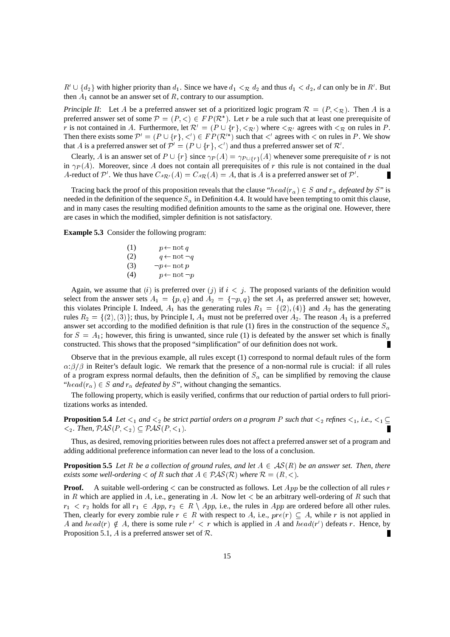$R' \cup \{d_2\}$  with higher priority than  $d_1$ . Since we have  $d_1 < R$  and thus  $d_1 < d_2$ , d can only be in R'. But then  $A_1$  cannot be an answer set of R, contrary to our assumption.

*Principle II*: Let A be a preferred answer set of a prioritized logic program  $\mathcal{R} = (P, \langle \mathcal{R} \rangle)$ . Then A is a preferred answer set of some  $\mathcal{P} = (P, \langle) \in FP(\mathcal{R}^*)$ . Let r be a rule such that at least one prerequisite of r is not contained in A. Furthermore, let  $\mathcal{R}' = (P \cup \{r\}, \langle \mathcal{R}' \rangle)$  where  $\langle \mathcal{R}' \rangle$  agrees with  $\langle \mathcal{R} \rangle$  on rules in P. Then there exists some  $\mathcal{P}' = (P \cup \{r\}, \langle \cdot \rangle \in FP(\mathcal{R}'^*)$  such that  $\langle \cdot \rangle$  agrees with  $\langle \cdot \rangle$  on rules in P. We show that A is a preferred answer set of  $\mathcal{P}' = (P \cup \{r\}, \langle \rangle)$  and thus a preferred answer set of  $\mathcal{R}'$ .

Clearly, A is an answer set of  $P \cup \{r\}$  since  $\gamma_P (A) = \gamma_{P \cup \{r\}} (A)$  whenever some prerequisite of r is not in  $\gamma_P(A)$ . Moreover, since A does not contain all prerequisites of r this rule is not contained in the dual A-reduct of P'. We thus have  $C_{A\mathcal{R}'}(A) = C_{A\mathcal{R}}(A) = A$ , that is A is a preferred answer set of P'. П

Tracing back the proof of this proposition reveals that the clause "head( $r_{\alpha}$ )  $\in$  *S and*  $r_{\alpha}$  defeated by S" is needed in the definition of the sequence  $S_{\alpha}$  in Definition 4.4. It would have been tempting to omit this clause, and in many cases the resulting modified definition amounts to the same as the original one. However, there are cases in which the modified, simpler definition is not satisfactory.

**Example 5.3** Consider the following program:

(1)  $p \leftarrow \text{not } q$ (2)  $q \leftarrow \text{not } \neg q$ (3)  $\neg p \leftarrow \operatorname{not} p$ (4)  $p \leftarrow \text{not } \neg p$ 

Again, we assume that (i) is preferred over (j) if  $i < j$ . The proposed variants of the definition would select from the answer sets  $A_1 = \{p, q\}$  and  $A_2 = \{\neg p, q\}$  the set  $A_1$  as preferred answer set; however, this violates Principle I. Indeed,  $A_1$  has the generating rules  $R_1 = \{(2), (4)\}$  and  $A_2$  has the generating rules  $R_2 = \{(2), (3)\}\;$ ; thus, by Principle I,  $A_1$  must not be preferred over  $A_2$ . The reason  $A_1$  is a preferred answer set according to the modified definition is that rule (1) fires in the construction of the sequence  $S_{\alpha}$ for  $S = A_1$ ; however, this firing is unwanted, since rule (1) is defeated by the answer set which is finally constructed. This shows that the proposed "simplification" of our definition does not work.

Observe that in the previous example, all rules except (1) correspond to normal default rules of the form  $\alpha$ : $\beta/\beta$  in Reiter's default logic. We remark that the presence of a non-normal rule is crucial: if all rules of a program express normal defaults, then the definition of  $S_\alpha$  can be simplified by removing the clause "head( $r_{\alpha}$ )  $\in$  *S and*  $r_{\alpha}$  *defeated by S*", without changing the semantics.

The following property, which is easily verified, confirms that our reduction of partial orders to full prioritizations works as intended.

**Proposition 5.4** *Let*  $\lt_1$  *and*  $\lt_2$  *be strict partial orders on a program* P *such that*  $\lt_2$  *refines*  $\lt_1$ *, i.e.*,  $\lt_1 \subset$  $\langle \langle 2, \text{Then}, \text{PAS}(P, \langle 2 \rangle) \subset \text{PAS}(P, \langle 1 \rangle)$ .

Thus, as desired, removing priorities between rules does not affect a preferred answer set of a program and adding additional preference information can never lead to the loss of a conclusion.

**Proposition 5.5** Let R be a collection of ground rules, and let  $A \in AS(R)$  be an answer set. Then, there *exists some well-ordering*  $\lt$  *of* R *such that*  $A \in \mathcal{PAS}(\mathcal{R})$  *where*  $\mathcal{R} = (R, \lt)$ *.* 

**Proof.** A suitable well-ordering  $\lt$  can be constructed as follows. Let  $App$  be the collection of all rules r in R which are applied in A, i.e., generating in A. Now let  $\lt$  be an arbitrary well-ordering of R such that  $r_1 < r_2$  holds for all  $r_1 \in App$ ,  $r_2 \in R \setminus App$ , i.e., the rules in App are ordered before all other rules. Then, clearly for every zombie rule  $r \in R$  with respect to A, i.e.,  $pre(r) \subseteq A$ , while r is not applied in A and  $head(r) \notin A$ , there is some rule  $r' < r$  which is applied in A and  $head(r')$  defeats r. Hence, by Proposition 5.1, A is a preferred answer set of  $\mathcal{R}$ .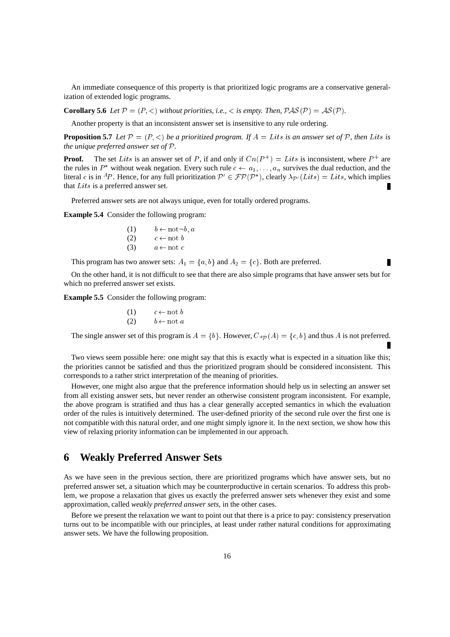An immediate consequence of this property is that prioritized logic programs are a conservative generalization of extended logic programs.

**Corollary 5.6** *Let*  $\mathcal{P} = (P, \langle)$  *without priorities, i.e.,*  $\langle$  *is empty. Then,*  $PAS(\mathcal{P}) = AS(\mathcal{P})$ *.* 

Another property is that an inconsistent answer set is insensitive to any rule ordering.

**Proposition 5.7** Let  $\mathcal{P} = (P, \leq)$  be a prioritized program. If  $A =$  Lits is an answer set of  $\mathcal{P}$ , then Lits is *the unique preferred answer set of* <sup>P</sup>*.*

**Proof.** The set Lits is an answer set of P, if and only if  $C_n(P^+) = \text{Lits}$  is inconsistent, where  $P^+$  are the rules in  $P^*$  without weak negation. Every such rule  $c \leftarrow a_1, \ldots, a_n$  survives the dual reduction, and the literal c is in <sup>A</sup>P. Hence, for any full prioritization  $P' \in \mathcal{FP}(\mathcal{P}^*)$ , clearly  $\lambda_{\mathcal{P}'}(List) = List$ , which implies that Lits is a preferred answer set.

Preferred answer sets are not always unique, even for totally ordered programs.

**Example 5.4** Consider the following program:

| (1) | $b \leftarrow \text{not} \neg b, a$ |
|-----|-------------------------------------|
| (2) | $c \leftarrow \text{not } b$        |
| (3) | $a \leftarrow \text{not } c$        |

This program has two answer sets:  $A_1 = \{a, b\}$  and  $A_2 = \{c\}$ . Both are preferred.

On the other hand, it is not difficult to see that there are also simple programs that have answer sets but for which no preferred answer set exists.

**Example 5.5** Consider the following program:

(1) 
$$
c \leftarrow \text{not } b
$$
  
(2)  $b \leftarrow \text{not } a$ 

The single answer set of this program is  $A = \{b\}$ . However,  $C_{AP}(A) = \{c, b\}$  and thus A is not preferred.

Two views seem possible here: one might say that this is exactly what is expected in a situation like this; the priorities cannot be satisfied and thus the prioritized program should be considered inconsistent. This corresponds to a rather strict interpretation of the meaning of priorities.

However, one might also argue that the preference information should help us in selecting an answer set from all existing answer sets, but never render an otherwise consistent program inconsistent. For example, the above program is stratified and thus has a clear generally accepted semantics in which the evaluation order of the rules is intuitively determined. The user-defined priority of the second rule over the first one is not compatible with this natural order, and one might simply ignore it. In the next section, we show how this view of relaxing priority information can be implemented in our approach.

## **6 Weakly Preferred Answer Sets**

As we have seen in the previous section, there are prioritized programs which have answer sets, but no preferred answer set, a situation which may be counterproductive in certain scenarios. To address this problem, we propose a relaxation that gives us exactly the preferred answer sets whenever they exist and some approximation, called *weakly preferred answer sets*, in the other cases.

Before we present the relaxation we want to point out that there is a price to pay: consistency preservation turns out to be incompatible with our principles, at least under rather natural conditions for approximating answer sets. We have the following proposition.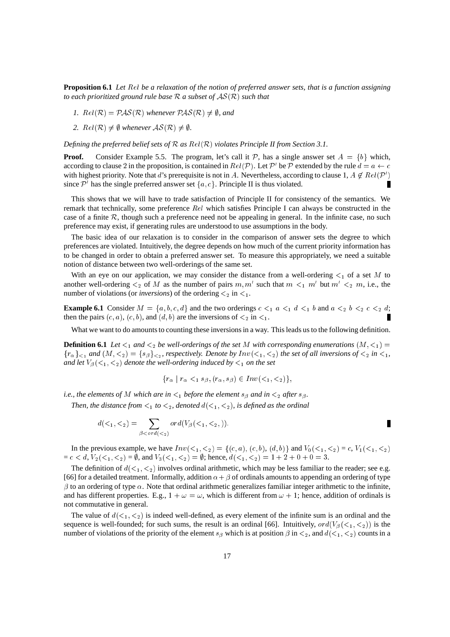**Proposition 6.1** *Let* Rel *be a relaxation of the notion of preferred answer sets, that is a function assigning to each prioritized ground rule base* <sup>R</sup> *a subset of* AS(R) *such that*

- *1.*  $Rel(R) = PAS(R)$  whenever  $PAS(R) \neq \emptyset$ , and
- 2.  $Rel(R) \neq \emptyset$  *whenever*  $AS(R) \neq \emptyset$ .

*Defining the preferred belief sets of* <sup>R</sup> *as* Rel(R) *violates Principle II from Section 3.1.*

**Proof.** Consider Example 5.5. The program, let's call it  $P$ , has a single answer set  $A = \{b\}$  which, according to clause 2 in the proposition, is contained in  $Rel(\mathcal{P})$ . Let  $\mathcal{P}'$  be  $\mathcal{P}$  extended by the rule  $d = a \leftarrow c$ with highest priority. Note that d's prerequisite is not in A. Nevertheless, according to clause 1,  $A \notin Rel(\mathcal{P}')$ since  $\mathcal{P}'$  has the single preferred answer set  $\{a, c\}$ . Principle II is thus violated.

This shows that we will have to trade satisfaction of Principle II for consistency of the semantics. We remark that technically, some preference Rel which satisfies Principle I can always be constructed in the case of a finite  $R$ , though such a preference need not be appealing in general. In the infinite case, no such preference may exist, if generating rules are understood to use assumptions in the body.

The basic idea of our relaxation is to consider in the comparison of answer sets the degree to which preferences are violated. Intuitively, the degree depends on how much of the current priority information has to be changed in order to obtain a preferred answer set. To measure this appropriately, we need a suitable notion of distance between two well-orderings of the same set.

With an eye on our application, we may consider the distance from a well-ordering  $\lt_1$  of a set M to another well-ordering  $\leq_2$  of M as the number of pairs m, m' such that  $m \leq_1 m'$  but  $m' \leq_2 m$ , i.e., the number of violations (or *inversions*) of the ordering  $\lt_2$  in  $\lt_1$ .

**Example 6.1** Consider  $M = \{a, b, c, d\}$  and the two orderings  $c \leq_1 a \leq_1 d \leq_1 b$  and  $a \leq_2 b \leq_2 c \leq_2 d$ ; then the pairs  $(c, a)$ ,  $(c, b)$ , and  $(d, b)$  are the inversions of  $\lt_2$  in  $\lt_1$ .

What we want to do amounts to counting these inversions in a way. This leads us to the following definition.

**Definition 6.1** *Let*  $\lt_1$  *and*  $\lt_2$  *be well-orderings of the set* M *with corresponding enumerations*  $(M, \lt_1)$  =  ${r_{\alpha}}_{\alpha}\}_{\alpha}$  and  $(M, \leq_2) = {s_{\beta}}_{\alpha}$ , respectively. Denote by  $Inv(<_1, <_2)$  the set of all inversions of  $\leq_2$  in  $\leq_1$ , *and let*  $V_\beta(\langle \cdot_1, \cdot \rangle)$  *denote the well-ordering induced by*  $\langle \cdot \rangle$  *on the set* 

$$
\{r_{\alpha} \mid r_{\alpha} <_1 s_{\beta}, (r_{\alpha}, s_{\beta}) \in Inv(<_1, <_2) \},
$$

*i.e., the elements of* M *which are in*  $\lt_1$  *before the element*  $s_\beta$  *and in*  $\lt_2$  *after*  $s_\beta$ *.* 

*Then, the distance from*  $\lt_1$  *to*  $\lt_2$ *, denoted*  $d(\lt_1, \lt_2)$ *, is defined as the ordinal* 

$$
d(\langle 1, \langle 2 \rangle) = \sum_{\beta < ord(\langle 2 \rangle)} ord(V_{\beta}(\langle 1, \langle 2 \rangle)).
$$

In the previous example, we have  $Inv(<sub>1</sub>, <sub>2</sub>) = \{(c, a), (c, b), (d, b)\}$  and  $V_0(<sub>1</sub>, <sub>2</sub>) = c, V_1(<sub>1</sub>, <sub>2</sub>)$  $c < d$ ,  $V_2(\langle 1, \langle 2 \rangle) = \emptyset$ , and  $V_3(\langle 1, \langle 2 \rangle) = \emptyset$ ; hence,  $d(\langle 1, \langle 2 \rangle) = 1 + 2 + 0 + 0 = 3$ .

The definition of  $d(\langle 1, \langle 2 \rangle)$  involves ordinal arithmetic, which may be less familiar to the reader; see e.g. [66] for a detailed treatment. Informally, addition  $\alpha + \beta$  of ordinals amounts to appending an ordering of type  $\beta$  to an ordering of type  $\alpha$ . Note that ordinal arithmetic generalizes familiar integer arithmetic to the infinite, and has different properties. E.g.,  $1 + \omega = \omega$ , which is different from  $\omega + 1$ ; hence, addition of ordinals is not commutative in general.

The value of  $d\left(\langle 1, \langle 2 \rangle\right)$  is indeed well-defined, as every element of the infinite sum is an ordinal and the sequence is well-founded; for such sums, the result is an ordinal [66]. Intuitively,  $ord(V_{\beta}(<sub>1</sub>, <sub>2</sub>))$  is the number of violations of the priority of the element  $s_\beta$  which is at position  $\beta$  in  $\lt_2$ , and  $d(\lt_1, \lt_2)$  counts in a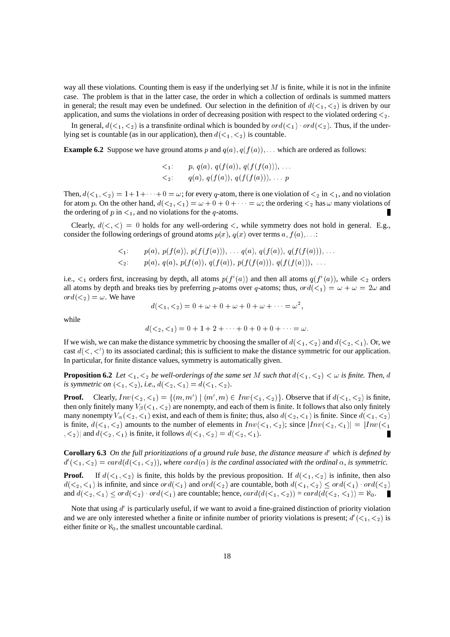way all these violations. Counting them is easy if the underlying set  $M$  is finite, while it is not in the infinite case. The problem is that in the latter case, the order in which a collection of ordinals is summed matters in general; the result may even be undefined. Our selection in the definition of  $d(\langle 1, \langle 2 \rangle)$  is driven by our application, and sums the violations in order of decreasing position with respect to the violated ordering  $\lt_2$ .

In general,  $d(\langle 1, \langle 2 \rangle)$  is a transfinite ordinal which is bounded by  $ord(\langle 1 \rangle \cdot ord(\langle 2 \rangle)$ . Thus, if the underlying set is countable (as in our application), then  $d(\langle 1, \langle 2 \rangle)$  is countable.

**Example 6.2** Suppose we have ground atoms p and  $q(a), q(f(a)), \ldots$  which are ordered as follows:

$$
\begin{array}{ll}\n\leq_1: & p, q(a), q(f(a)), q(f(f(a))), \dots \\
\leq_2: & q(a), q(f(a)), q(f(f(a))), \dots p\n\end{array}
$$

Then,  $d(\langle 1, \langle 2 \rangle) = 1 + 1 + \cdots + 0 = \omega$ ; for every q-atom, there is one violation of  $\langle 2 \rangle$  in  $\langle 1 \rangle$ , and no violation for atom p. On the other hand,  $d(<sub>2</sub>, <sub>1</sub>) = \omega + 0 + 0 + \cdots = \omega$ ; the ordering  $\lt_2$  has  $\omega$  many violations of the ordering of p in  $\lt_1$ , and no violations for the q-atoms.

Clearly,  $d\langle \langle , \langle \rangle \rangle = 0$  holds for any well-ordering  $\langle ,$  while symmetry does not hold in general. E.g., consider the following orderings of ground atoms  $p(x)$ ,  $q(x)$  over terms  $a, f(a), \ldots$ :

$$
\begin{aligned}\n&\langle 1: & p(a), & p(f(a)), & p(f(f(a))), & \ldots & q(a), & q(f(a)), & q(f(f(a))), \ldots \\
&&< & 2: & p(a), & q(a), & p(f(a)), & q(f(f(a))), & q(f(f(a))), & q(f(f(a))), & \ldots\n\end{aligned}
$$

i.e.,  $\lt_1$  orders first, increasing by depth, all atoms  $p(f^i(a))$  and then all atoms  $q(f^i(a))$ , while  $\lt_2$  orders all atoms by depth and breaks ties by preferring p-atoms over q-atoms; thus,  $ord(<sub>1</sub>) = \omega + \omega = 2\omega$  and  $ord(<sub>2</sub>) = \omega$ . We have

$$
d(1, 2) = 0 + \omega + 0 + \omega + 0 + \omega + \cdots = \omega^{2},
$$

while

$$
d(2, 1) = 0 + 1 + 2 + \cdots + 0 + 0 + 0 + \cdots = \omega.
$$

If we wish, we can make the distance symmetric by choosing the smaller of  $d(\langle 1, \langle 2 \rangle)$  and  $d(\langle 2, \langle 1 \rangle)$ . Or, we cast  $d\langle \langle \cdot, \cdot \rangle$  to its associated cardinal; this is sufficient to make the distance symmetric for our application. In particular, for finite distance values, symmetry is automatically given.

**Proposition 6.2** *Let*  $\lt_1, \lt_2$  *be well-orderings of the same set* M *such that*  $d(\lt_1, \lt_2) < \omega$  *is finite. Then,* d *is symmetric on*  $(<_1, <_2)$ *, i.e.,*  $d(<_2, <_1) = d(<_1, <_2)$ *.* 

**Proof.** Clearly,  $Inv(\leq_2, \leq_1) = \{(m, m') \mid (m', m) \in Inv(\leq_1, \leq_2)\}\)$ . Observe that if  $d(\leq_1, \leq_2)$  is finite, then only finitely many  $V_\beta(\langle 1,\langle 2\rangle)$  are nonempty, and each of them is finite. It follows that also only finitely many nonempty  $V_\alpha(\langle 1, \langle 1 \rangle)$  exist, and each of them is finite; thus, also  $d(\langle 2, \langle 1 \rangle)$  is finite. Since  $d(\langle 1, \langle 2 \rangle)$ is finite,  $d(\langle 1, \langle 2 \rangle)$  amounts to the number of elements in  $Inv(\langle 1, \langle 2 \rangle)$ ; since  $|Inv(\langle 2, \langle 1 \rangle) | = |Inv(\langle 1, \rangle) |$  $|z_1, z_2|$  and  $d(z_1, z_1)$  is finite, it follows  $d(z_1, z_2) = d(z_2, z_1)$ .

**Corollary 6.3** On the full prioritizations of a ground rule base, the distance measure d' which is defined by  $d'(\langle 1, \langle 2 \rangle) = card(d(\langle 1, \langle 2 \rangle))$ , where  $card(\alpha)$  is the cardinal associated with the ordinal  $\alpha$ , is symmetric.

If  $d(\langle 1, \langle 2 \rangle)$  is finite, this holds by the previous proposition. If  $d(\langle 1, \langle 2 \rangle)$  is infinite, then also  $d(\langle 2, \langle 1 \rangle)$  is infinite, and since  $ord(\langle 1 \rangle)$  and  $ord(\langle 2 \rangle)$  are countable, both  $d(\langle 1, \langle 2 \rangle) \leq ord(\langle 1 \rangle) \cdot ord(\langle 2 \rangle)$ and  $d(\langle 2, \langle 1 \rangle \leq \text{ord}(\langle 2) \cdot \text{ord}(\langle 1 \rangle))$  are countable; hence,  $\text{card}(d(\langle 1, \langle 2 \rangle)) = \text{card}(d(\langle 2, \langle 1 \rangle)) = \aleph_0$ . П

Note that using  $d'$  is particularly useful, if we want to avoid a fine-grained distinction of priority violation and we are only interested whether a finite or infinite number of priority violations is present;  $d'(\langle 1, \langle 2 \rangle)$  is either finite or  $\aleph_0$ , the smallest uncountable cardinal.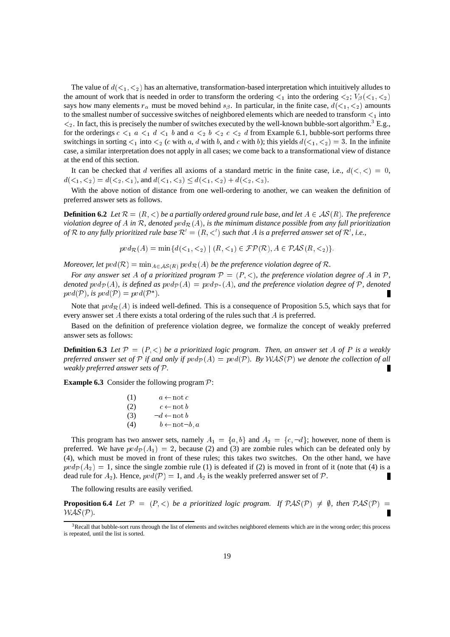The value of  $d(\langle 1, \langle 2 \rangle)$  has an alternative, transformation-based interpretation which intuitively alludes to the amount of work that is needed in order to transform the ordering  $\lt_1$  into the ordering  $\lt_2$ ;  $V_\beta(\lt_1, \lt_2)$ says how many elements  $r_{\alpha}$  must be moved behind  $s_{\beta}$ . In particular, in the finite case,  $d(\langle 1, \langle 2 \rangle)$  amounts to the smallest number of successive switches of neighbored elements which are needed to transform  $\lt_1$  into  $\langle 2, \text{In fact, this is precisely the number of switches executed by the well-known bubble-sort algorithm.<sup>3</sup> E.g.,$ for the orderings  $c \leq_1 a \leq_1 d \leq_1 b$  and  $a \leq_2 b \leq_2 c \leq_2 d$  from Example 6.1, bubble-sort performs three switchings in sorting  $\lt_1$  into  $\lt_2$  (c with a, d with b, and c with b); this yields  $d(\lt_1, \lt_2) = 3$ . In the infinite case, a similar interpretation does not apply in all cases; we come back to a transformational view of distance at the end of this section.

It can be checked that d verifies all axioms of a standard metric in the finite case, i.e.,  $d(<, <) = 0$ ,  $d(<_1, <_2) = d(<_2, <_1)$ , and  $d(<_1, <_3) \leq d(<_1, <_2) + d(<_2, <_3)$ .

With the above notion of distance from one well-ordering to another, we can weaken the definition of preferred answer sets as follows.

**Definition 6.2** *Let*  $\mathcal{R} = (R, \leq)$  *be a partially ordered ground rule base, and let*  $A \in \mathcal{AS}(R)$ *. The preference violation degree of* A *in* R, denoted  $\text{pvd}_{\mathcal{R}}(A)$ , is the minimum distance possible from any full prioritization *of*  $R$  *to any fully prioritized rule base*  $R' = (R, \lt')$  *such that*  $A$  *is a preferred answer set of*  $R'$ *, i.e.,* 

$$
pvd_{\mathcal{R}}(A) = \min\{d(<_1, <_2) \mid (R, <_1) \in \mathcal{FP}(\mathcal{R}), A \in \mathcal{PAS}(R, <_2)\}.
$$

*Moreover, let*  $pvd(\mathcal{R}) = \min_{A \in AS(R)} pvd_{\mathcal{R}}(A)$  *be the preference violation degree of*  $\mathcal{R}$ *.* 

*For any answer set* A *of a prioritized program*  $P = (P, \leq)$ *, the preference violation degree of* A *in* P, *denoted*  $pvd_{\mathcal{P}}(A)$ *, is defined as*  $pvd_{\mathcal{P}}(A) = pvd_{\mathcal{P}^*}(A)$ *, and the preference violation degree of*  $\mathcal{P}$ *, denoted*  $\text{pvd}(\mathcal{P})$ *, is*  $\text{pvd}(\mathcal{P}) = \text{pvd}(\mathcal{P}^*)$ *.* 

Note that  $pvd_R(A)$  is indeed well-defined. This is a consequence of Proposition 5.5, which says that for every answer set A there exists a total ordering of the rules such that A is preferred.

Based on the definition of preference violation degree, we formalize the concept of weakly preferred answer sets as follows:

**Definition 6.3** Let  $P = (P, \langle \rangle)$  be a prioritized logic program. Then, an answer set A of P is a weakly *preferred answer set of* P *if and only if*  $pvd_{\mathcal{P}}(A) = pd(\mathcal{P})$ *. By WAS*(P) we denote the collection of all *weakly preferred answer sets of* <sup>P</sup>*.*

**Example 6.3** Consider the following program  $P$ :

| (1) | $a \leftarrow \text{not } c$        |
|-----|-------------------------------------|
| (2) | $c \leftarrow \operatorname{not} b$ |
| (3) | $\neg d \leftarrow$ not b           |
| (4) | $b \leftarrow \text{not} \neg b, a$ |

This program has two answer sets, namely  $A_1 = \{a, b\}$  and  $A_2 = \{c, \neg d\}$ ; however, none of them is preferred. We have  $pvd_{\mathcal{P}}(A_1) = 2$ , because (2) and (3) are zombie rules which can be defeated only by (4), which must be moved in front of these rules; this takes two switches. On the other hand, we have  $pvd_p(A_2) = 1$ , since the single zombie rule (1) is defeated if (2) is moved in front of it (note that (4) is a dead rule for  $A_2$ ). Hence,  $pvd(\mathcal{P}) = 1$ , and  $A_2$  is the weakly preferred answer set of  $\mathcal{P}$ . П

The following results are easily verified.

**Proposition 6.4** *Let*  $P = (P, \langle \rangle)$  *be a prioritized logic program. If*  $PAS(P) \neq \emptyset$ *, then*  $PAS(P) =$  $WAS(\mathcal{P})$ .

 $3$ Recall that bubble-sort runs through the list of elements and switches neighbored elements which are in the wrong order; this process is repeated, until the list is sorted.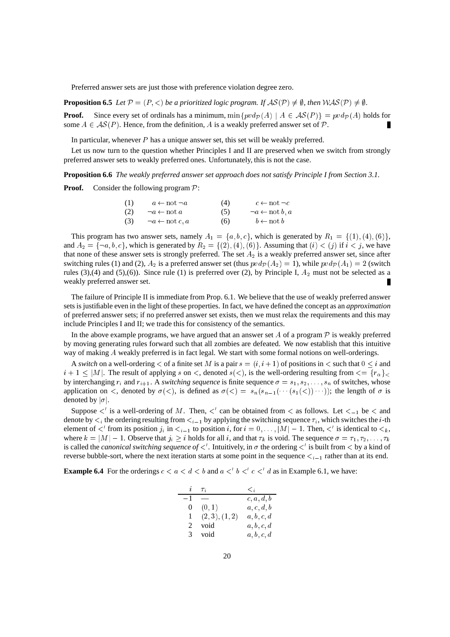Preferred answer sets are just those with preference violation degree zero.

**Proposition 6.5** *Let*  $\mathcal{P} = (P, \langle \rangle)$  *be a prioritized logic program. If*  $AS(\mathcal{P}) \neq \emptyset$ *, then*  $WAS(\mathcal{P}) \neq \emptyset$ *.* 

**Proof.** Since every set of ordinals has a minimum,  $\min\{pvd_{\mathcal{P}}(A) \mid A \in \mathcal{AS}(P)\} = pvd_{\mathcal{P}}(A)$  holds for some  $A \in \mathcal{AS}(P)$ . Hence, from the definition, A is a weakly preferred answer set of P.

In particular, whenever  $P$  has a unique answer set, this set will be weakly preferred.

Let us now turn to the question whether Principles I and II are preserved when we switch from strongly preferred answer sets to weakly preferred ones. Unfortunately, this is not the case.

**Proposition 6.6** *The weakly preferred answer set approach does not satisfy Principle I from Section 3.1.*

**Proof.** Consider the following program  $P$ :

| (1) | $a \leftarrow \text{not } \neg a$    | (4) | $c \leftarrow \text{not } \neg c$    |
|-----|--------------------------------------|-----|--------------------------------------|
| (2) | $\neg a \leftarrow \text{not } a$    | (5) | $\neg a \leftarrow \text{not } b, a$ |
| (3) | $\neg a \leftarrow \text{not } c, a$ | (6) | $b \leftarrow \text{not } b$         |

This program has two answer sets, namely  $A_1 = \{a, b, c\}$ , which is generated by  $R_1 = \{(1), (4), (6)\}$ , and  $A_2 = \{ \neg a, b, c \}$ , which is generated by  $R_2 = \{(2), (4), (6)\}$ . Assuming that  $(i) < (j)$  if  $i < j$ , we have that none of these answer sets is strongly preferred. The set  $A_2$  is a weakly preferred answer set, since after switching rules (1) and (2),  $A_2$  is a preferred answer set (thus  $pvdp(A_2) = 1$ ), while  $pvdp(A_1) = 2$  (switch rules (3),(4) and (5),(6)). Since rule (1) is preferred over (2), by Principle I,  $A_2$  must not be selected as a weakly preferred answer set.

The failure of Principle II is immediate from Prop. 6.1. We believe that the use of weakly preferred answer sets is justifiable even in the light of these properties. In fact, we have defined the concept as an *approximation* of preferred answer sets; if no preferred answer set exists, then we must relax the requirements and this may include Principles I and II; we trade this for consistency of the semantics.

In the above example programs, we have argued that an answer set  $A$  of a program  $P$  is weakly preferred by moving generating rules forward such that all zombies are defeated. We now establish that this intuitive way of making <sup>A</sup> weakly preferred is in fact legal. We start with some formal notions on well-orderings.

A *switch* on a well-ordering  $\lt$  of a finite set M is a pair  $s = (i, i + 1)$  of positions in  $\lt$  such that  $0 \lt i$  and  $i + 1 \leq |M|$ . The result of applying s on  $\lt$ , denoted  $s(\lt)$ , is the well-ordering resulting from  $\lt = \{r_{\alpha}\}_{\lt}$ by interchanging  $r_i$  and  $r_{i+1}$ . A *switching sequence* is finite sequence  $\sigma = s_1, s_2, \ldots, s_n$  of switches, whose application on  $\lt$ , denoted by  $\sigma(\lt)$ , is defined as  $\sigma(\lt) = s_n(s_{n-1}(\cdots(s_1(\lt))\cdots))$ ; the length of  $\sigma$  is denoted by  $|\sigma|$ .

Suppose  $\lt'$  is a well-ordering of M. Then,  $\lt'$  can be obtained from  $\lt$  as follows. Let  $\lt_{-1}$  be  $\lt$  and denote by  $\lt_i$  the ordering resulting from  $\lt_{i-1}$  by applying the switching sequence  $\tau_i$ , which switches the *i*-th element of  $\lt'$  from its position  $j_i$  in  $\lt_{i-1}$  to position i, for  $i = 0, \ldots, |M|-1$ . Then,  $\lt'$  is identical to  $\lt_k$ , where  $k = |M|-1$ . Observe that  $j_i \geq i$  holds for all i, and that  $\tau_k$  is void. The sequence  $\sigma = \tau_1, \tau_2, \ldots, \tau_k$ is called the *canonical switching sequence of*  $\lt'$ . Intuitively, in  $\sigma$  the ordering  $\lt'$  is built from  $\lt$  by a kind of reverse bubble-sort, where the next iteration starts at some point in the sequence  $\langle i-1 \rangle$  rather than at its end.

**Example 6.4** For the orderings  $c < a < d < b$  and  $a < b < c < d$  as in Example 6.1, we have:

| $\hat{i}$      | $\tau_i$     | $\lt_i$    |
|----------------|--------------|------------|
| $-1$           |              | c, a, d, b |
| 0              | (0,1)        | a,c,d,b    |
| 1              | (2,3), (1,2) | a, b, c, d |
| $\mathfrak{D}$ | void         | a,b,c,d    |
| 3              | void         | a, b, c, d |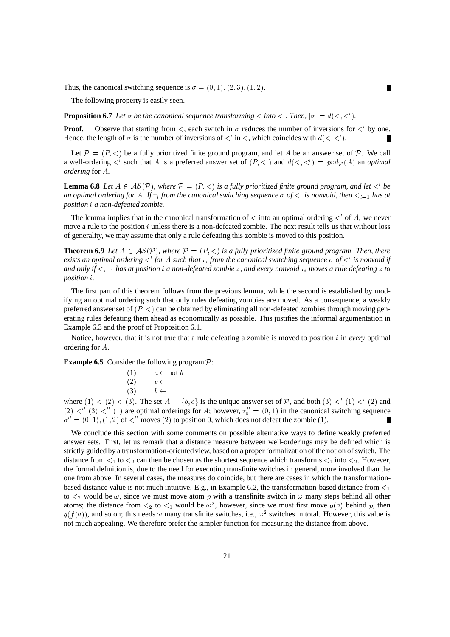Thus, the canonical switching sequence is  $\sigma = (0, 1), (2, 3), (1, 2)$ .

The following property is easily seen.

**Proposition 6.7** Let  $\sigma$  be the canonical sequence transforming  $\lt$  into  $\lt'$ . Then,  $|\sigma| = d(\lt, \lt')$ .

**Proof.** Observe that starting from  $\lt$ , each switch in  $\sigma$  reduces the number of inversions for  $\lt'$  by one. Hence, the length of  $\sigma$  is the number of inversions of  $\langle \cdot \rangle$  in  $\langle$ , which coincides with  $d(\langle \cdot, \langle \cdot \rangle)$ .

Let  $\mathcal{P} = (P, \langle)$  be a fully prioritized finite ground program, and let A be an answer set of P. We call a well-ordering  $\langle$  such that A is a preferred answer set of  $(P, \langle')$  and  $d(\langle, \langle' \rangle) = \text{pvd}_{\mathcal{P}}(A)$  an *optimal ordering* for <sup>A</sup>.

**Lemma 6.8** *Let*  $A \in \mathcal{AS}(\mathcal{P})$ *, where*  $\mathcal{P} = (P, \leq)$  *is a fully prioritized finite ground program, and let*  $\leq'$  *be an optimal ordering for* A. If  $\tau_i$  from the canonical switching sequence  $\sigma$  of  $\lt'$  is nonvoid, then  $\lt_{i-1}$  has at *position* i *a non-defeated zombie.*

The lemma implies that in the canonical transformation of  $\lt$  into an optimal ordering  $\lt'$  of A, we never move a rule to the position i unless there is a non-defeated zombie. The next result tells us that without loss of generality, we may assume that only a rule defeating this zombie is moved to this position.

**Theorem 6.9** Let  $A \in AS(\mathcal{P})$ *, where*  $\mathcal{P} = (P, \leq)$  *is a fully prioritized finite ground program. Then, there exists an optimal ordering*  $\lt'$  *for* A *such that*  $\tau_i$  *from the canonical switching sequence*  $\sigma$  *of*  $\lt'$  *is nonvoid if* and only if  $\lt_{i-1}$  has at position i a non-defeated zombie z, and every nonvoid  $\tau_i$  moves a rule defeating z to *position* <sup>i</sup>*.*

The first part of this theorem follows from the previous lemma, while the second is established by modifying an optimal ordering such that only rules defeating zombies are moved. As a consequence, a weakly preferred answer set of  $(P, \langle \rangle)$  can be obtained by eliminating all non-defeated zombies through moving generating rules defeating them ahead as economically as possible. This justifies the informal argumentation in Example 6.3 and the proof of Proposition 6.1.

Notice, however, that it is not true that a rule defeating a zombie is moved to position i in *every* optimal ordering for <sup>A</sup>.

**Example 6.5** Consider the following program  $P$ :

| (1) | $a \leftarrow \text{not } b$ |
|-----|------------------------------|
| (2) | $c \leftarrow$               |
| (3) | $b \leftarrow$               |

where  $(1) < (2) < (3)$ . The set  $A = \{b, c\}$  is the unique answer set of P, and both  $(3) < (1) < (2)$  and  $(2) <''$   $(3) <''$   $(1)$  are optimal orderings for A; however,  $\tau_0'' = (0, 1)$  in the canonical switching sequence  $\sigma'' = (0, 1), (1, 2)$  of  $\lt''$  moves (2) to position 0, which does not defeat the zombie (1).

We conclude this section with some comments on possible alternative ways to define weakly preferred answer sets. First, let us remark that a distance measure between well-orderings may be defined which is strictly guided by a transformation-oriented view, based on a proper formalization of the notion of switch. The distance from  $\leq_1$  to  $\leq_2$  can then be chosen as the shortest sequence which transforms  $\leq_1$  into  $\leq_2$ . However, the formal definition is, due to the need for executing transfinite switches in general, more involved than the one from above. In several cases, the measures do coincide, but there are cases in which the transformationbased distance value is not much intuitive. E.g., in Example 6.2, the transformation-based distance from  $\leq_1$ to  $\lt_2$  would be  $\omega$ , since we must move atom p with a transfinite switch in  $\omega$  many steps behind all other atoms; the distance from  $\lt_2$  to  $\lt_1$  would be  $\omega^2$ , however, since we must first move  $q(a)$  behind p, then  $q(f(a))$ , and so on; this needs  $\omega$  many transfinite switches, i.e.,  $\omega^2$  switches in total. However, this value is not much appealing. We therefore prefer the simpler function for measuring the distance from above.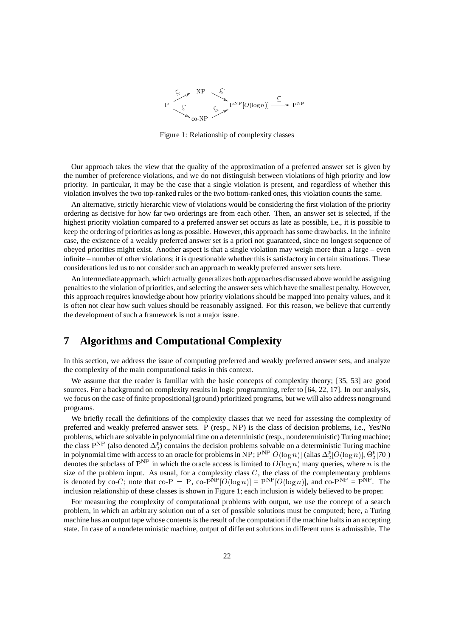

Figure 1: Relationship of complexity classes

Our approach takes the view that the quality of the approximation of a preferred answer set is given by the number of preference violations, and we do not distinguish between violations of high priority and low priority. In particular, it may be the case that a single violation is present, and regardless of whether this violation involves the two top-ranked rules or the two bottom-ranked ones, this violation counts the same.

An alternative, strictly hierarchic view of violations would be considering the first violation of the priority ordering as decisive for how far two orderings are from each other. Then, an answer set is selected, if the highest priority violation compared to a preferred answer set occurs as late as possible, i.e., it is possible to keep the ordering of priorities as long as possible. However, this approach has some drawbacks. In the infinite case, the existence of a weakly preferred answer set is a priori not guaranteed, since no longest sequence of obeyed priorities might exist. Another aspect is that a single violation may weigh more than a large – even infinite – number of other violations; it is questionable whether this is satisfactory in certain situations. These considerations led us to not consider such an approach to weakly preferred answer sets here.

An intermediate approach, which actually generalizes both approaches discussed above would be assigning penalties to the violation of priorities, and selecting the answer sets which have the smallest penalty. However, this approach requires knowledge about how priority violations should be mapped into penalty values, and it is often not clear how such values should be reasonably assigned. For this reason, we believe that currently the development of such a framework is not a major issue.

# **7 Algorithms and Computational Complexity**

In this section, we address the issue of computing preferred and weakly preferred answer sets, and analyze the complexity of the main computational tasks in this context.

We assume that the reader is familiar with the basic concepts of complexity theory; [35, 53] are good sources. For a background on complexity results in logic programming, refer to [64, 22, 17]. In our analysis, we focus on the case of finite propositional (ground) prioritized programs, but we will also address nonground programs.

We briefly recall the definitions of the complexity classes that we need for assessing the complexity of preferred and weakly preferred answer sets. <sup>P</sup> (resp., NP) is the class of decision problems, i.e., Yes/No problems, which are solvable in polynomial time on a deterministic (resp., nondeterministic) Turing machine; the class  $P^{NP}$  (also denoted  $\Delta_2^p$ ) contains the decision problems solvable on a deterministic Turing machine in polynomial time with access to an oracle for problems in NP;  $P^{NP}[O(\log n)]$  (alias  $\Delta_2^p[O(\log n)]$ ,  $\Theta_2^p[70]$ ) denotes the subclass of  $P^{NP}$  in which the oracle access is limited to  $O(\log n)$  many queries, where n is the size of the problem input. As usual, for a complexity class  $C$ , the class of the complementary problems is denoted by co-C; note that co-P = P, co-P<sup>NP</sup>[ $O(\log n)$ ] = P<sup>NP</sup>[ $O(\log n)$ ], and co-P<sup>NP</sup> = P<sup>NP</sup>. The inclusion relationship of these classes is shown in Figure 1; each inclusion is widely believed to be proper.

For measuring the complexity of computational problems with output, we use the concept of a search problem, in which an arbitrary solution out of a set of possible solutions must be computed; here, a Turing machine has an output tape whose contents is the result of the computation if the machine halts in an accepting state. In case of a nondeterministic machine, output of different solutions in different runs is admissible. The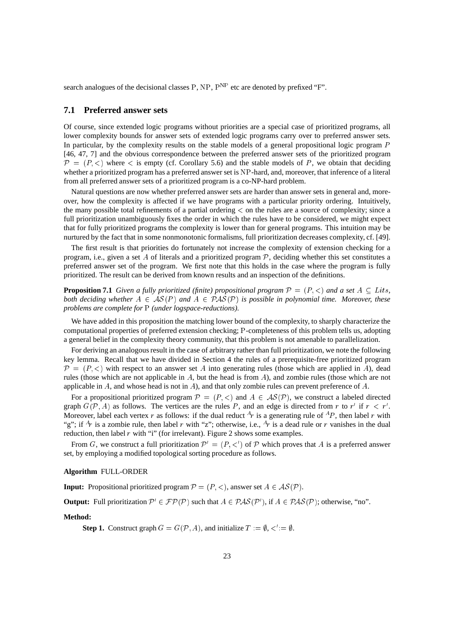search analogues of the decisional classes P, NP,  $P^{NP}$  etc are denoted by prefixed "F".

## **7.1 Preferred answer sets**

Of course, since extended logic programs without priorities are a special case of prioritized programs, all lower complexity bounds for answer sets of extended logic programs carry over to preferred answer sets. In particular, by the complexity results on the stable models of a general propositional logic program P [46, 47, 7] and the obvious correspondence between the preferred answer sets of the prioritized program  $\mathcal{P} = (P, \langle)$  where  $\langle$  is empty (cf. Corollary 5.6) and the stable models of P, we obtain that deciding whether a prioritized program has a preferred answer set is NP-hard, and, moreover, that inference of a literal from all preferred answer sets of a prioritized program is a co-NP-hard problem.

Natural questions are now whether preferred answer sets are harder than answer sets in general and, moreover, how the complexity is affected if we have programs with a particular priority ordering. Intuitively, the many possible total refinements of a partial ordering  $\lt$  on the rules are a source of complexity; since a full prioritization unambiguously fixes the order in which the rules have to be considered, we might expect that for fully prioritized programs the complexity is lower than for general programs. This intuition may be nurtured by the fact that in some nonmonotonic formalisms, full prioritization decreases complexity, cf. [49].

The first result is that priorities do fortunately not increase the complexity of extension checking for a program, i.e., given a set A of literals and a prioritized program  $P$ , deciding whether this set constitutes a preferred answer set of the program. We first note that this holds in the case where the program is fully prioritized. The result can be derived from known results and an inspection of the definitions.

**Proposition 7.1** *Given a fully prioritized (finite) propositional program*  $P = (P, \leq)$  *and a set*  $A \subseteq Lits$ , *both deciding whether*  $A \in AS(P)$  *and*  $A \in PAS(P)$  *is possible in polynomial time. Moreover, these problems are complete for* <sup>P</sup> *(under logspace-reductions).*

We have added in this proposition the matching lower bound of the complexity, to sharply characterize the computational properties of preferred extension checking; <sup>P</sup>-completeness of this problem tells us, adopting a general belief in the complexity theory community, that this problem is not amenable to parallelization.

For deriving an analogous result in the case of arbitrary rather than full prioritization, we note the following key lemma. Recall that we have divided in Section 4 the rules of a prerequisite-free prioritized program  $P = (P, \langle)$  with respect to an answer set A into generating rules (those which are applied in A), dead rules (those which are not applicable in  $A$ , but the head is from  $A$ ), and zombie rules (those which are not applicable in A, and whose head is not in A), and that only zombie rules can prevent preference of A.

For a propositional prioritized program  $\mathcal{P} = (P, \langle \rangle)$  and  $A \in \mathcal{AS}(\mathcal{P})$ , we construct a labeled directed graph  $G(\mathcal{P}, A)$  as follows. The vertices are the rules P, and an edge is directed from r to r' if  $r < r'$ . Moreover, label each vertex r as follows: if the dual reduct  ${}^{A}r$  is a generating rule of  ${}^{A}P$ , then label r with "g"; if  ${}^A\!r$  is a zombie rule, then label r with "z"; otherwise, i.e.,  ${}^A\!r$  is a dead rule or r vanishes in the dual reduction, then label  $r$  with "i" (for irrelevant). Figure 2 shows some examples.

From G, we construct a full prioritization  $\mathcal{P}' = (P, \langle \cdot \rangle)$  of P which proves that A is a preferred answer set, by employing a modified topological sorting procedure as follows.

## **Algorithm** FULL-ORDER

**Input:** Propositional prioritized program  $P = (P, \langle \cdot \rangle)$ , answer set  $A \in AS(P)$ .

**Output:** Full prioritization  $\mathcal{P}' \in \mathcal{FP}(\mathcal{P})$  such that  $A \in \mathcal{PAS}(\mathcal{P}')$ , if  $A \in \mathcal{PAS}(\mathcal{P})$ ; otherwise, "no".

## **Method:**

**Step 1.** Construct graph  $G = G(\mathcal{P}, A)$ , and initialize  $T := \emptyset, \langle \cdot | = \emptyset \rangle$ .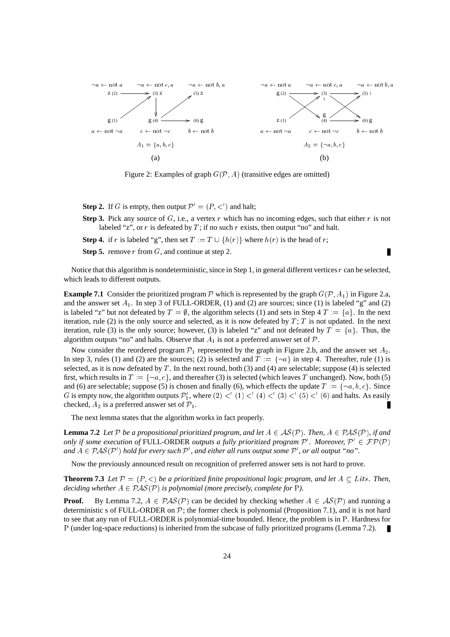

Figure 2: Examples of graph  $G(\mathcal{P}, A)$  (transitive edges are omitted)

**Step 2.** If G is empty, then output  $\mathcal{P}' = (P, \langle \cdot \rangle)$  and halt;

**Step 3.** Pick any source of  $G$ , i.e., a vertex  $r$  which has no incoming edges, such that either  $r$  is not labeled "z", or  $r$  is defeated by  $T$ ; if no such  $r$  exists, then output "no" and halt.

П

**Step 4.** if r is labeled "g", then set  $T := T \cup \{h(r)\}\$  where  $h(r)$  is the head of r;

**Step 5.** remove  $r$  from  $G$ , and continue at step 2.

Notice that this algorithm is nondeterministic, since in Step 1, in general different vertices  $r$  can be selected, which leads to different outputs.

**Example 7.1** Consider the prioritized program P which is represented by the graph  $G(\mathcal{P}, A_1)$  in Figure 2.a, and the answer set  $A_1$ . In step 3 of FULL-ORDER, (1) and (2) are sources; since (1) is labeled "g" and (2) is labeled "z" but not defeated by  $T = \emptyset$ , the algorithm selects (1) and sets in Step 4  $T := \{a\}$ . In the next iteration, rule (2) is the only source and selected, as it is now defeated by  $T$ ;  $T$  is not updated. In the next iteration, rule (3) is the only source; however, (3) is labeled "z" and not defeated by  $T = \{a\}$ . Thus, the algorithm outputs "no" and halts. Observe that  $A_1$  is not a preferred answer set of  $P$ .

Now consider the reordered program  $\mathcal{P}_1$  represented by the graph in Figure 2.b, and the answer set  $A_2$ . In step 3, rules (1) and (2) are the sources; (2) is selected and  $T := \{\neg a\}$  in step 4. Thereafter, rule (1) is selected, as it is now defeated by T. In the next round, both (3) and (4) are selectable; suppose (4) is selected first, which results in  $T := \{\neg a, c\}$ , and thereafter (3) is selected (which leaves T unchanged). Now, both (5) and (6) are selectable; suppose (5) is chosen and finally (6), which effects the update  $T := \{\neg a, b, c\}$ . Since G is empty now, the algorithm outputs  $P'_1$ , where  $(2) < (1) < (1) < (3) < (5) < (6)$  and halts. As easily checked,  $A_2$  is a preferred answer set of  $\mathcal{P}_1$ . П

The next lemma states that the algorithm works in fact properly.

**Lemma 7.2** *Let* P *be a propositional prioritized program, and let*  $A \in AS(\mathcal{P})$ *. Then,*  $A \in PAS(\mathcal{P})$ *, if and only if some execution of* FULL-ORDER *outputs a fully prioritized program*  $P'$ . Moreover,  $P' \in \mathcal{FP}(P)$ and  $A\in \mathcal{PAS}(\mathcal{P}')$  hold for every such  $\mathcal{P}'$ , and either all runs output some  $\mathcal{P}'$ , or all output "no".

Now the previously announced result on recognition of preferred answer sets is not hard to prove.

**Theorem 7.3** Let  $\mathcal{P} = (P, \leq)$  be a prioritized finite propositional logic program, and let  $A \subseteq L$  its. Then, *deciding whether*  $A \in PAS(P)$  *is polynomial (more precisely, complete for* P*)*.

**Proof.** By Lemma 7.2,  $A \in \mathcal{PAS}(\mathcal{P})$  can be decided by checking whether  $A \in \mathcal{AS}(\mathcal{P})$  and running a deterministic s of FULL-ORDER on  $P$ ; the former check is polynomial (Proposition 7.1), and it is not hard to see that any run of FULL-ORDER is polynomial-time bounded. Hence, the problem is in <sup>P</sup>. Hardness for P (under log-space reductions) is inherited from the subcase of fully prioritized programs (Lemma 7.2).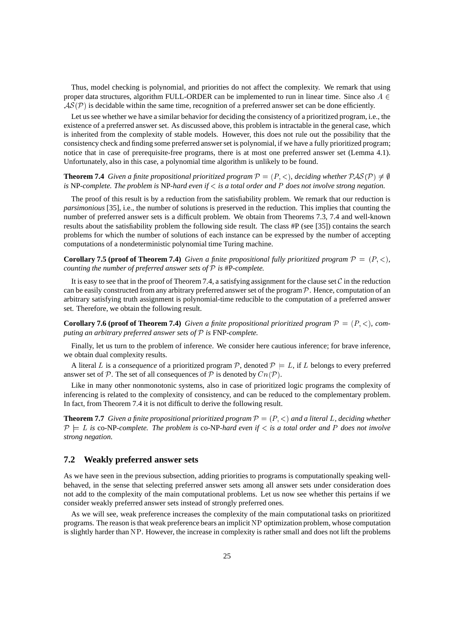Thus, model checking is polynomial, and priorities do not affect the complexity. We remark that using proper data structures, algorithm FULL-ORDER can be implemented to run in linear time. Since also  $A \in$  $AS(\mathcal{P})$  is decidable within the same time, recognition of a preferred answer set can be done efficiently.

Let us see whether we have a similar behavior for deciding the consistency of a prioritized program, i.e., the existence of a preferred answer set. As discussed above, this problem is intractable in the general case, which is inherited from the complexity of stable models. However, this does not rule out the possibility that the consistency check and finding some preferred answer set is polynomial, if we have a fully prioritized program; notice that in case of prerequisite-free programs, there is at most one preferred answer set (Lemma 4.1). Unfortunately, also in this case, a polynomial time algorithm is unlikely to be found.

**Theorem 7.4** *Given a finite propositional prioritized program*  $\mathcal{P} = (P, \langle \cdot \rangle)$ *, deciding whether*  $\mathcal{PAS}(\mathcal{P}) \neq \emptyset$ *is* NP*-complete. The problem is* NP*-hard even if* < *is a total order and* P *does not involve strong negation.*

The proof of this result is by a reduction from the satisfiability problem. We remark that our reduction is *parsimonious* [35], i.e., the number of solutions is preserved in the reduction. This implies that counting the number of preferred answer sets is a difficult problem. We obtain from Theorems 7.3, 7.4 and well-known results about the satisfiability problem the following side result. The class #P (see [35]) contains the search problems for which the number of solutions of each instance can be expressed by the number of accepting computations of a nondeterministic polynomial time Turing machine.

**Corollary 7.5 (proof of Theorem 7.4)** *Given a finite propositional fully prioritized program*  $P = (P, \langle \rangle)$ *, counting the number of preferred answer sets of* <sup>P</sup> *is* #P*-complete.*

It is easy to see that in the proof of Theorem 7.4, a satisfying assignment for the clause set  $C$  in the reduction can be easily constructed from any arbitrary preferred answer set of the program  $P$ . Hence, computation of an arbitrary satisfying truth assignment is polynomial-time reducible to the computation of a preferred answer set. Therefore, we obtain the following result.

**Corollary 7.6 (proof of Theorem 7.4)** *Given a finite propositional prioritized program*  $P = (P, \langle),$  *computing an arbitrary preferred answer sets of* <sup>P</sup> *is* FNP*-complete.*

Finally, let us turn to the problem of inference. We consider here cautious inference; for brave inference, we obtain dual complexity results.

A literal L is a *consequence* of a prioritized program P, denoted  $P \models L$ , if L belongs to every preferred answer set of P. The set of all consequences of P is denoted by  $C_n(\mathcal{P})$ .

Like in many other nonmonotonic systems, also in case of prioritized logic programs the complexity of inferencing is related to the complexity of consistency, and can be reduced to the complementary problem. In fact, from Theorem 7.4 it is not difficult to derive the following result.

**Theorem 7.7** *Given a finite propositional prioritized program*  $P = (P, \langle \rangle)$  *and a literal L, deciding whether*  $P \models L$  *is* co-NP-complete. The problem is co-NP-hard even if  $\lt$  *is a total order and* P *does not involve strong negation.*

#### **7.2 Weakly preferred answer sets**

As we have seen in the previous subsection, adding priorities to programs is computationally speaking wellbehaved, in the sense that selecting preferred answer sets among all answer sets under consideration does not add to the complexity of the main computational problems. Let us now see whether this pertains if we consider weakly preferred answer sets instead of strongly preferred ones.

As we will see, weak preference increases the complexity of the main computational tasks on prioritized programs. The reason is that weak preference bears an implicit NP optimization problem, whose computation is slightly harder than NP. However, the increase in complexity is rather small and does not lift the problems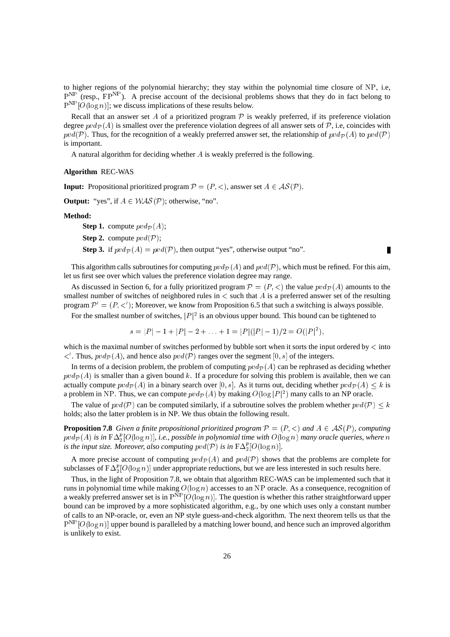to higher regions of the polynomial hierarchy; they stay within the polynomial time closure of NP, i.e, P<sup>NP</sup> (resp., FP<sup>NP</sup>). A precise account of the decisional problems shows that they do in fact belong to  $P^{NP}[O(\log n)]$ ; we discuss implications of these results below.

Recall that an answer set A of a prioritized program  $P$  is weakly preferred, if its preference violation degree  $pvd_{\mathcal{P}}(A)$  is smallest over the preference violation degrees of all answer sets of  $\mathcal{P}$ , i.e, coincides with pvd(P). Thus, for the recognition of a weakly preferred answer set, the relationship of  $pvdp(A)$  to  $pvd(\mathcal{P})$ is important.

A natural algorithm for deciding whether <sup>A</sup> is weakly preferred is the following.

#### **Algorithm** REC-WAS

**Input:** Propositional prioritized program  $P = (P, \langle \rangle)$ , answer set  $A \in AS(P)$ .

**Output:** "yes", if  $A \in WAS(\mathcal{P})$ ; otherwise, "no".

#### **Method:**

**Step 1.** compute  $pvdp(A)$ ; **Step 2.** compute  $pvd(\mathcal{P})$ ; **Step 3.** if  $pvd_{\mathcal{P}}(A) = pvd(\mathcal{P})$ , then output "yes", otherwise output "no".

This algorithm calls subroutines for computing  $pvd_{\mathcal{P}}(A)$  and  $pvd(\mathcal{P})$ , which must be refined. For this aim, let us first see over which values the preference violation degree may range.

As discussed in Section 6, for a fully prioritized program  $\mathcal{P} = (P, \leq)$  the value  $pvd_{\mathcal{P}}(A)$  amounts to the smallest number of switches of neighbored rules in  $\lt$  such that A is a preferred answer set of the resulting program  $\mathcal{P}' = (P, \langle \cdot \rangle)$ ; Moreover, we know from Proposition 6.5 that such a switching is always possible.

For the smallest number of switches,  $|P|^2$  is an obvious upper bound. This bound can be tightened to

$$
s = |P| - 1 + |P| - 2 + \ldots + 1 = |P|(|P| - 1)/2 = O(|P|^2),
$$

which is the maximal number of switches performed by bubble sort when it sorts the input ordered by  $\lt$  into  $\langle$ . Thus,  $pvd_{\mathcal{P}}(A)$ , and hence also  $pvd(\mathcal{P})$  ranges over the segment [0, s] of the integers.

In terms of a decision problem, the problem of computing  $pvd_p(A)$  can be rephrased as deciding whether  $pvd_{\mathcal{P}}(A)$  is smaller than a given bound k. If a procedure for solving this problem is available, then we can actually compute  $pvd_{\mathcal{P}}(A)$  in a binary search over [0, s]. As it turns out, deciding whether  $pvd_{\mathcal{P}}(A) \leq k$  is a problem in NP. Thus, we can compute  $pvd_{\mathcal{P}}(A)$  by making  $O(\log |P|^2)$  many calls to an NP oracle.

The value of  $\text{pvd}(\mathcal{P})$  can be computed similarly, if a subroutine solves the problem whether  $\text{pvd}(\mathcal{P}) \leq k$ holds; also the latter problem is in NP. We thus obtain the following result.

**Proposition 7.8** *Given a finite propositional prioritized program*  $\mathcal{P} = (P, \leq)$  *and*  $A \in \mathcal{AS}(P)$ *, computing*  $pvd_{\mathcal{P}}(A)$  is in  $\mathrm{F}\Delta^p_2[O(\log n)]$ , i.e., possible in polynomial time with  $O(\log n)$  many oracle queries, where n *is the input size. Moreover, also computing*  $\text{pvd}(\mathcal{P})$  *is in*  $\text{FA}_2^p[O(\log n)]$ *.* 

A more precise account of computing  $pvd_{\mathcal{P}}(A)$  and  $pvd(\mathcal{P})$  shows that the problems are complete for subclasses of  $F\Delta_2^p[O(\log n)]$  under appropriate reductions, but we are less interested in such results here.

Thus, in the light of Proposition 7.8, we obtain that algorithm REC-WAS can be implemented such that it runs in polynomial time while making  $O(\log n)$  accesses to an NP oracle. As a consequence, recognition of a weakly preferred answer set is in  $P^{NP}[O(\log n)]$ . The question is whether this rather straightforward upper bound can be improved by a more sophisticated algorithm, e.g., by one which uses only a constant number of calls to an NP-oracle, or, even an NP style guess-and-check algorithm. The next theorem tells us that the  $P^{NP}[O(\log n)]$  upper bound is paralleled by a matching lower bound, and hence such an improved algorithm is unlikely to exist.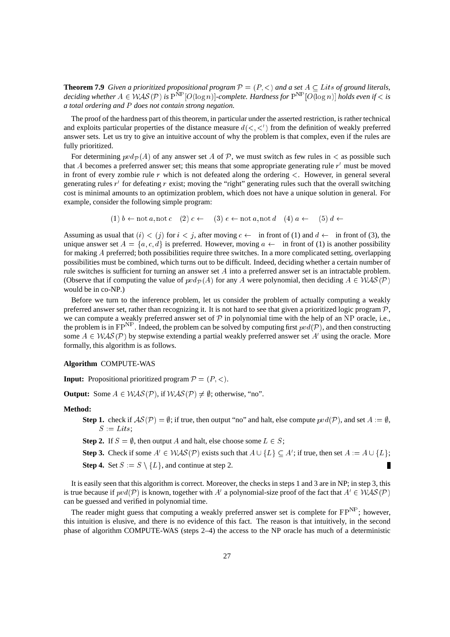**Theorem 7.9** *Given a prioritized propositional program*  $P = (P, \leq)$  *and a set*  $A \subseteq L$ *its of ground literals, deciding whether*  $A \in WAS(\mathcal{P})$  *is*  $P^{\text{NP}}[O(\log n)]$ *-complete. Hardness for*  $P^{\text{NP}}[O(\log n)]$  *holds even if* < *is a total ordering and* <sup>P</sup> *does not contain strong negation.*

The proof of the hardness part of this theorem, in particular under the asserted restriction, is rather technical and exploits particular properties of the distance measure  $d\left\langle \langle \cdot, \langle \cdot \rangle \right\rangle$  from the definition of weakly preferred answer sets. Let us try to give an intuitive account of why the problem is that complex, even if the rules are fully prioritized.

For determining  $pvd_{\mathcal{P}}(A)$  of any answer set A of P, we must switch as few rules in  $\lt$  as possible such that A becomes a preferred answer set; this means that some appropriate generating rule  $r'$  must be moved in front of every zombie rule r which is not defeated along the ordering  $\lt$ . However, in general several generating rules  $r'$  for defeating r exist; moving the "right" generating rules such that the overall switching cost is minimal amounts to an optimization problem, which does not have a unique solution in general. For example, consider the following simple program:

(1) 
$$
b \leftarrow \text{not } a, \text{not } c
$$
 (2)  $c \leftarrow$  (3)  $e \leftarrow \text{not } a, \text{not } d$  (4)  $a \leftarrow$  (5)  $d \leftarrow$ 

Assuming as usual that  $(i) < (j)$  for  $i < j$ , after moving  $c \leftarrow$  in front of (1) and  $d \leftarrow$  in front of (3), the unique answer set  $A = \{a, c, d\}$  is preferred. However, moving  $a \leftarrow \text{ in front of (1) is another possibility}$ for making <sup>A</sup> preferred; both possibilities require three switches. In a more complicated setting, overlapping possibilities must be combined, which turns out to be difficult. Indeed, deciding whether a certain number of rule switches is sufficient for turning an answer set <sup>A</sup> into a preferred answer set is an intractable problem. (Observe that if computing the value of  $pvd_{\mathcal{P}}(A)$  for any A were polynomial, then deciding  $A \in \mathcal{WAS}(\mathcal{P})$ would be in co-NP.)

Before we turn to the inference problem, let us consider the problem of actually computing a weakly preferred answer set, rather than recognizing it. It is not hard to see that given a prioritized logic program <sup>P</sup>, we can compute a weakly preferred answer set of  $\mathcal P$  in polynomial time with the help of an NP oracle, i.e., the problem is in FP<sup>NP</sup>. Indeed, the problem can be solved by computing first  $pvd(\mathcal{P})$ , and then constructing some  $A \in WAS(\mathcal{P})$  by stepwise extending a partial weakly preferred answer set A' using the oracle. More formally, this algorithm is as follows.

#### **Algorithm** COMPUTE-WAS

**Input:** Propositional prioritized program  $P = (P, \langle \rangle)$ .

**Output:** Some  $A \in WAS(\mathcal{P})$ , if  $WAS(\mathcal{P}) \neq \emptyset$ ; otherwise, "no".

#### **Method:**

- **Step 1.** check if  $AS(\mathcal{P}) = \emptyset$ ; if true, then output "no" and halt, else compute  $\text{pvd}(\mathcal{P})$ , and set  $A := \emptyset$ ,  $S := \text{Lits}:$
- **Step 2.** If  $S = \emptyset$ , then output A and halt, else choose some  $L \in S$ ;
- **Step 3.** Check if some  $A' \in WAS(\mathcal{P})$  exists such that  $A \cup \{L\} \subseteq A'$ ; if true, then set  $A := A \cup \{L\}$ ; **Step 4.** Set  $S := S \setminus \{L\}$ , and continue at step 2.

It is easily seen that this algorithm is correct. Moreover, the checks in steps 1 and 3 are in NP; in step 3, this is true because if  $pvd(\mathcal{P})$  is known, together with A' a polynomial-size proof of the fact that  $A' \in WAS(\mathcal{P})$ can be guessed and verified in polynomial time.

The reader might guess that computing a weakly preferred answer set is complete for  $FP<sup>NP</sup>$ ; however, this intuition is elusive, and there is no evidence of this fact. The reason is that intuitively, in the second phase of algorithm COMPUTE-WAS (steps 2–4) the access to the NP oracle has much of a deterministic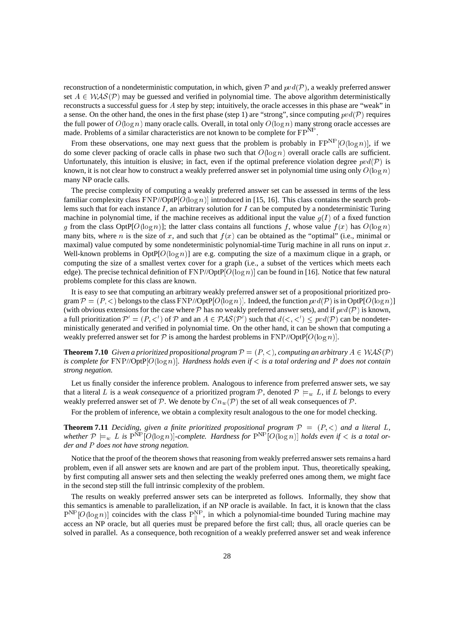reconstruction of a nondeterministic computation, in which, given  $P$  and  $\text{pvd}(\mathcal{P})$ , a weakly preferred answer set  $A \in WAS(\mathcal{P})$  may be guessed and verified in polynomial time. The above algorithm deterministically reconstructs a successful guess for <sup>A</sup> step by step; intuitively, the oracle accesses in this phase are "weak" in a sense. On the other hand, the ones in the first phase (step 1) are "strong", since computing  $pvd(\mathcal{P})$  requires the full power of  $O(\log n)$  many oracle calls. Overall, in total only  $O(\log n)$  many strong oracle accesses are made. Problems of a similar characteristics are not known to be complete for  $FP<sup>NP</sup>$ .

From these observations, one may next guess that the problem is probably in  $FP^{NP}[O(\log n)]$ , if we do some clever packing of oracle calls in phase two such that  $O(\log n)$  overall oracle calls are sufficient. Unfortunately, this intuition is elusive; in fact, even if the optimal preference violation degree  $pvd(\mathcal{P})$  is known, it is not clear how to construct a weakly preferred answer set in polynomial time using only  $O(\log n)$ many NP oracle calls.

The precise complexity of computing a weakly preferred answer set can be assessed in terms of the less familiar complexity class  $FNP/O$  opt $P[O(\log n)]$  introduced in [15, 16]. This class contains the search problems such that for each instance  $I$ , an arbitrary solution for  $I$  can be computed by a nondeterministic Turing machine in polynomial time, if the machine receives as additional input the value  $g(I)$  of a fixed function g from the class  $OptP[O(\log n)]$ ; the latter class contains all functions f, whose value  $f(x)$  has  $O(\log n)$ many bits, where *n* is the size of x, and such that  $f(x)$  can be obtained as the "optimal" (i.e., minimal or maximal) value computed by some nondeterministic polynomial-time Turig machine in all runs on input  $x$ . Well-known problems in OptP[ $O(\log n)$ ] are e.g. computing the size of a maximum clique in a graph, or computing the size of a smallest vertex cover for a graph (i.e., a subset of the vertices which meets each edge). The precise technical definition of  $\text{FNP}/\text{OptP}[O(\log n)]$  can be found in [16]. Notice that few natural problems complete for this class are known.

It is easy to see that computing an arbitrary weakly preferred answer set of a propositional prioritized program  $P = (P, \leq)$  belongs to the class  $FNP//OptP[O(\log n)]$ . Indeed, the function  $pvd(P)$  is in  $OptP[O(\log n)]$ (with obvious extensions for the case where  $P$  has no weakly preferred answer sets), and if  $pvd(P)$  is known, a full prioritization  $\mathcal{P}' = (P, \langle \cdot \rangle)$  of  $\mathcal P$  and an  $A \in \mathcal{PAS}(\mathcal{P}')$  such that  $d\langle \langle, \langle \cdot \rangle \rangle \leq pvd(\mathcal{P})$  can be nondeterministically generated and verified in polynomial time. On the other hand, it can be shown that computing a weakly preferred answer set for  $P$  is among the hardest problems in  $FNP//OptP[O(\log n)]$ .

**Theorem 7.10** *Given a prioritized propositional program*  $P = (P, \langle \rangle)$ *, computing an arbitrary*  $A \in WAS(P)$ *is complete for* FNP//OptP[O(log n)]*. Hardness holds even if* < *is a total ordering and* P *does not contain strong negation.*

Let us finally consider the inference problem. Analogous to inference from preferred answer sets, we say that a literal L is a *weak consequence* of a prioritized program P, denoted  $P \models_w L$ , if L belongs to every weakly preferred answer set of P. We denote by  $C_n_w(\mathcal{P})$  the set of all weak consequences of P.

For the problem of inference, we obtain a complexity result analogous to the one for model checking.

**Theorem 7.11** *Deciding, given a finite prioritized propositional program*  $P = (P, \langle)$  *and a literal L,* whether  $P \models_w L$  is  $P^{\text{NP}}[O(\log n)]$ *-complete. Hardness for*  $P^{\text{NP}}[O(\log n)]$  *holds even if*  $\lt$  *is a total order and* <sup>P</sup> *does not have strong negation.*

Notice that the proof of the theorem shows that reasoning from weakly preferred answer sets remains a hard problem, even if all answer sets are known and are part of the problem input. Thus, theoretically speaking, by first computing all answer sets and then selecting the weakly preferred ones among them, we might face in the second step still the full intrinsic complexity of the problem.

The results on weakly preferred answer sets can be interpreted as follows. Informally, they show that this semantics is amenable to parallelization, if an NP oracle is available. In fact, it is known that the class  $P^{NP}[O(\log n)]$  coincides with the class  $P_{\parallel}^{NP}$ , in which a polynomial-time bounded Turing machine may access an NP oracle, but all queries must be prepared before the first call; thus, all oracle queries can be solved in parallel. As a consequence, both recognition of a weakly preferred answer set and weak inference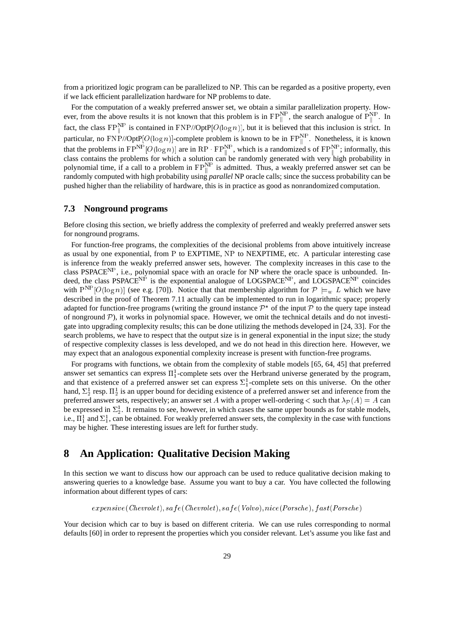from a prioritized logic program can be parallelized to NP. This can be regarded as a positive property, even if we lack efficient parallelization hardware for NP problems to date.

For the computation of a weakly preferred answer set, we obtain a similar parallelization property. However, from the above results it is not known that this problem is in  $FP_{\parallel}^{NP}$ , the search analogue of  $P_{\parallel}^{NP}$ . In fact, the class  $FP_{\parallel}^{NP}$  is contained in  $FNP//OptP[O(\log n)]$ , but it is believed that this inclusion is strict. In particular, no  $FNP/OptP[O(log n)]$ -complete problem is known to be in  $FP_1^{NP}$ . Nonetheless, it is known that the problems in  $\text{FP}^{\text{NP}}[O(\log n)]$  are in  $\text{RP} \cdot \text{FP}^{\text{NP}}_n$ , which is a randomized s of  $\text{FP}^{\text{NP}}_n$ ; informally, this class contains the problems for which a solution can be randomly generated with very high probability in polynomial time, if a call to a problem in  $FP_{\parallel}^{N}$  is admitted. Thus, a weakly preferred answer set can be randomly computed with high probability using *parallel* NP oracle calls; since the success probability can be pushed higher than the reliability of hardware, this is in practice as good as nonrandomized computation.

## **7.3 Nonground programs**

Before closing this section, we briefly address the complexity of preferred and weakly preferred answer sets for nonground programs.

For function-free programs, the complexities of the decisional problems from above intuitively increase as usual by one exponential, from <sup>P</sup> to EXPTIME, NP to NEXPTIME, etc. A particular interesting case is inference from the weakly preferred answer sets, however. The complexity increases in this case to the class PSPACE<sup>NP</sup>, i.e., polynomial space with an oracle for NP where the oracle space is unbounded. Indeed, the class  $PSPACE<sup>NP</sup>$  is the exponential analogue of  $LOGSPACE<sup>NP</sup>$ , and  $LOGSPACE<sup>NP</sup>$  coincides with  $P^{NP}[O(\log n)]$  (see e.g. [70]). Notice that that membership algorithm for  $P \models_w L$  which we have described in the proof of Theorem 7.11 actually can be implemented to run in logarithmic space; properly adapted for function-free programs (writing the ground instance  $\mathcal{P}^*$  of the input  $\mathcal P$  to the query tape instead of nonground  $P$ ), it works in polynomial space. However, we omit the technical details and do not investigate into upgrading complexity results; this can be done utilizing the methods developed in [24, 33]. For the search problems, we have to respect that the output size is in general exponential in the input size; the study of respective complexity classes is less developed, and we do not head in this direction here. However, we may expect that an analogous exponential complexity increase is present with function-free programs.

For programs with functions, we obtain from the complexity of stable models [65, 64, 45] that preferred answer set semantics can express  $\Pi_1^1$ -complete sets over the Herbrand universe generated by the program, and that existence of a preferred answer set can express  $\Sigma_1^1$ -complete sets on this universe. On the other hand,  $\Sigma_2^1$  resp.  $\Pi_2^1$  is an upper bound for deciding existence of a preferred answer set and inference from the preferred answer sets, respectively; an answer set A with a proper well-ordering  $\lt$  such that  $\lambda_{\mathcal{P}}(A) = A$  can be expressed in  $\Sigma_2^1$ . It remains to see, however, in which cases the same upper bounds as for stable models, i.e.,  $\Pi_1^1$  and  $\Sigma_1^1$ , can be obtained. For weakly preferred answer sets, the complexity in the case with functions may be higher. These interesting issues are left for further study.

# **8 An Application: Qualitative Decision Making**

In this section we want to discuss how our approach can be used to reduce qualitative decision making to answering queries to a knowledge base. Assume you want to buy a car. You have collected the following information about different types of cars:

 $expensive(Chevrole t), safe(Chevrole t), safe(Volvo), nice(Porsche), fast(Porsche)$ 

Your decision which car to buy is based on different criteria. We can use rules corresponding to normal defaults [60] in order to represent the properties which you consider relevant. Let's assume you like fast and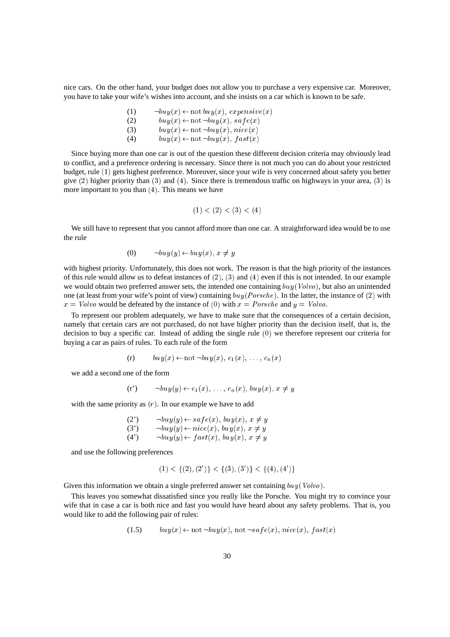nice cars. On the other hand, your budget does not allow you to purchase a very expensive car. Moreover, you have to take your wife's wishes into account, and she insists on a car which is known to be safe.

(1) 
$$
\neg buy(x) \leftarrow \text{not } buy(x), \text{ expensive}(x)
$$
  
(2)  $buy(x) \leftarrow \text{not } \neg buy(x), \text{safe}(x)$   
(3)  $buy(x) \leftarrow \text{not } \neg buy(x), \text{nice}(x)$   
(4)  $buy(x) \leftarrow \text{not } \neg buy(x), \text{fast}(x)$ 

Since buying more than one car is out of the question these different decision criteria may obviously lead to conflict, and a preference ordering is necessary. Since there is not much you can do about your restricted budget, rule (1) gets highest preference. Moreover, since your wife is very concerned about safety you better give  $(2)$  higher priority than  $(3)$  and  $(4)$ . Since there is tremendous traffic on highways in your area,  $(3)$  is more important to you than (4). This means we have

$$
(1) < (2) < (3) < (4)
$$

We still have to represent that you cannot afford more than one car. A straightforward idea would be to use the rule

$$
(0) \qquad \neg buy(y) \leftarrow buy(x), \ x \neq y
$$

with highest priority. Unfortunately, this does not work. The reason is that the high priority of the instances of this rule would allow us to defeat instances of  $(2)$ ,  $(3)$  and  $(4)$  even if this is not intended. In our example we would obtain two preferred answer sets, the intended one containing  $bu(y(Volvo))$ , but also an unintended one (at least from your wife's point of view) containing  $buy(Porsche)$ . In the latter, the instance of (2) with  $x = Volvo$  would be defeated by the instance of (0) with  $x = \text{Porsche}$  and  $y = \text{Volvo}$ .

To represent our problem adequately, we have to make sure that the consequences of a certain decision, namely that certain cars are not purchased, do not have higher priority than the decision itself, that is, the decision to buy a specific car. Instead of adding the single rule (0) we therefore represent our criteria for buying a car as pairs of rules. To each rule of the form

$$
(r) \qquad buy(x) \leftarrow not \neg buy(x), c_1(x), \dots, c_n(x)
$$

we add a second one of the form

$$
(r') \qquad \neg buy(y) \leftarrow c_1(x), \dots, c_n(x), buy(x), x \neq y
$$

with the same priority as  $(r)$ . In our example we have to add

(2') 
$$
\neg buy(y) \leftarrow safe(x), buy(x), x \neq y
$$
  
\n(3')  $\neg buy(y) \leftarrow nice(x), buy(x), x \neq y$   
\n(4')  $\neg buy(y) \leftarrow fast(x), buy(x), x \neq y$ 

and use the following preferences

$$
(1) < \{(2), (2')\} < \{(3), (3')\} < \{(4), (4')\}
$$

Given this information we obtain a single preferred answer set containing  $buy(Volume)$ .

This leaves you somewhat dissatisfied since you really like the Porsche. You might try to convince your wife that in case a car is both nice and fast you would have heard about any safety problems. That is, you would like to add the following pair of rules:

$$
(1.5) \qquad buy(x) \leftarrow not \neg buy(x), \text{ not } \neg safe(x), \text{ nice}(x), \text{fast}(x)
$$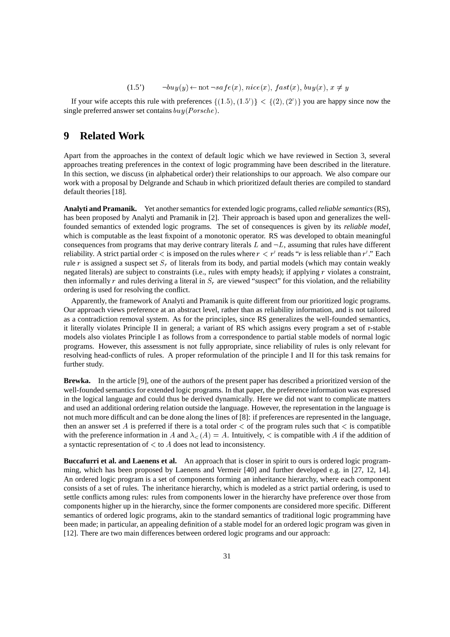(1.5')  $\qquad \neg buy(y) \leftarrow \text{not } \neg safe(x), \text{ nice}(x), \text{fast}(x), \text{buy}(x), x \neq y$ 

If your wife accepts this rule with preferences  $\{(1.5), (1.5')\} < \{(2), (2')\}$  you are happy since now the single preferred answer set contains  $buy (Porsche)$ .

# **9 Related Work**

Apart from the approaches in the context of default logic which we have reviewed in Section 3, several approaches treating preferences in the context of logic programming have been described in the literature. In this section, we discuss (in alphabetical order) their relationships to our approach. We also compare our work with a proposal by Delgrande and Schaub in which prioritized default theries are compiled to standard default theories [18].

**Analyti and Pramanik.** Yet another semantics for extended logic programs, called *reliable semantics*(RS), has been proposed by Analyti and Pramanik in [2]. Their approach is based upon and generalizes the wellfounded semantics of extended logic programs. The set of consequences is given by its *reliable model*, which is computable as the least fixpoint of a monotonic operator. RS was developed to obtain meaningful consequences from programs that may derive contrary literals  $L$  and  $\neg L$ , assuming that rules have different reliability. A strict partial order  $\lt$  is imposed on the rules where  $r < r'$  reads "r is less reliable than r'." Each rule r is assigned a suspect set  $S_r$  of literals from its body, and partial models (which may contain weakly negated literals) are subject to constraints (i.e., rules with empty heads); if applying r violates a constraint, then informally r and rules deriving a literal in  $S_r$  are viewed "suspect" for this violation, and the reliability ordering is used for resolving the conflict.

Apparently, the framework of Analyti and Pramanik is quite different from our prioritized logic programs. Our approach views preference at an abstract level, rather than as reliability information, and is not tailored as a contradiction removal system. As for the principles, since RS generalizes the well-founded semantics, it literally violates Principle II in general; a variant of RS which assigns every program a set of r-stable models also violates Principle I as follows from a correspondence to partial stable models of normal logic programs. However, this assessment is not fully appropriate, since reliability of rules is only relevant for resolving head-conflicts of rules. A proper reformulation of the principle I and II for this task remains for further study.

**Brewka.** In the article [9], one of the authors of the present paper has described a prioritized version of the well-founded semantics for extended logic programs. In that paper, the preference information was expressed in the logical language and could thus be derived dynamically. Here we did not want to complicate matters and used an additional ordering relation outside the language. However, the representation in the language is not much more difficult and can be done along the lines of [8]: if preferences are represented in the language, then an answer set A is preferred if there is a total order  $\lt$  of the program rules such that  $\lt$  is compatible with the preference information in A and  $\lambda_{\leq}(A) = A$ . Intuitively,  $\leq$  is compatible with A if the addition of a syntactic representation of <sup>&</sup>lt; to <sup>A</sup> does not lead to inconsistency.

**Buccafurri et al. and Laenens et al.** An approach that is closer in spirit to ours is ordered logic programming, which has been proposed by Laenens and Vermeir [40] and further developed e.g. in [27, 12, 14]. An ordered logic program is a set of components forming an inheritance hierarchy, where each component consists of a set of rules. The inheritance hierarchy, which is modeled as a strict partial ordering, is used to settle conflicts among rules: rules from components lower in the hierarchy have preference over those from components higher up in the hierarchy, since the former components are considered more specific. Different semantics of ordered logic programs, akin to the standard semantics of traditional logic programming have been made; in particular, an appealing definition of a stable model for an ordered logic program was given in [12]. There are two main differences between ordered logic programs and our approach: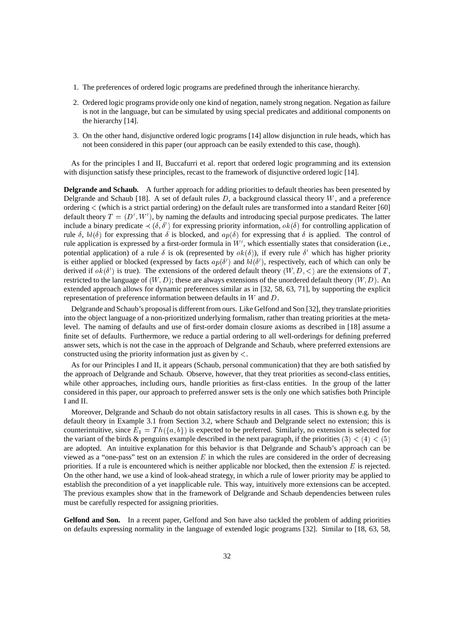- 1. The preferences of ordered logic programs are predefined through the inheritance hierarchy.
- 2. Ordered logic programs provide only one kind of negation, namely strong negation. Negation as failure is not in the language, but can be simulated by using special predicates and additional components on the hierarchy [14].
- 3. On the other hand, disjunctive ordered logic programs [14] allow disjunction in rule heads, which has not been considered in this paper (our approach can be easily extended to this case, though).

As for the principles I and II, Buccafurri et al. report that ordered logic programming and its extension with disjunction satisfy these principles, recast to the framework of disjunctive ordered logic [14].

**Delgrande and Schaub.** A further approach for adding priorities to default theories has been presented by Delgrande and Schaub [18]. A set of default rules  $D$ , a background classical theory  $W$ , and a preference ordering < (which is a strict partial ordering) on the default rules are transformed into a standard Reiter [60] default theory  $T = (D', W')$ , by naming the defaults and introducing special purpose predicates. The latter include a binary predicate  $\prec (\delta, \delta')$  for expressing priority information,  $ok(\delta)$  for controlling application of rule  $\delta$ ,  $bl(\delta)$  for expressing that  $\delta$  is blocked, and  $ap(\delta)$  for expressing that  $\delta$  is applied. The control of rule application is expressed by a first-order formula in  $W'$ , which essentially states that consideration (i.e., potential application) of a rule  $\delta$  is ok (represented by  $ok(\delta)$ ), if every rule  $\delta'$  which has higher priority is either applied or blocked (expressed by facts  $ap(\delta')$  and  $bl(\delta')$ , respectively, each of which can only be derived if  $ok(\delta')$  is true). The extensions of the ordered default theory  $(W, D, <)$  are the extensions of T, restricted to the language of  $(W, D)$ ; these are always extensions of the unordered default theory  $(W, D)$ . An extended approach allows for dynamic preferences similar as in [32, 58, 63, 71], by supporting the explicit representation of preference information between defaults in W and D.

Delgrande and Schaub's proposal is different from ours. Like Gelfond and Son [32], they translate priorities into the object language of a non-prioritized underlying formalism, rather than treating priorities at the metalevel. The naming of defaults and use of first-order domain closure axioms as described in [18] assume a finite set of defaults. Furthermore, we reduce a partial ordering to all well-orderings for defining preferred answer sets, which is not the case in the approach of Delgrande and Schaub, where preferred extensions are constructed using the priority information just as given by  $\lt$ .

As for our Principles I and II, it appears (Schaub, personal communication) that they are both satisfied by the approach of Delgrande and Schaub. Observe, however, that they treat priorities as second-class entities, while other approaches, including ours, handle priorities as first-class entities. In the group of the latter considered in this paper, our approach to preferred answer sets is the only one which satisfies both Principle I and II.

Moreover, Delgrande and Schaub do not obtain satisfactory results in all cases. This is shown e.g. by the default theory in Example 3.1 from Section 3.2, where Schaub and Delgrande select no extension; this is counterintuitive, since  $E_1 = Th({a, b})$  is expected to be preferred. Similarly, no extension is selected for the variant of the birds & penguins example described in the next paragraph, if the priorities  $(3) < (4) < (5)$ are adopted. An intuitive explanation for this behavior is that Delgrande and Schaub's approach can be viewed as a "one-pass" test on an extension  $E$  in which the rules are considered in the order of decreasing priorities. If a rule is encountered which is neither applicable nor blocked, then the extension  $E$  is rejected. On the other hand, we use a kind of look-ahead strategy, in which a rule of lower priority may be applied to establish the precondition of a yet inapplicable rule. This way, intuitively more extensions can be accepted. The previous examples show that in the framework of Delgrande and Schaub dependencies between rules must be carefully respected for assigning priorities.

**Gelfond and Son.** In a recent paper, Gelfond and Son have also tackled the problem of adding priorities on defaults expressing normality in the language of extended logic programs [32]. Similar to [18, 63, 58,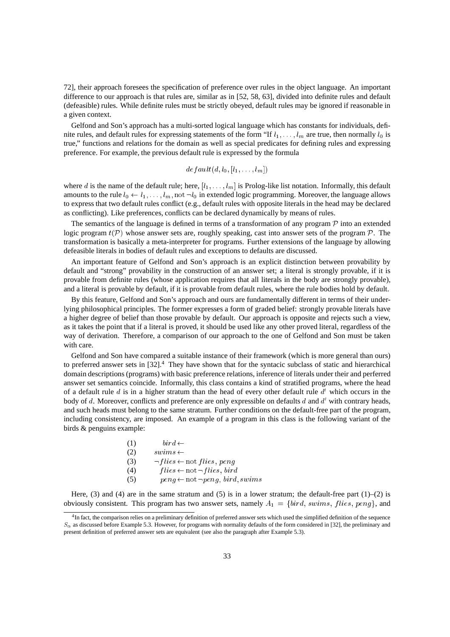72], their approach foresees the specification of preference over rules in the object language. An important difference to our approach is that rules are, similar as in [52, 58, 63], divided into definite rules and default (defeasible) rules. While definite rules must be strictly obeyed, default rules may be ignored if reasonable in a given context.

Gelfond and Son's approach has a multi-sorted logical language which has constants for individuals, definite rules, and default rules for expressing statements of the form "If  $l_1, \ldots, l_m$  are true, then normally  $l_0$  is true," functions and relations for the domain as well as special predicates for defining rules and expressing preference. For example, the previous default rule is expressed by the formula

$$
default(d, l_0, [l_1, \ldots, l_m])
$$

where d is the name of the default rule; here,  $[l_1, \ldots, l_m]$  is Prolog-like list notation. Informally, this default amounts to the rule  $l_0 \leftarrow l_1, \ldots, l_m$ , not  $\neg l_0$  in extended logic programming. Moreover, the language allows to express that two default rules conflict (e.g., default rules with opposite literals in the head may be declared as conflicting). Like preferences, conflicts can be declared dynamically by means of rules.

The semantics of the language is defined in terms of a transformation of any program  $\mathcal P$  into an extended logic program  $t(\mathcal{P})$  whose answer sets are, roughly speaking, cast into answer sets of the program  $\mathcal{P}$ . The transformation is basically a meta-interpreter for programs. Further extensions of the language by allowing defeasible literals in bodies of default rules and exceptions to defaults are discussed.

An important feature of Gelfond and Son's approach is an explicit distinction between provability by default and "strong" provability in the construction of an answer set; a literal is strongly provable, if it is provable from definite rules (whose application requires that all literals in the body are strongly provable), and a literal is provable by default, if it is provable from default rules, where the rule bodies hold by default.

By this feature, Gelfond and Son's approach and ours are fundamentally different in terms of their underlying philosophical principles. The former expresses a form of graded belief: strongly provable literals have a higher degree of belief than those provable by default. Our approach is opposite and rejects such a view, as it takes the point that if a literal is proved, it should be used like any other proved literal, regardless of the way of derivation. Therefore, a comparison of our approach to the one of Gelfond and Son must be taken with care.

Gelfond and Son have compared a suitable instance of their framework (which is more general than ours) to preferred answer sets in [32].<sup>4</sup> They have shown that for the syntacic subclass of static and hierarchical domain descriptions (programs) with basic preference relations, inference of literals under their and perferred answer set semantics coincide. Informally, this class contains a kind of stratified programs, where the head of a default rule  $d$  is in a higher stratum than the head of every other default rule  $d'$  which occurs in the body of  $d$ . Moreover, conflicts and preference are only expressible on defaults  $d$  and  $d'$  with contrary heads, and such heads must belong to the same stratum. Further conditions on the default-free part of the program, including consistency, are imposed. An example of a program in this class is the following variant of the birds & penguins example:

(1) 
$$
bird \leftarrow
$$
  
\n(2)  $sums \leftarrow$   
\n(3)  $\neg flies \leftarrow \text{not flies, peng}$   
\n(4)  $flies \leftarrow \text{not } \neg flies, bird}$   
\n(5)  $peng \leftarrow \text{not } \neg peng, bird, swings}$ 

Here, (3) and (4) are in the same stratum and (5) is in a lower stratum; the default-free part (1)–(2) is obviously consistent. This program has two answer sets, namely  $A_1 = \{bird, \, swings, \, files, \, peng\}$ , and

<sup>&</sup>lt;sup>4</sup>In fact, the comparison relies on a preliminary definition of preferred answer sets which used the simplified definition of the sequence  $S_{\alpha}$  as discussed before Example 5.3. However, for programs with normality defaults of the form considered in [32], the preliminary and present definition of preferred answer sets are equivalent (see also the paragraph after Example 5.3).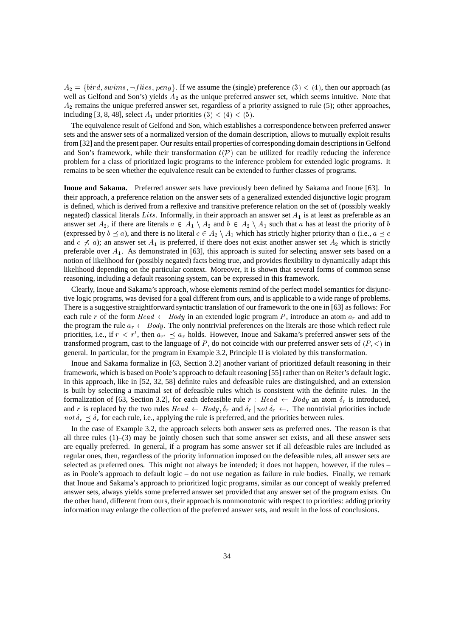$A_2 = \{bird, swings, \neg flies, peng\}$ . If we assume the (single) preference (3) < (4), then our approach (as well as Gelfond and Son's) yields  $A_2$  as the unique preferred answer set, which seems intuitive. Note that  $A_2$  remains the unique preferred answer set, regardless of a priority assigned to rule (5); other approaches, including [3, 8, 48], select  $A_1$  under priorities  $(3) < (4) < (5)$ .

The equivalence result of Gelfond and Son, which establishes a correspondence between preferred answer sets and the answer sets of a normalized version of the domain description, allows to mutually exploit results from [32] and the present paper. Our results entail properties of corresponding domain descriptions in Gelfond and Son's framework, while their transformation  $t(\mathcal{P})$  can be utilized for readily reducing the inference problem for a class of prioritized logic programs to the inference problem for extended logic programs. It remains to be seen whether the equivalence result can be extended to further classes of programs.

**Inoue and Sakama.** Preferred answer sets have previously been defined by Sakama and Inoue [63]. In their approach, a preference relation on the answer sets of a generalized extended disjunctive logic program is defined, which is derived from a reflexive and transitive preference relation on the set of (possibly weakly negated) classical literals Lits. Informally, in their approach an answer set  $A_1$  is at least as preferable as an answer set  $A_2$ , if there are literals  $a \in A_1 \setminus A_2$  and  $b \in A_2 \setminus A_1$  such that a has at least the priority of b (expressed by  $b \le a$ ), and there is no literal  $c \in A_2 \setminus A_1$  which has strictly higher priority than a (i.e.,  $a \le c$ and  $c \not\preceq a$ ); an answer set  $A_1$  is preferred, if there does not exist another answer set  $A_2$  which is strictly preferable over  $A_1$ . As demonstrated in [63], this approach is suited for selecting answer sets based on a notion of likelihood for (possibly negated) facts being true, and provides flexibility to dynamically adapt this likelihood depending on the particular context. Moreover, it is shown that several forms of common sense reasoning, including a default reasoning system, can be expressed in this framework.

Clearly, Inoue and Sakama's approach, whose elements remind of the perfect model semantics for disjunctive logic programs, was devised for a goal different from ours, and is applicable to a wide range of problems. There is a suggestive straightforward syntactic translation of our framework to the one in [63] as follows: For each rule r of the form  $Head \leftarrow Body$  in an extended logic program P, introduce an atom  $a_r$  and add to the program the rule  $a_r \leftarrow Body$ . The only nontrivial preferences on the literals are those which reflect rule priorities, i.e., if  $r < r'$ , then  $a_{r'} \le a_r$  holds. However, Inoue and Sakama's preferred answer sets of the transformed program, cast to the language of P, do not coincide with our preferred answer sets of  $(P, \leq)$  in general. In particular, for the program in Example 3.2, Principle II is violated by this transformation.

Inoue and Sakama formalize in [63, Section 3.2] another variant of prioritized default reasoning in their framework, which is based on Poole's approach to default reasoning [55] rather than on Reiter's default logic. In this approach, like in [52, 32, 58] definite rules and defeasible rules are distinguished, and an extension is built by selecting a maximal set of defeasible rules which is consistent with the definite rules. In the formalization of [63, Section 3.2], for each defeasible rule  $r : Head \leftarrow Body$  an atom  $\delta_r$  is introduced, and r is replaced by the two rules  $Head \leftarrow Body$ ,  $\delta_r$  and  $\delta_r | not \delta_r \leftarrow$ . The nontrivial priorities include not  $\delta_r \prec \delta_r$  for each rule, i.e., applying the rule is preferred, and the priorities between rules.

In the case of Example 3.2, the approach selects both answer sets as preferred ones. The reason is that all three rules (1)–(3) may be jointly chosen such that some answer set exists, and all these answer sets are equally preferred. In general, if a program has some answer set if all defeasible rules are included as regular ones, then, regardless of the priority information imposed on the defeasible rules, all answer sets are selected as preferred ones. This might not always be intended; it does not happen, however, if the rules – as in Poole's approach to default logic – do not use negation as failure in rule bodies. Finally, we remark that Inoue and Sakama's approach to prioritized logic programs, similar as our concept of weakly preferred answer sets, always yields some preferred answer set provided that any answer set of the program exists. On the other hand, different from ours, their approach is nonmonotonic with respect to priorities: adding priority information may enlarge the collection of the preferred answer sets, and result in the loss of conclusions.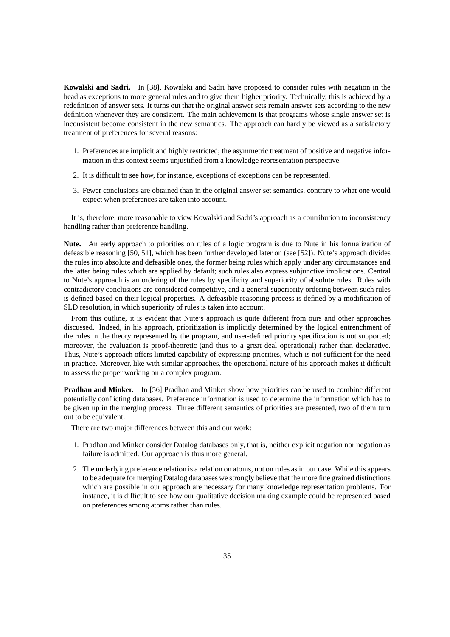**Kowalski and Sadri.** In [38], Kowalski and Sadri have proposed to consider rules with negation in the head as exceptions to more general rules and to give them higher priority. Technically, this is achieved by a redefinition of answer sets. It turns out that the original answer sets remain answer sets according to the new definition whenever they are consistent. The main achievement is that programs whose single answer set is inconsistent become consistent in the new semantics. The approach can hardly be viewed as a satisfactory treatment of preferences for several reasons:

- 1. Preferences are implicit and highly restricted; the asymmetric treatment of positive and negative information in this context seems unjustified from a knowledge representation perspective.
- 2. It is difficult to see how, for instance, exceptions of exceptions can be represented.
- 3. Fewer conclusions are obtained than in the original answer set semantics, contrary to what one would expect when preferences are taken into account.

It is, therefore, more reasonable to view Kowalski and Sadri's approach as a contribution to inconsistency handling rather than preference handling.

**Nute.** An early approach to priorities on rules of a logic program is due to Nute in his formalization of defeasible reasoning [50, 51], which has been further developed later on (see [52]). Nute's approach divides the rules into absolute and defeasible ones, the former being rules which apply under any circumstances and the latter being rules which are applied by default; such rules also express subjunctive implications. Central to Nute's approach is an ordering of the rules by specificity and superiority of absolute rules. Rules with contradictory conclusions are considered competitive, and a general superiority ordering between such rules is defined based on their logical properties. A defeasible reasoning process is defined by a modification of SLD resolution, in which superiority of rules is taken into account.

From this outline, it is evident that Nute's approach is quite different from ours and other approaches discussed. Indeed, in his approach, prioritization is implicitly determined by the logical entrenchment of the rules in the theory represented by the program, and user-defined priority specification is not supported; moreover, the evaluation is proof-theoretic (and thus to a great deal operational) rather than declarative. Thus, Nute's approach offers limited capability of expressing priorities, which is not sufficient for the need in practice. Moreover, like with similar approaches, the operational nature of his approach makes it difficult to assess the proper working on a complex program.

**Pradhan and Minker.** In [56] Pradhan and Minker show how priorities can be used to combine different potentially conflicting databases. Preference information is used to determine the information which has to be given up in the merging process. Three different semantics of priorities are presented, two of them turn out to be equivalent.

There are two major differences between this and our work:

- 1. Pradhan and Minker consider Datalog databases only, that is, neither explicit negation nor negation as failure is admitted. Our approach is thus more general.
- 2. The underlying preference relation is a relation on atoms, not on rules as in our case. While this appears to be adequate for merging Datalog databases we strongly believe that the more fine grained distinctions which are possible in our approach are necessary for many knowledge representation problems. For instance, it is difficult to see how our qualitative decision making example could be represented based on preferences among atoms rather than rules.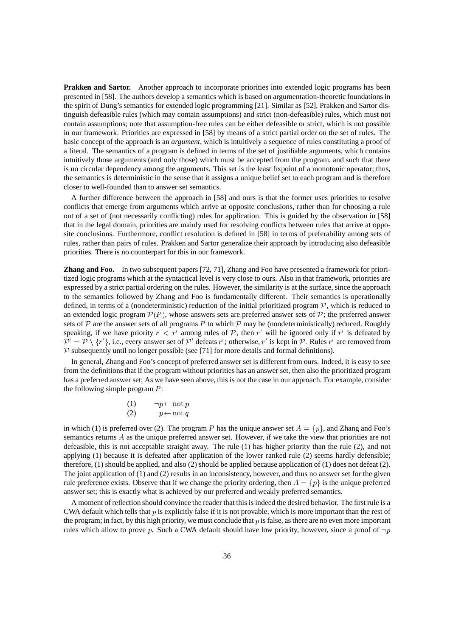**Prakken and Sartor.** Another approach to incorporate priorities into extended logic programs has been presented in [58]. The authors develop a semantics which is based on argumentation-theoretic foundations in the spirit of Dung's semantics for extended logic programming [21]. Similar as [52], Prakken and Sartor distinguish defeasible rules (which may contain assumptions) and strict (non-defeasible) rules, which must not contain assumptions; note that assumption-free rules can be either defeasible or strict, which is not possible in our framework. Priorities are expressed in [58] by means of a strict partial order on the set of rules. The basic concept of the approach is an *argument*, which is intuitively a sequence of rules constituting a proof of a literal. The semantics of a program is defined in terms of the set of justifiable arguments, which contains intuitively those arguments (and only those) which must be accepted from the program, and such that there is no circular dependency among the arguments. This set is the least fixpoint of a monotonic operator; thus, the semantics is deterministic in the sense that it assigns a unique belief set to each program and is therefore closer to well-founded than to answer set semantics.

A further difference between the approach in [58] and ours is that the former uses priorities to resolve conflicts that emerge from arguments which arrive at opposite conclusions, rather than for choosing a rule out of a set of (not necessarily conflicting) rules for application. This is guided by the observation in [58] that in the legal domain, priorities are mainly used for resolving conflicts between rules that arrive at opposite conclusions. Furthermore, conflict resolution is defined in [58] in terms of preferability among sets of rules, rather than pairs of rules. Prakken and Sartor generalize their approach by introducing also defeasible priorities. There is no counterpart for this in our framework.

**Zhang and Foo.** In two subsequent papers [72, 71], Zhang and Foo have presented a framework for prioritized logic programs which at the syntactical level is very close to ours. Also in that framework, priorities are expressed by a strict partial ordering on the rules. However, the similarity is at the surface, since the approach to the semantics followed by Zhang and Foo is fundamentally different. Their semantics is operationally defined, in terms of a (nondeterministic) reduction of the initial prioritized program  $P$ , which is reduced to an extended logic program  $\mathcal{P}(P)$ , whose answers sets are preferred answer sets of P; the preferred answer sets of  $P$  are the answer sets of all programs P to which P may be (nondeterministically) reduced. Roughly speaking, if we have priority  $r < r'$  among rules of P, then r' will be ignored only if r' is defeated by  $\mathcal{P}' = \mathcal{P} \setminus \{r'\},$  i.e., every answer set of  $\mathcal{P}'$  defeats r'; otherwise, r' is kept in  $\mathcal{P}$ . Rules r' are removed from  $P$  subsequently until no longer possible (see [71] for more details and formal definitions).

In general, Zhang and Foo's concept of preferred answer set is different from ours. Indeed, it is easy to see from the definitions that if the program without priorities has an answer set, then also the prioritized program has a preferred answer set; As we have seen above, this is not the case in our approach. For example, consider the following simple program  $P$ :

(1) 
$$
\neg p \leftarrow \text{not } p
$$
  
(2)  $\neg p \leftarrow \text{not } q$ 

in which (1) is preferred over (2). The program P has the unique answer set  $A = \{p\}$ , and Zhang and Foo's semantics returns A as the unique preferred answer set. However, if we take the view that priorities are not defeasible, this is not acceptable straight away. The rule (1) has higher priority than the rule (2), and not applying (1) because it is defeated after application of the lower ranked rule (2) seems hardly defensible; therefore, (1) should be applied, and also (2) should be applied because application of (1) does not defeat (2). The joint application of (1) and (2) results in an inconsistency, however, and thus no answer set for the given rule preference exists. Observe that if we change the priority ordering, then  $A = \{p\}$  is the unique preferred answer set; this is exactly what is achieved by our preferred and weakly preferred semantics.

A moment of reflection should convince the reader that this is indeed the desired behavior. The first rule is a CWA default which tells that <sup>p</sup> is explicitly false if it is not provable, which is more important than the rest of the program; in fact, by this high priority, we must conclude that  $p$  is false, as there are no even more important rules which allow to prove p. Such a CWA default should have low priority, however, since a proof of  $\neg p$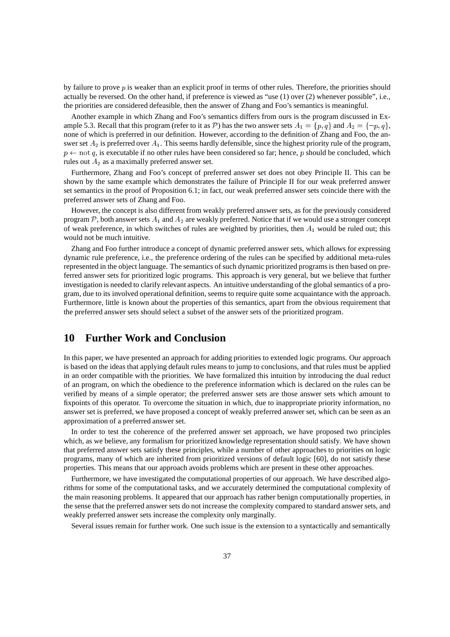by failure to prove p is weaker than an explicit proof in terms of other rules. Therefore, the priorities should actually be reversed. On the other hand, if preference is viewed as "use (1) over (2) whenever possible", i.e., the priorities are considered defeasible, then the answer of Zhang and Foo's semantics is meaningful.

Another example in which Zhang and Foo's semantics differs from ours is the program discussed in Example 5.3. Recall that this program (refer to it as P) has the two answer sets  $A_1 = \{p, q\}$  and  $A_2 = \{\neg p, q\}$ , none of which is preferred in our definition. However, according to the definition of Zhang and Foo, the answer set  $A_2$  is preferred over  $A_1$ . This seems hardly defensible, since the highest priority rule of the program,  $p \leftarrow$  not q, is executable if no other rules have been considered so far; hence, p should be concluded, which rules out  $A_2$  as a maximally preferred answer set.

Furthermore, Zhang and Foo's concept of preferred answer set does not obey Principle II. This can be shown by the same example which demonstrates the failure of Principle II for our weak preferred answer set semantics in the proof of Proposition 6.1; in fact, our weak preferred answer sets coincide there with the preferred answer sets of Zhang and Foo.

However, the concept is also different from weakly preferred answer sets, as for the previously considered program  $\mathcal P$ , both answer sets  $A_1$  and  $A_2$  are weakly preferred. Notice that if we would use a stronger concept of weak preference, in which switches of rules are weighted by priorities, then  $A_1$  would be ruled out; this would not be much intuitive.

Zhang and Foo further introduce a concept of dynamic preferred answer sets, which allows for expressing dynamic rule preference, i.e., the preference ordering of the rules can be specified by additional meta-rules represented in the object language. The semantics of such dynamic prioritized programs is then based on preferred answer sets for prioritized logic programs. This approach is very general, but we believe that further investigation is needed to clarify relevant aspects. An intuitive understanding of the global semantics of a program, due to its involved operational definition, seems to require quite some acquaintance with the approach. Furthermore, little is known about the properties of this semantics, apart from the obvious requirement that the preferred answer sets should select a subset of the answer sets of the prioritized program.

## **10 Further Work and Conclusion**

In this paper, we have presented an approach for adding priorities to extended logic programs. Our approach is based on the ideas that applying default rules means to jump to conclusions, and that rules must be applied in an order compatible with the priorities. We have formalized this intuition by introducing the dual reduct of an program, on which the obedience to the preference information which is declared on the rules can be verified by means of a simple operator; the preferred answer sets are those answer sets which amount to fixpoints of this operator. To overcome the situation in which, due to inappropriate priority information, no answer set is preferred, we have proposed a concept of weakly preferred answer set, which can be seen as an approximation of a preferred answer set.

In order to test the coherence of the preferred answer set approach, we have proposed two principles which, as we believe, any formalism for prioritized knowledge representation should satisfy. We have shown that preferred answer sets satisfy these principles, while a number of other approaches to priorities on logic programs, many of which are inherited from prioritized versions of default logic [60], do not satisfy these properties. This means that our approach avoids problems which are present in these other approaches.

Furthermore, we have investigated the computational properties of our approach. We have described algorithms for some of the computational tasks, and we accurately determined the computational complexity of the main reasoning problems. It appeared that our approach has rather benign computationally properties, in the sense that the preferred answer sets do not increase the complexity compared to standard answer sets, and weakly preferred answer sets increase the complexity only marginally.

Several issues remain for further work. One such issue is the extension to a syntactically and semantically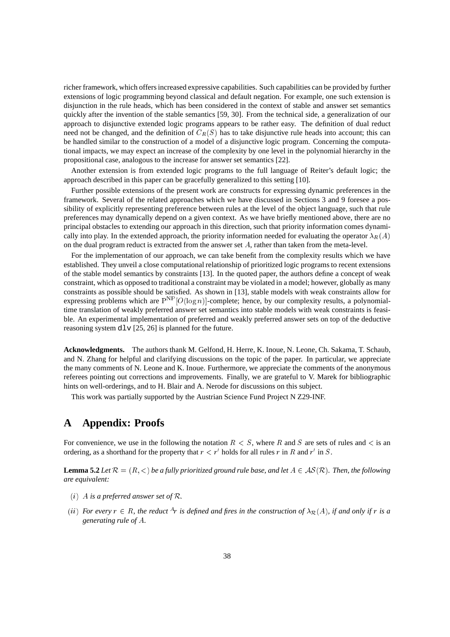richer framework, which offers increased expressive capabilities. Such capabilities can be provided by further extensions of logic programming beyond classical and default negation. For example, one such extension is disjunction in the rule heads, which has been considered in the context of stable and answer set semantics quickly after the invention of the stable semantics [59, 30]. From the technical side, a generalization of our approach to disjunctive extended logic programs appears to be rather easy. The definition of dual reduct need not be changed, and the definition of  $C_R(S)$  has to take disjunctive rule heads into account; this can be handled similar to the construction of a model of a disjunctive logic program. Concerning the computational impacts, we may expect an increase of the complexity by one level in the polynomial hierarchy in the propositional case, analogous to the increase for answer set semantics [22].

Another extension is from extended logic programs to the full language of Reiter's default logic; the approach described in this paper can be gracefully generalized to this setting [10].

Further possible extensions of the present work are constructs for expressing dynamic preferences in the framework. Several of the related approaches which we have discussed in Sections 3 and 9 foresee a possibility of explicitly representing preference between rules at the level of the object language, such that rule preferences may dynamically depend on a given context. As we have briefly mentioned above, there are no principal obstacles to extending our approach in this direction, such that priority information comes dynamically into play. In the extended approach, the priority information needed for evaluating the operator  $\lambda_R(A)$ on the dual program reduct is extracted from the answer set A, rather than taken from the meta-level.

For the implementation of our approach, we can take benefit from the complexity results which we have established. They unveil a close computational relationship of prioritized logic programs to recent extensions of the stable model semantics by constraints [13]. In the quoted paper, the authors define a concept of weak constraint, which as opposed to traditional a constraint may be violated in a model; however, globally as many constraints as possible should be satisfied. As shown in [13], stable models with weak constraints allow for expressing problems which are  $P^{NP}[O(\log n)]$ -complete; hence, by our complexity results, a polynomialtime translation of weakly preferred answer set semantics into stable models with weak constraints is feasible. An experimental implementation of preferred and weakly preferred answer sets on top of the deductive reasoning system  $dlv$  [25, 26] is planned for the future.

**Acknowledgments.** The authors thank M. Gelfond, H. Herre, K. Inoue, N. Leone, Ch. Sakama, T. Schaub, and N. Zhang for helpful and clarifying discussions on the topic of the paper. In particular, we appreciate the many comments of N. Leone and K. Inoue. Furthermore, we appreciate the comments of the anonymous referees pointing out corrections and improvements. Finally, we are grateful to V. Marek for bibliographic hints on well-orderings, and to H. Blair and A. Nerode for discussions on this subject.

This work was partially supported by the Austrian Science Fund Project N Z29-INF.

## **A Appendix: Proofs**

For convenience, we use in the following the notation  $R < S$ , where R and S are sets of rules and  $\lt$  is an ordering, as a shorthand for the property that  $r < r'$  holds for all rules r in R and r' in S.

**Lemma 5.2** Let  $\mathcal{R} = (R, \leq)$  be a fully prioritized ground rule base, and let  $A \in \mathcal{AS}(\mathcal{R})$ . Then, the following *are equivalent:*

- (i) A *is a preferred answer set of* <sup>R</sup>*.*
- (*ii*) For every  $r \in R$ , the reduct <sup>A</sup>r is defined and fires in the construction of  $\lambda_{\mathcal{R}}(A)$ , if and only if r is a *generating rule of* <sup>A</sup>*.*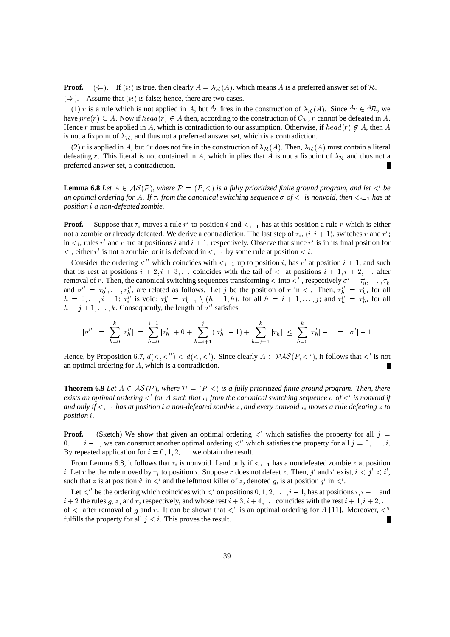**Proof.**  $(\Leftarrow)$ . If (ii) is true, then clearly  $A = \lambda_{\mathcal{R}}(A)$ , which means A is a preferred answer set of R.  $(\Rightarrow)$ . Assume that *(ii)* is false; hence, there are two cases.

(1) r is a rule which is not applied in A, but  ${}^{A}r$  fires in the construction of  $\lambda_{\mathcal{R}}(A)$ . Since  ${}^{A}r \in {}^{A}R$ , we have  $pre(r) \subset A$ . Now if  $head(r) \in A$  then, according to the construction of  $C_{\mathcal{P}}$ , r cannot be defeated in A. Hence r must be applied in A, which is contradiction to our assumption. Otherwise, if  $head(r) \notin A$ , then A is not a fixpoint of  $\lambda_{\mathcal{R}}$ , and thus not a preferred answer set, which is a contradiction.

(2) r is applied in A, but  ${}^{A}r$  does not fire in the construction of  $\lambda_{\cal R}(A)$ . Then,  $\lambda_{\cal R}(A)$  must contain a literal defeating r. This literal is not contained in A, which implies that A is not a fixpoint of  $\lambda_{\mathcal{R}}$  and thus not a preferred answer set, a contradiction.

**Lemma 6.8** *Let*  $A \in AS(\mathcal{P})$ *, where*  $\mathcal{P} = (P, \leq)$  *is a fully prioritized finite ground program, and let*  $\leq'$  *be an optimal ordering for* A. If  $\tau_i$  from the canonical switching sequence  $\sigma$  of  $\lt'$  is nonvoid, then  $\lt_{i-1}$  has at *position* i *a non-defeated zombie.*

**Proof.** Suppose that  $\tau_i$  moves a rule r' to position i and  $\lt_{i-1}$  has at this position a rule r which is either not a zombie or already defeated. We derive a contradiction. The last step of  $\tau_i$ ,  $(i, i + 1)$ , switches r and r'; in  $\lt_i$ , rules r' and r are at positions i and  $i + 1$ , respectively. Observe that since r' is in its final position for  $\langle \cdot \rangle$ , either r' is not a zombie, or it is defeated in  $\langle \cdot \rangle_{i-1}$  by some rule at position  $\langle i \rangle$ .

Consider the ordering  $\lt''$  which coincides with  $\lt_{i-1}$  up to position i, has r' at position  $i + 1$ , and such that its rest at positions  $i + 2$ ,  $i + 3$ ,... coincides with the tail of  $\lt'$  at positions  $i + 1$ ,  $i + 2$ ,... after removal of r. Then, the canonical switching sequences transforming  $\lt$  into  $\lt'$ , respectively  $\sigma' = \tau'_0, \ldots, \tau'_k$ and  $\sigma'' = \tau_0'', \ldots, \tau_k'',$  are related as follows. Let j be the position of r in  $\langle \cdot \rangle$ . Then,  $\tau_k'' = \tau_k'$ , for all  $h = 0, \ldots, i-1; \tau_i''$  is void;  $\tau_h'' = \tau_{h-1}' \setminus (h-1, h)$ , for all  $h = i+1, \ldots, j$ ; and  $\tau_h'' = \tau_h'$ , for all  $h = j + 1, \ldots, k$ . Consequently, the length of  $\sigma''$  satisfies

$$
|\sigma''| = \sum_{h=0}^k |\tau''_h| = \sum_{h=0}^{i-1} |\tau'_h| + 0 + \sum_{h=i+1}^j (|\tau'_h| - 1) + \sum_{h=j+1}^k |\tau'_h| \le \sum_{h=0}^k |\tau'_h| - 1 = |\sigma'| - 1
$$

Hence, by Proposition 6.7,  $d(<, <') < d(<, <')$ . Since clearly  $A \in \mathcal{PAS}(P, <'')$ , it follows that  $<'$  is not an optimal ordering for <sup>A</sup>, which is a contradiction.

**Theorem 6.9** Let  $A \in AS(\mathcal{P})$ *, where*  $\mathcal{P} = (P, \leq)$  *is a fully prioritized finite ground program. Then, there exists an optimal ordering*  $\lt'$  *for* A *such that*  $\tau_i$  *from the canonical switching sequence*  $\sigma$  *of*  $\lt'$  *is nonvoid if* and only if  $\lt_{i-1}$  has at position i a non-defeated zombie z, and every nonvoid  $\tau_i$  moves a rule defeating z to *position* i*.*

**Proof.** (Sketch) We show that given an optimal ordering  $\lt'$  which satisfies the property for all  $j =$  $0, \ldots, i-1$ , we can construct another optimal ordering  $\lt'$ " which satisfies the property for all  $j = 0, \ldots, i$ . By repeated application for  $i = 0, 1, 2, \ldots$  we obtain the result.

From Lemma 6.8, it follows that  $\tau_i$  is nonvoid if and only if  $\langle i_1 \rangle$  has a nondefeated zombie z at position i. Let r be the rule moved by  $\tau_i$  to position i. Suppose r does not defeat z. Then, j' and i' exist,  $i < j' < i'$ , such that z is at position i' in <' and the leftmost killer of z, denoted g, is at position j' in <'.

Let  $\lt'$  be the ordering which coincides with  $\lt'$  on positions  $0, 1, 2, \ldots, i - 1$ , has at positions  $i, i + 1$ , and  $i + 2$  the rules g, z, and r, respectively, and whose rest  $i + 3$ ,  $i + 4$ ,... coincides with the rest  $i + 1$ ,  $i + 2$ ,... of  $\lt'$  after removal of g and r. It can be shown that  $\lt''$  is an optimal ordering for A [11]. Moreover,  $\lt''$ fulfills the property for all  $j \leq i$ . This proves the result. П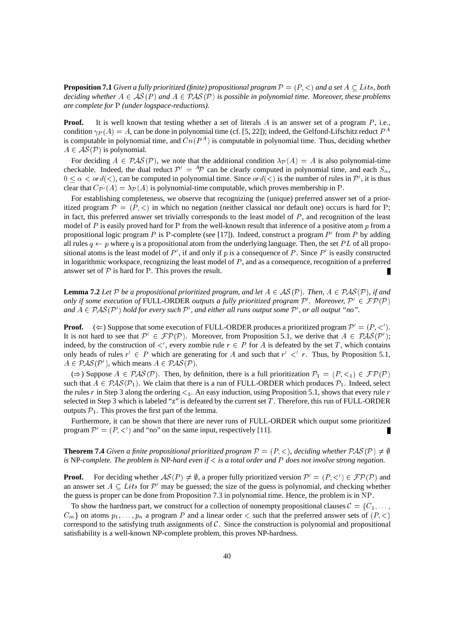**Proposition 7.1** *Given a fully prioritized (finite) propositional program*  $P = (P, \leq)$  *and a set*  $A \subseteq Lits$ *, both deciding whether*  $A \in AS(P)$  *and*  $A \in PAS(P)$  *is possible in polynomial time. Moreover, these problems are complete for* <sup>P</sup> *(under logspace-reductions).*

**Proof.** It is well known that testing whether a set of literals A is an answer set of a program  $P$ , i.e., condition  $\gamma_P(A) = A$ , can be done in polynomial time (cf. [5, 22]); indeed, the Gelfond-Lifschitz reduct  $P^A$ is computable in polynomial time, and  $Cn(P^A)$  is computable in polynomial time. Thus, deciding whether  $A \in AS(\mathcal{P})$  is polynomial.

For deciding  $A \in PAS(\mathcal{P})$ , we note that the additional condition  $\lambda_{\mathcal{P}}(A) = A$  is also polynomial-time checkable. Indeed, the dual reduct  $P' = {}^{A}P$  can be clearly computed in polynomial time, and each  $S_{\alpha}$ ,  $0 \le \alpha < \text{ord}(\le)$ , can be computed in polynomial time. Since  $\text{ord}(\le)$  is the number of rules in  $\mathcal{P}'$ , it is thus clear that  $C_{\mathcal{P}}(A) = \lambda_{\mathcal{P}}(A)$  is polynomial-time computable, which proves membership in P.

For establishing completeness, we observe that recognizing the (unique) preferred answer set of a prioritized program  $\mathcal{P} = (P, \langle)$  in which no negation (neither classical nor default one) occurs is hard for P; in fact, this preferred answer set trivially corresponds to the least model of  $P$ , and recognition of the least model of P is easily proved hard for P from the well-known result that inference of a positive atom  $p$  from a propositional logic program P is P-complete (see [17]). Indeed, construct a program  $P'$  from P by adding all rules  $q \leftarrow p$  where q is a propositional atom from the underlying language. Then, the set PL of all propositional atoms is the least model of  $P'$ , if and only if p is a consequence of P. Since  $P'$  is easily constructed in logarithmic workspace, recognizing the least model of  $P$ , and as a consequence, recognition of a preferred answer set of  $P$  is hard for P. This proves the result.

**Lemma 7.2** *Let* P *be a propositional prioritized program, and let*  $A \in AS(\mathcal{P})$ *. Then,*  $A \in PAS(\mathcal{P})$ *, if and only if some execution of FULL-ORDER outputs a fully prioritized program*  $P'$ . Moreover,  $P' \in \mathcal{FP}(P)$ and  $A \in \mathcal{PAS}(\mathcal{P}')$  hold for every such  $\mathcal{P}'$ , and either all runs output some  $\mathcal{P}'$ , or all output "no".

**Proof.**  $(\Leftarrow)$  Suppose that some execution of FULL-ORDER produces a prioritized program  $\mathcal{P}' = (P, \lt')$ . It is not hard to see that  $P' \in \mathcal{FP}(P)$ . Moreover, from Proposition 5.1, we derive that  $A \in \mathcal{PAS}(P')$ ; indeed, by the construction of  $\lt'$ , every zombie rule  $r \in P$  for A is defeated by the set T, which contains only heads of rules  $r' \in P$  which are generating for A and such that  $r' < r$ . Thus, by Proposition 5.1,  $A \in PAS(P')$ , which means  $A \in PAS(P)$ .

 $(\Rightarrow)$  Suppose  $A \in PAS(\mathcal{P})$ . Then, by definition, there is a full prioritization  $\mathcal{P}_1 = (P, \langle \cdot_1 \rangle \in \mathcal{FP}(\mathcal{P})$ such that  $A \in \mathcal{PAS}(\mathcal{P}_1)$ . We claim that there is a run of FULL-ORDER which produces  $\mathcal{P}_1$ . Indeed, select the rules r in Step 3 along the ordering  $\leq_1$ . An easy induction, using Proposition 5.1, shows that every rule r selected in Step 3 which is labeled "z" is defeated by the current set  $T$ . Therefore, this run of FULL-ORDER outputs  $P_1$ . This proves the first part of the lemma.

Furthermore, it can be shown that there are never runs of FULL-ORDER which output some prioritized program  $\mathcal{P}' = (P, \langle \rangle)$  and "no" on the same input, respectively [11].

**Theorem 7.4** *Given a finite propositional prioritized program*  $\mathcal{P} = (P, \langle \rangle)$ *, deciding whether*  $\mathcal{PAS}(\mathcal{P}) \neq \emptyset$ *is* NP*-complete. The problem is* NP*-hard even if* < *is a total order and* P *does not involve strong negation.*

**Proof.** For deciding whether  $AS(P) \neq \emptyset$ , a proper fully prioritized version  $P' = (P, \langle \cdot \rangle \in \mathcal{FP}(P)$  and an answer set  $A \subseteq List$  for P' may be guessed; the size of the guess is polynomial, and checking whether the guess is proper can be done from Proposition 7.3 in polynomial time. Hence, the problem is in NP.

To show the hardness part, we construct for a collection of nonempty propositional clauses  $C = \{C_1, \ldots, C_k\}$  $C_m$  on atoms  $p_1, \ldots, p_n$  a program P and a linear order  $\lt$  such that the preferred answer sets of  $(P, \lt)$ correspond to the satisfying truth assignments of  $C$ . Since the construction is polynomial and propositional satisfiability is a well-known NP-complete problem, this proves NP-hardness.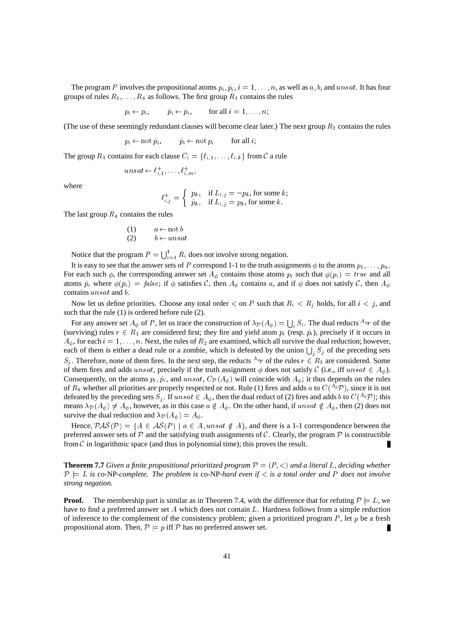The program P involves the propositional atoms  $p_i$ ,  $\hat{p}_i$ ,  $i = 1, \ldots, n$ , as well as a, b, and unsat. It has four groups of rules  $R_1, \ldots, R_4$  as follows. The first group  $R_1$  contains the rules

$$
p_i \leftarrow p_i
$$
,  $\hat{p}_i \leftarrow \hat{p}_i$ , for all  $i = 1, ..., n$ ;

(The use of these seemingly redundant clauses will become clear later.) The next group  $R_2$  contains the rules

$$
p_i \leftarrow \text{not } \hat{p}_i, \qquad \hat{p}_i \leftarrow \text{not } p_i \qquad \text{for all } i;
$$

The group  $R_3$  contains for each clause  $C_i = \{\ell_{i,1}, \ldots, \ell_{i,k}\}\$ from C a rule

$$
unsat \leftarrow \ell_{i,1}^+, \ldots, \ell_{i,m}^+,
$$

where

$$
\ell_{i,j}^+ = \begin{cases} p_k, & \text{if } L_{i,j} = \neg p_k \text{, for some } k; \\ \hat{p}_k, & \text{if } L_{i,j} = p_k \text{, for some } k. \end{cases}
$$

The last group  $R_4$  contains the rules

(1) 
$$
a \leftarrow \text{not } b
$$
  
(2)  $b \leftarrow \text{unsat}$ 

Notice that the program  $P = \bigcup_{i=1}^{4} R_i$  does not involve strong negation.

It is easy to see that the answer sets of P correspond 1-1 to the truth assignments  $\phi$  to the atoms  $p_1, \ldots, p_n$ . For each such  $\phi$ , the corresponding answer set  $A_{\phi}$  contains those atoms  $p_i$  such that  $\phi(p_i) = true$  and all atoms  $\hat{p}_i$  where  $\phi(p_i) = false$ ; if  $\phi$  satisfies C, then  $A_{\phi}$  contains a, and if  $\phi$  does not satisfy C, then  $A_{\phi}$ contains unsat and b.

Now let us define priorities. Choose any total order  $\lt$  on P such that  $R_i \lt R_j$  holds, for all  $i \lt j$ , and such that the rule (1) is ordered before rule (2).

For any answer set  $A_{\phi}$  of P, let us trace the construction of  $\lambda_{\mathcal{P}}(A_{\phi}) = \bigcup_i S_i$ . The dual reducts  $^{A_{\phi}}r$  of the (surviving) rules  $r \in R_1$  are considered first; they fire and yield atom  $p_i$  (resp.  $\hat{p}_i$ ), precisely if it occurs in  $A_{\phi}$ , for each  $i = 1, \ldots, n$ . Next, the rules of  $R_2$  are examined, which all survive the dual reduction; however, each of them is either a dead rule or a zombie, which is defeated by the union  $\bigcup_j S_j$  of the preceding sets  $S_j$ . Therefore, none of them fires. In the next step, the reducts  ${}^{A_{\phi r}}$  of the rules  $r \in R_3$  are considered. Some of them fires and adds unsat, precisely if the truth assignment  $\phi$  does not satisfy C (i.e., iff unsat  $\in A_{\phi}$ ). Consequently, on the atoms  $p_i$ ,  $\hat{p}_i$ , and unsat,  $C_P (A_{\phi})$  will coincide with  $A_{\phi}$ ; it thus depends on the rules of  $R_4$  whether all priorities are properly respected or not. Rule (1) fires and adds a to  $C(^{A_{\phi}}\mathcal{P})$ , since it is not defeated by the preceding sets  $S_j$ . If  $unsat \in A_\phi$ , then the dual reduct of (2) fires and adds b to  $C(^{A_\phi}\mathcal{P})$ ; this means  $\lambda_{\mathcal{P}}(A_{\phi}) \neq A_{\phi}$ , however, as in this case  $a \notin A_{\phi}$ . On the other hand, if  $unsat \notin A_{\phi}$ , then (2) does not survive the dual reduction and  $\lambda_{\mathcal{P}}(A_{\phi}) = A_{\phi}$ .

Hence,  $PAS(P) = \{A \in AS(P) \mid a \in A, unsat \notin A\}$ , and there is a 1-1 correspondence between the preferred answer sets of  $\mathcal P$  and the satisfying truth assignments of C. Clearly, the program  $\mathcal P$  is constructible from  $\mathcal C$  in logarithmic space (and thus in polynomial time); this proves the result. П

**Theorem 7.7** *Given a finite propositional prioritized program*  $P = (P, \langle)$  *and a literal L, deciding whether*  $\mathcal{P} \models L$  *is* co-NP-complete. The problem is co-NP-hard even if  $\lt$  *is a total order and* P *does not involve strong negation.*

**Proof.** The membership part is similar as in Theorem 7.4, with the difference that for refuting  $P \models L$ , we have to find a preferred answer set A which does not contain  $L$ . Hardness follows from a simple reduction of inference to the complement of the consistency problem; given a prioritized program  $P$ , let  $p$  be a fresh propositional atom. Then,  $P \models p$  iff P has no preferred answer set.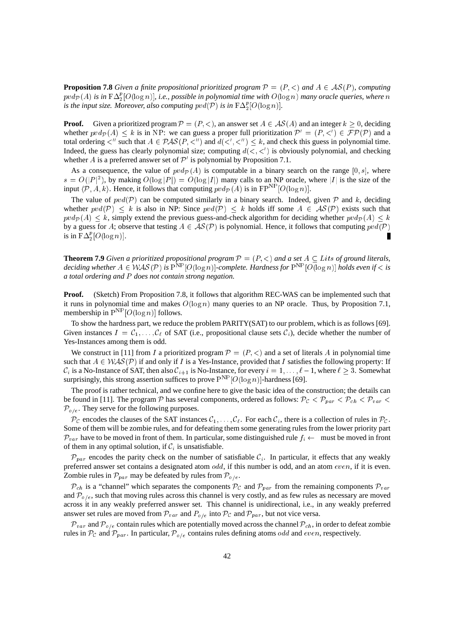**Proposition 7.8** *Given a finite propositional prioritized program*  $\mathcal{P} = (P, \leq)$  *and*  $A \in \mathcal{AS}(P)$ *, computing*  $pvd_{\mathcal{P}}(A)$  is in  $\mathrm{F}\Delta^p_2[O(\log n)]$ , i.e., possible in polynomial time with  $O(\log n)$  many oracle queries, where n *is the input size. Moreover, also computing*  $\text{pvd}(\mathcal{P})$  *is in*  $\text{FA}_2^p[O(\log n)]$ *.* 

**Proof.** Given a prioritized program  $\mathcal{P} = (P, \leq)$ , an answer set  $A \in \mathcal{AS}(A)$  and an integer  $k > 0$ , deciding whether  $pvd_{\mathcal{P}}(A) \leq k$  is in NP: we can guess a proper full prioritization  $\mathcal{P}' = (P, \langle \cdot \rangle) \in \mathcal{FP}(\mathcal{P})$  and a total ordering  $\langle u \rangle^0$  such that  $A \in \mathcal{PAS}(P, \langle v \rangle)$  and  $d(\langle v', v'') \leq k$ , and check this guess in polynomial time. Indeed, the guess has clearly polynomial size; computing  $d\langle \langle, \langle \rangle \rangle$  is obviously polynomial, and checking whether A is a preferred answer set of  $\mathcal{P}'$  is polynomial by Proposition 7.1.

As a consequence, the value of  $pvd_{\mathcal{P}}(A)$  is computable in a binary search on the range [0, s], where  $s = O(|P|^2)$ , by making  $O(\log |P|) = O(\log |I|)$  many calls to an NP oracle, where |I| is the size of the input  $\langle P, A, k \rangle$ . Hence, it follows that computing  $pvd_{\mathcal{P}}(A)$  is in  $\text{FP}^{\text{NP}}[O(\log n)]$ .

The value of  $pvd(\mathcal{P})$  can be computed similarly in a binary search. Indeed, given  $\mathcal P$  and k, deciding whether  $pvd(\mathcal{P}) \leq k$  is also in NP: Since  $pvd(\mathcal{P}) \leq k$  holds iff some  $A \in AS(\mathcal{P})$  exists such that  $pvd_{\mathcal{P}}(A) \leq k$ , simply extend the previous guess-and-check algorithm for deciding whether  $pvd_{\mathcal{P}}(A) \leq k$ by a guess for A; observe that testing  $A \in \mathcal{AS}(\mathcal{P})$  is polynomial. Hence, it follows that computing  $\text{pvd}(\mathcal{P})$ is in  $\mathrm{F}\Delta_2^p[O(\log n)]$ .

**Theorem 7.9** *Given a prioritized propositional program*  $P = (P, \langle \rangle)$  *and a set*  $A \subseteq$  *Lits of ground literals, deciding whether*  $A \in WAS(\mathcal{P})$  *is*  $P^{NP}[O(\log n)]$ *-complete. Hardness for*  $P^{NP}[O(\log n)]$  *holds even if* < *is a total ordering and* <sup>P</sup> *does not contain strong negation.*

**Proof.** (Sketch) From Proposition 7.8, it follows that algorithm REC-WAS can be implemented such that it runs in polynomial time and makes  $O(\log n)$  many queries to an NP oracle. Thus, by Proposition 7.1, membership in  $P^{NP}[O(\log n)]$  follows.

To show the hardness part, we reduce the problem PARITY(SAT) to our problem, which is as follows [69]. Given instances  $I = C_1, \ldots, C_\ell$  of SAT (i.e., propositional clause sets  $C_i$ ), decide whether the number of Yes-Instances among them is odd.

We construct in [11] from I a prioritized program  $\mathcal{P} = (P, \leq)$  and a set of literals A in polynomial time such that  $A \in WAS(\mathcal{P})$  if and only if I is a Yes-Instance, provided that I satisfies the following property: If  $C_i$  is a No-Instance of SAT, then also  $C_{i+1}$  is No-Instance, for every  $i = 1, \ldots, \ell - 1$ , where  $\ell > 3$ . Somewhat surprisingly, this strong assertion suffices to prove  $P^{NP}[O(\log n)]$ -hardness [69].

The proof is rather technical, and we confine here to give the basic idea of the construction; the details can be found in [11]. The program  $P$  has several components, ordered as follows:  $P_C < P_{par} < P_{ch} < P_{var} <$  $P_{o/e}$ . They serve for the following purposes.

 $\mathcal{P}_{\mathcal{C}}$  encodes the clauses of the SAT instances  $\mathcal{C}_1, \ldots, \mathcal{C}_{\ell}$ . For each  $\mathcal{C}_i$ , there is a collection of rules in  $\mathcal{P}_{\mathcal{C}}$ . Some of them will be zombie rules, and for defeating them some generating rules from the lower priority part  $\mathcal{P}_{var}$  have to be moved in front of them. In particular, some distinguished rule  $f_i \leftarrow \text{must be moved in front}$ of them in any optimal solution, if  $\mathcal{C}_i$  is unsatisfiable.

 $\mathcal{P}_{par}$  encodes the parity check on the number of satisfiable  $\mathcal{C}_i$ . In particular, it effects that any weakly preferred answer set contains a designated atom odd, if this number is odd, and an atom even, if it is even. Zombie rules in  $\mathcal{P}_{par}$  may be defeated by rules from  $\mathcal{P}_{o/e}$ .

 $P_{ch}$  is a "channel" which separates the components  $P_c$  and  $P_{par}$  from the remaining components  $P_{var}$ and  $\mathcal{P}_{o/e}$ , such that moving rules across this channel is very costly, and as few rules as necessary are moved across it in any weakly preferred answer set. This channel is unidirectional, i.e., in any weakly preferred answer set rules are moved from  $P_{var}$  and  $P_{o/e}$  into  $P_{C}$  and  $P_{par}$ , but not vice versa.

 $p_{var}$  and  $p_{ole}$  contain rules which are potentially moved across the channel  $p_{ch}$ , in order to defeat zombie rules in  $\mathcal{P}_c$  and  $\mathcal{P}_{par}$ . In particular,  $\mathcal{P}_{o/e}$  contains rules defining atoms *odd* and *even*, respectively.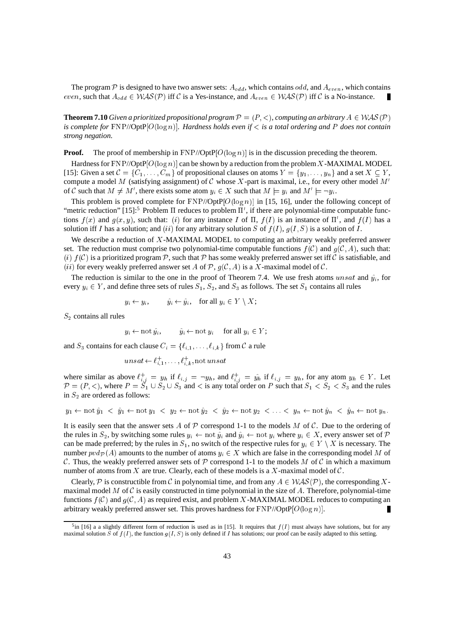The program P is designed to have two answer sets:  $A_{odd}$ , which contains *odd*, and  $A_{even}$ , which contains even, such that  $A_{odd} \in WAS(\mathcal{P})$  iff C is a Yes-instance, and  $A_{even} \in WAS(\mathcal{P})$  iff C is a No-instance.

**Theorem 7.10** *Given a prioritized propositional program*  $P = (P, \lt)$ *, computing an arbitrary*  $A \in WAS(P)$ *is complete for* FNP//OptP[O(log n)]*. Hardness holds even if* < *is a total ordering and* P *does not contain strong negation.*

**Proof.** The proof of membership in  $FNP/OptP[O(\log n)]$  is in the discussion preceding the theorem.

Hardness for FNP//OptP[ $O(log n)$ ] can be shown by a reduction from the problem X-MAXIMAL MODEL [15]: Given a set  $\mathcal{C} = \{C_1, \ldots, C_m\}$  of propositional clauses on atoms  $Y = \{y_1, \ldots, y_n\}$  and a set  $X \subseteq Y$ , compute a model  $M$  (satisfying assignment) of  $C$  whose  $X$ -part is maximal, i.e., for every other model  $M'$ of C such that  $M \neq M'$ , there exists some atom  $y_i \in X$  such that  $M \models y_i$  and  $M' \models \neg y_i$ .

This problem is proved complete for  $FNP/OptP[O(\log n)]$  in [15, 16], under the following concept of "metric reduction" [15]:<sup>5</sup> Problem  $\Pi$  reduces to problem  $\Pi'$ , if there are polynomial-time computable functions  $f(x)$  and  $g(x, y)$ , such that: (i) for any instance I of  $\Pi$ ,  $f(I)$  is an instance of  $\Pi'$ , and  $f(I)$  has a solution iff I has a solution; and (ii) for any arbitrary solution S of  $f(I)$ ,  $g(I, S)$  is a solution of I.

We describe a reduction of X-MAXIMAL MODEL to computing an arbitrary weakly preferred answer set. The reduction must comprise two polynomial-time computable functions  $f(\mathcal{C})$  and  $g(\mathcal{C}, A)$ , such that: (i)  $f(\mathcal{C})$  is a prioritized program  $\mathcal{P}$ , such that  $\mathcal{P}$  has some weakly preferred answer set iff  $\mathcal{C}$  is satisfiable, and (ii) for every weakly preferred answer set A of P,  $g(C, A)$  is a X-maximal model of C.

The reduction is similar to the one in the proof of Theorem 7.4. We use fresh atoms unsat and  $\hat{y}_i$ , for every  $y_i \in Y$ , and define three sets of rules  $S_1$ ,  $S_2$ , and  $S_3$  as follows. The set  $S_1$  contains all rules

$$
y_i \leftarrow y_i
$$
,  $\hat{y}_i \leftarrow \hat{y}_i$ , for all  $y_i \in Y \setminus X$ ;

 $S_2$  contains all rules

$$
y_i \leftarrow \text{not } \hat{y_i}, \qquad \hat{y}_i \leftarrow \text{not } y_i \quad \text{ for all } y_i \in Y;
$$

and  $S_3$  contains for each clause  $C_i = \{\ell_{i,1}, \ldots, \ell_{i,k}\}\$ from C a rule

$$
unsat \leftarrow \ell_{i,1}^+, \ldots, \ell_{i,k}^+, \text{not} \, unsat
$$

where similar as above  $\ell_{i,j}^+ = y_h$  if  $\ell_{i,j} = \neg y_h$ , and  $\ell_{i,j}^+ = \hat{y}_h$  if  $\ell_{i,j} = y_h$ , for any atom  $y_h \in Y$ . Let  $\mathcal{P} = (P, \lt)$ , where  $P = \overline{S}_1 \cup \overline{S}_2 \cup \overline{S}_3$  and  $\lt$  is any total order on P such that  $S_1 \lt S_2 \lt S_3$  and the rules in  $S_2$  are ordered as follows:

$$
y_1 \leftarrow \text{not } \hat{y}_1 < \hat{y}_1 \leftarrow \text{not } y_1 < y_2 \leftarrow \text{not } \hat{y}_2 < \hat{y}_2 \leftarrow \text{not } y_2 < \ldots < y_n \leftarrow \text{not } \hat{y}_n < \hat{y}_n \leftarrow \text{not } y_n.
$$

It is easily seen that the answer sets A of P correspond 1-1 to the models M of C. Due to the ordering of the rules in  $S_2$ , by switching some rules  $y_i \leftarrow \text{not } \hat{y}_i$  and  $\hat{y}_i \leftarrow \text{not } y_i$  where  $y_i \in X$ , every answer set of P can be made preferred; by the rules in  $S_1$ , no switch of the respective rules for  $y_i \in Y \setminus X$  is necessary. The number  $pvd_{\mathcal{P}}(A)$  amounts to the number of atoms  $y_i \in X$  which are false in the corresponding model M of C. Thus, the weakly preferred answer sets of P correspond 1-1 to the models M of C in which a maximum number of atoms from  $X$  are true. Clearly, each of these models is a  $X$ -maximal model of  $\mathcal{C}$ .

Clearly, P is constructible from C in polynomial time, and from any  $A \in WAS(\mathcal{P})$ , the corresponding Xmaximal model  $M$  of  $\mathcal C$  is easily constructed in time polynomial in the size of  $A$ . Therefore, polynomial-time functions  $f(C)$  and  $g(C, A)$  as required exist, and problem X-MAXIMAL MODEL reduces to computing an arbitrary weakly preferred answer set. This proves hardness for  $FNP//OptP[O(\log n)]$ .

<sup>&</sup>lt;sup>5</sup> in [16] a a slightly different form of reduction is used as in [15]. It requires that  $f(I)$  must always have solutions, but for any maximal solution S of  $f(I)$ , the function  $g(I, S)$  is only defined if I has solutions; our proof can be easily adapted to this setting.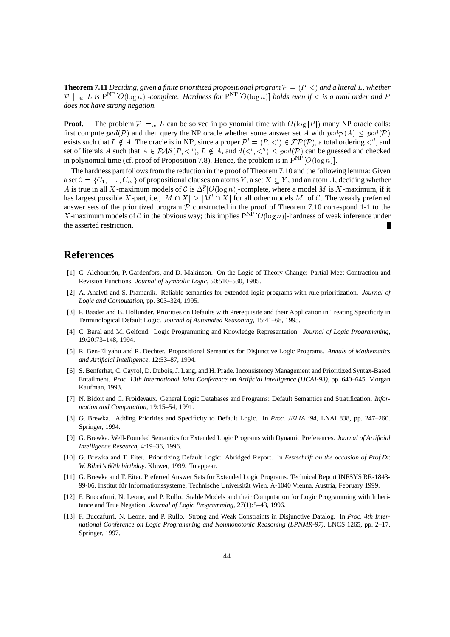**Theorem 7.11** *Deciding, given a finite prioritized propositional program*  $P = (P, \leq)$  *and a literal L, whether*  $\mathcal{P} \models_w L$  *is*  $P^{NP}[O(\log n)]$ *-complete. Hardness for*  $P^{NP}[O(\log n)]$  *holds even if*  $\lt$  *is a total order and* P *does not have strong negation.*

**Proof.** The problem  $P \models_w L$  can be solved in polynomial time with  $O(\log |P|)$  many NP oracle calls: first compute  $pvd(\mathcal{P})$  and then query the NP oracle whether some answer set A with  $pvd_{\mathcal{P}}(A) < pvd(\mathcal{P})$ exists such that  $L \notin A$ . The oracle is in NP, since a proper  $\mathcal{P}' = (P, \langle \cdot \rangle \in \mathcal{FP}(\mathcal{P}),$  a total ordering  $\langle \cdot \rangle$ , and set of literals A such that  $A \in PAS(P, \langle' \rangle)$ ,  $L \notin A$ , and  $d(\langle', \langle'' \rangle) \leq pvd(P)$  can be guessed and checked in polynomial time (cf. proof of Proposition 7.8). Hence, the problem is in  $P^{NP}[O(\log n)]$ .

The hardness part follows from the reduction in the proof of Theorem 7.10 and the following lemma: Given a set  $\mathcal{C} = \{C_1, \ldots, C_m\}$  of propositional clauses on atoms Y, a set  $X \subseteq Y$ , and an atom A, deciding whether A is true in all X-maximum models of C is  $\Delta_2^p[O(\log n)]$ -complete, where a model M is X-maximum, if it has largest possible X-part, i.e.,  $|M \cap X| \geq |M' \cap X|$  for all other models  $M'$  of C. The weakly preferred answer sets of the prioritized program  $P$  constructed in the proof of Theorem 7.10 correspond 1-1 to the X-maximum models of C in the obvious way; this implies  $P^{\text{NP}}[O(\log n)]$ -hardness of weak inference under the asserted restriction. Ш

## **References**

- [1] C. Alchourrón, P. Gärdenfors, and D. Makinson. On the Logic of Theory Change: Partial Meet Contraction and Revision Functions. *Journal of Symbolic Logic*, 50:510–530, 1985.
- [2] A. Analyti and S. Pramanik. Reliable semantics for extended logic programs with rule prioritization. *Journal of Logic and Computation*, pp. 303–324, 1995.
- [3] F. Baader and B. Hollunder. Priorities on Defaults with Prerequisite and their Application in Treating Specificity in Terminological Default Logic. *Journal of Automated Reasoning*, 15:41–68, 1995.
- [4] C. Baral and M. Gelfond. Logic Programming and Knowledge Representation. *Journal of Logic Programming*, 19/20:73–148, 1994.
- [5] R. Ben-Eliyahu and R. Dechter. Propositional Semantics for Disjunctive Logic Programs. *Annals of Mathematics and Artificial Intelligence*, 12:53–87, 1994.
- [6] S. Benferhat, C. Cayrol, D. Dubois, J. Lang, and H. Prade. Inconsistency Management and Prioritized Syntax-Based Entailment. *Proc. 13th International Joint Conference on Artificial Intelligence (IJCAI-93)*, pp. 640–645. Morgan Kaufman, 1993.
- [7] N. Bidoit and C. Froidevaux. General Logic Databases and Programs: Default Semantics and Stratification. *Information and Computation*, 19:15–54, 1991.
- [8] G. Brewka. Adding Priorities and Specificity to Default Logic. In *Proc. JELIA '94*, LNAI 838, pp. 247–260. Springer, 1994.
- [9] G. Brewka. Well-Founded Semantics for Extended Logic Programs with Dynamic Preferences. *Journal of Artificial Intelligence Research*, 4:19–36, 1996.
- [10] G. Brewka and T. Eiter. Prioritizing Default Logic: Abridged Report. In *Festschrift on the occasion of Prof.Dr. W. Bibel's 60th birthday*. Kluwer, 1999. To appear.
- [11] G. Brewka and T. Eiter. Preferred Answer Sets for Extended Logic Programs. Technical Report INFSYS RR-1843- 99-06, Institut für Informationssysteme, Technische Universität Wien, A-1040 Vienna, Austria, February 1999.
- [12] F. Buccafurri, N. Leone, and P. Rullo. Stable Models and their Computation for Logic Programming with Inheritance and True Negation. *Journal of Logic Programming*, 27(1):5–43, 1996.
- [13] F. Buccafurri, N. Leone, and P. Rullo. Strong and Weak Constraints in Disjunctive Datalog. In *Proc. 4th International Conference on Logic Programming and Nonmonotonic Reasoning (LPNMR-97)*, LNCS 1265, pp. 2–17. Springer, 1997.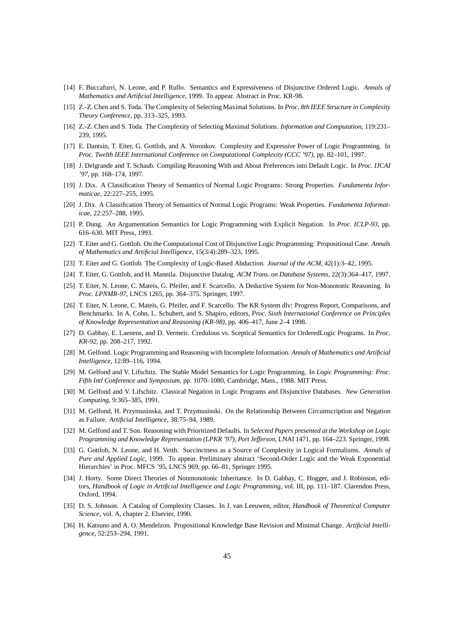- [14] F. Buccafurri, N. Leone, and P. Rullo. Semantics and Expressiveness of Disjunctive Ordered Logic. *Annals of Mathematics and Artificial Intelligence*, 1999. To appear. Abstract in Proc. KR-98.
- [15] Z.-Z. Chen and S. Toda. The Complexity of Selecting Maximal Solutions. In *Proc. 8th IEEE Structure in Complexity Theory Conference*, pp. 313–325, 1993.
- [16] Z.-Z. Chen and S. Toda. The Complexity of Selecting Maximal Solutions. *Information and Computation*, 119:231– 239, 1995.
- [17] E. Dantsin, T. Eiter, G. Gottlob, and A. Voronkov. Complexity and Expressive Power of Logic Programming. In *Proc. Twelth IEEE International Conference on Computational Complexity (CCC '97)*, pp. 82–101, 1997.
- [18] J. Delgrande and T. Schaub. Compiling Reasoning With and About Preferences into Default Logic. In *Proc. IJCAI '97*, pp. 168–174, 1997.
- [19] J. Dix. A Classification Theory of Semantics of Normal Logic Programs: Strong Properties. *Fundamenta Informaticae*, 22:227–255, 1995.
- [20] J. Dix. A Classification Theory of Semantics of Normal Logic Programs: Weak Properties. *Fundamenta Informaticae*, 22:257–288, 1995.
- [21] P. Dung. An Argumentation Semantics for Logic Programming with Explicit Negation. In *Proc. ICLP-93*, pp. 616–630. MIT Press, 1993.
- [22] T. Eiter and G. Gottlob. On the Computational Cost of Disjunctive Logic Programming: Propositional Case. *Annals of Mathematics and Artificial Intelligence*, 15(3/4):289–323, 1995.
- [23] T. Eiter and G. Gottlob. The Complexity of Logic-Based Abduction. *Journal of the ACM*, 42(1):3–42, 1995.
- [24] T. Eiter, G. Gottlob, and H. Mannila. Disjunctive Datalog. *ACM Trans. on Database Systems*, 22(3):364–417, 1997.
- [25] T. Eiter, N. Leone, C. Mateis, G. Pfeifer, and F. Scarcello. A Deductive System for Non-Monotonic Reasoning. In *Proc. LPNMR-97*, LNCS 1265, pp. 364–375. Springer, 1997.
- [26] T. Eiter, N. Leone, C. Mateis, G. Pfeifer, and F. Scarcello. The KR System dlv: Progress Report, Comparisons, and Benchmarks. In A. Cohn, L. Schubert, and S. Shapiro, editors, *Proc. Sixth International Conference on Principles of Knowledge Representation and Reasoning (KR-98)*, pp. 406–417, June 2–4 1998.
- [27] D. Gabbay, E. Laenens, and D. Vermeir. Credulous vs. Sceptical Semantics for OrderedLogic Programs. In *Proc. KR-92*, pp. 208–217, 1992.
- [28] M. Gelfond. Logic Programming and Reasoning with Incomplete Information. *Annals of Mathematics and Artificial Intelligence*, 12:89–116, 1994.
- [29] M. Gelfond and V. Lifschitz. The Stable Model Semantics for Logic Programming. In *Logic Programming: Proc. Fifth Intl Conference and Symposium*, pp. 1070–1080, Cambridge, Mass., 1988. MIT Press.
- [30] M. Gelfond and V. Lifschitz. Classical Negation in Logic Programs and Disjunctive Databases. *New Generation Computing*, 9:365–385, 1991.
- [31] M. Gelfond, H. Przymusinska, and T. Przymusinski. On the Relationship Between Circumscription and Negation as Failure. *Artificial Intelligence*, 38:75–94, 1989.
- [32] M. Gelfond and T. Son. Reasoning with Prioritized Defaults. In *Selected Papers presented at the Workshop on Logic Programming and Knowledge Representation (LPKR '97), Port Jefferson*, LNAI 1471, pp. 164–223. Springer, 1998.
- [33] G. Gottlob, N. Leone, and H. Veith. Succinctness as a Source of Complexity in Logical Formalisms. *Annals of Pure and Applied Logic*, 1999. To appear. Preliminary abstract 'Second-Order Logic and the Weak Exponential Hierarchies' in Proc. MFCS '95, LNCS 969, pp. 66–81, Springer 1995.
- [34] J. Horty. Some Direct Theories of Nonmonotonic Inheritance. In D. Gabbay, C. Hogger, and J. Robinson, editors, *Handbook of Logic in Artificial Intelligence and Logic Programming*, vol. III, pp. 111–187. Clarendon Press, Oxford, 1994.
- [35] D. S. Johnson. A Catalog of Complexity Classes. In J. van Leeuwen, editor, *Handbook of Theoretical Computer Science*, vol. A, chapter 2. Elsevier, 1990.
- [36] H. Katsuno and A. O. Mendelzon. Propositional Knowledge Base Revision and Minimal Change. *Artificial Intelligence*, 52:253–294, 1991.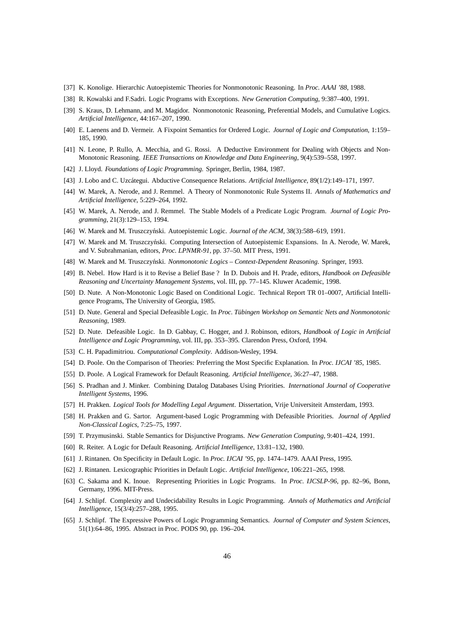- [37] K. Konolige. Hierarchic Autoepistemic Theories for Nonmonotonic Reasoning. In *Proc. AAAI '88*, 1988.
- [38] R. Kowalski and F.Sadri. Logic Programs with Exceptions. *New Generation Computing*, 9:387–400, 1991.
- [39] S. Kraus, D. Lehmann, and M. Magidor. Nonmonotonic Reasoning, Preferential Models, and Cumulative Logics. *Artificial Intelligence*, 44:167–207, 1990.
- [40] E. Laenens and D. Vermeir. A Fixpoint Semantics for Ordered Logic. *Journal of Logic and Computation*, 1:159– 185, 1990.
- [41] N. Leone, P. Rullo, A. Mecchia, and G. Rossi. A Deductive Environment for Dealing with Objects and Non-Monotonic Reasoning. *IEEE Transactions on Knowledge and Data Engineering*, 9(4):539–558, 1997.
- [42] J. Lloyd. *Foundations of Logic Programming*. Springer, Berlin, 1984, 1987.
- [43] J. Lobo and C. Uzc´ategui. Abductive Consequence Relations. *Artificial Intelligence*, 89(1/2):149–171, 1997.
- [44] W. Marek, A. Nerode, and J. Remmel. A Theory of Nonmonotonic Rule Systems II. *Annals of Mathematics and Artificial Intelligence*, 5:229–264, 1992.
- [45] W. Marek, A. Nerode, and J. Remmel. The Stable Models of a Predicate Logic Program. *Journal of Logic Programming*, 21(3):129–153, 1994.
- [46] W. Marek and M. Truszczyński. Autoepistemic Logic. *Journal of the ACM*, 38(3):588-619, 1991.
- [47] W. Marek and M. Truszczyński. Computing Intersection of Autoepistemic Expansions. In A. Nerode, W. Marek, and V. Subrahmanian, editors, *Proc. LPNMR-91*, pp. 37–50. MIT Press, 1991.
- [48] W. Marek and M. Truszczyński. *Nonmonotonic Logics Context-Dependent Reasoning*. Springer, 1993.
- [49] B. Nebel. How Hard is it to Revise a Belief Base ? In D. Dubois and H. Prade, editors, *Handbook on Defeasible Reasoning and Uncertainty Management Systems*, vol. III, pp. 77–145. Kluwer Academic, 1998.
- [50] D. Nute. A Non-Monotonic Logic Based on Conditional Logic. Technical Report TR 01–0007, Artificial Intelligence Programs, The University of Georgia, 1985.
- [51] D. Nute. General and Special Defeasible Logic. In *Proc. Tübingen Workshop on Semantic Nets and Nonmonotonic Reasoning*, 1989.
- [52] D. Nute. Defeasible Logic. In D. Gabbay, C. Hogger, and J. Robinson, editors, *Handbook of Logic in Artificial Intelligence and Logic Programming*, vol. III, pp. 353–395. Clarendon Press, Oxford, 1994.
- [53] C. H. Papadimitriou. *Computational Complexity*. Addison-Wesley, 1994.
- [54] D. Poole. On the Comparison of Theories: Preferring the Most Specific Explanation. In *Proc. IJCAI '85*, 1985.
- [55] D. Poole. A Logical Framework for Default Reasoning. *Artificial Intelligence*, 36:27–47, 1988.
- [56] S. Pradhan and J. Minker. Combining Datalog Databases Using Priorities. *International Journal of Cooperative Intelligent Systems*, 1996.
- [57] H. Prakken. *Logical Tools for Modelling Legal Argument*. Dissertation, Vrije Universiteit Amsterdam, 1993.
- [58] H. Prakken and G. Sartor. Argument-based Logic Programming with Defeasible Priorities. *Journal of Applied Non-Classical Logics*, 7:25–75, 1997.
- [59] T. Przymusinski. Stable Semantics for Disjunctive Programs. *New Generation Computing*, 9:401–424, 1991.
- [60] R. Reiter. A Logic for Default Reasoning. *Artificial Intelligence*, 13:81–132, 1980.
- [61] J. Rintanen. On Specificity in Default Logic. In *Proc. IJCAI '95*, pp. 1474–1479. AAAI Press, 1995.
- [62] J. Rintanen. Lexicographic Priorities in Default Logic. *Artificial Intelligence*, 106:221–265, 1998.
- [63] C. Sakama and K. Inoue. Representing Priorities in Logic Programs. In *Proc. IJCSLP-96*, pp. 82–96, Bonn, Germany, 1996. MIT-Press.
- [64] J. Schlipf. Complexity and Undecidability Results in Logic Programming. *Annals of Mathematics and Artificial Intelligence*, 15(3/4):257–288, 1995.
- [65] J. Schlipf. The Expressive Powers of Logic Programming Semantics. *Journal of Computer and System Sciences*, 51(1):64–86, 1995. Abstract in Proc. PODS 90, pp. 196–204.